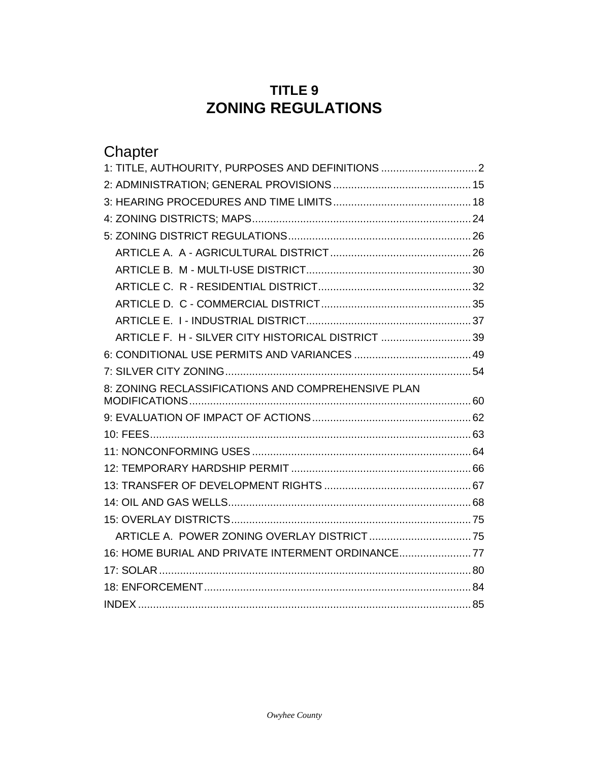# **TITLE 9 ZONING REGULATIONS**

| Chapter                                            |  |
|----------------------------------------------------|--|
| 1: TITLE, AUTHOURITY, PURPOSES AND DEFINITIONS     |  |
|                                                    |  |
|                                                    |  |
|                                                    |  |
|                                                    |  |
|                                                    |  |
|                                                    |  |
|                                                    |  |
|                                                    |  |
|                                                    |  |
| ARTICLE F. H - SILVER CITY HISTORICAL DISTRICT 39  |  |
|                                                    |  |
|                                                    |  |
| 8: ZONING RECLASSIFICATIONS AND COMPREHENSIVE PLAN |  |
|                                                    |  |
|                                                    |  |
|                                                    |  |
|                                                    |  |
|                                                    |  |
|                                                    |  |
|                                                    |  |
|                                                    |  |
| 16: HOME BURIAL AND PRIVATE INTERMENT ORDINANCE77  |  |
|                                                    |  |
|                                                    |  |
|                                                    |  |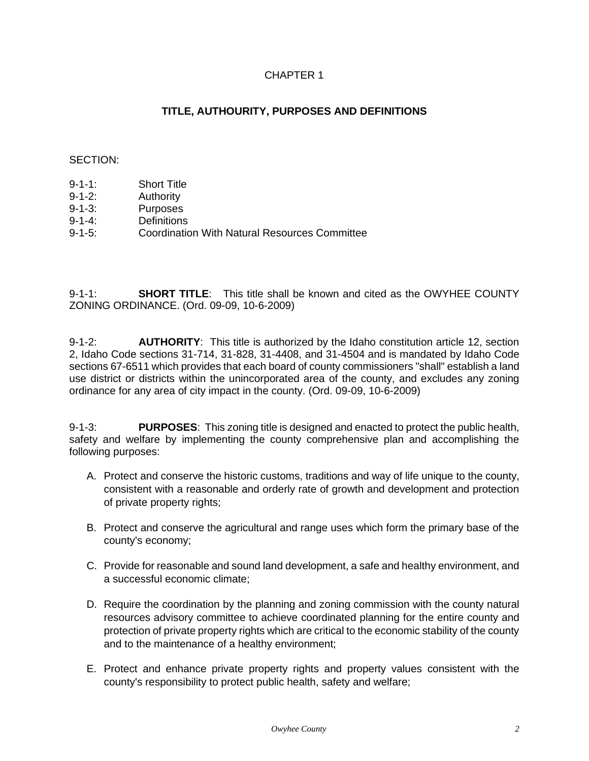# CHAPTER 1

# **TITLE, AUTHOURITY, PURPOSES AND DEFINITIONS**

# <span id="page-1-0"></span>SECTION:

- 9-1-1: Short Title
- 9-1-2: Authority
- 9-1-3: Purposes
- 9-1-4: Definitions
- 9-1-5: Coordination With Natural Resources Committee

9-1-1: **SHORT TITLE**: This title shall be known and cited as the OWYHEE COUNTY ZONING ORDINANCE. (Ord. 09-09, 10-6-2009)

9-1-2: **AUTHORITY**: This title is authorized by the Idaho constitution article 12, section 2, Idaho Code sections 31-714, 31-828, 31-4408, and 31-4504 and is mandated by Idaho Code sections 67-6511 which provides that each board of county commissioners "shall" establish a land use district or districts within the unincorporated area of the county, and excludes any zoning ordinance for any area of city impact in the county. (Ord. 09-09, 10-6-2009)

9-1-3: **PURPOSES**: This zoning title is designed and enacted to protect the public health, safety and welfare by implementing the county comprehensive plan and accomplishing the following purposes:

- A. Protect and conserve the historic customs, traditions and way of life unique to the county, consistent with a reasonable and orderly rate of growth and development and protection of private property rights;
- B. Protect and conserve the agricultural and range uses which form the primary base of the county's economy;
- C. Provide for reasonable and sound land development, a safe and healthy environment, and a successful economic climate;
- D. Require the coordination by the planning and zoning commission with the county natural resources advisory committee to achieve coordinated planning for the entire county and protection of private property rights which are critical to the economic stability of the county and to the maintenance of a healthy environment;
- E. Protect and enhance private property rights and property values consistent with the county's responsibility to protect public health, safety and welfare;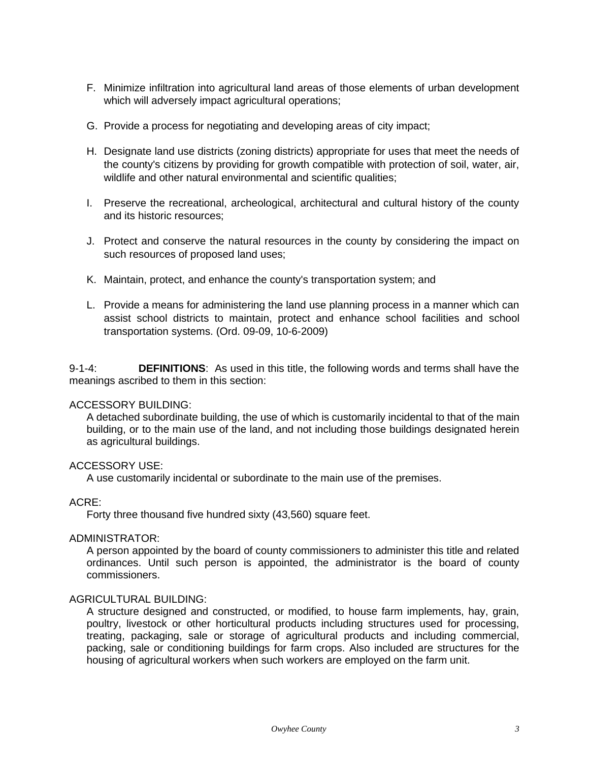- F. Minimize infiltration into agricultural land areas of those elements of urban development which will adversely impact agricultural operations;
- G. Provide a process for negotiating and developing areas of city impact;
- H. Designate land use districts (zoning districts) appropriate for uses that meet the needs of the county's citizens by providing for growth compatible with protection of soil, water, air, wildlife and other natural environmental and scientific qualities;
- I. Preserve the recreational, archeological, architectural and cultural history of the county and its historic resources;
- J. Protect and conserve the natural resources in the county by considering the impact on such resources of proposed land uses;
- K. Maintain, protect, and enhance the county's transportation system; and
- L. Provide a means for administering the land use planning process in a manner which can assist school districts to maintain, protect and enhance school facilities and school transportation systems. (Ord. 09-09, 10-6-2009)

9-1-4: **DEFINITIONS**: As used in this title, the following words and terms shall have the meanings ascribed to them in this section:

# ACCESSORY BUILDING:

A detached subordinate building, the use of which is customarily incidental to that of the main building, or to the main use of the land, and not including those buildings designated herein as agricultural buildings.

# ACCESSORY USE:

A use customarily incidental or subordinate to the main use of the premises.

# ACRE:

Forty three thousand five hundred sixty (43,560) square feet.

# ADMINISTRATOR:

A person appointed by the board of county commissioners to administer this title and related ordinances. Until such person is appointed, the administrator is the board of county commissioners.

# AGRICULTURAL BUILDING:

A structure designed and constructed, or modified, to house farm implements, hay, grain, poultry, livestock or other horticultural products including structures used for processing, treating, packaging, sale or storage of agricultural products and including commercial, packing, sale or conditioning buildings for farm crops. Also included are structures for the housing of agricultural workers when such workers are employed on the farm unit.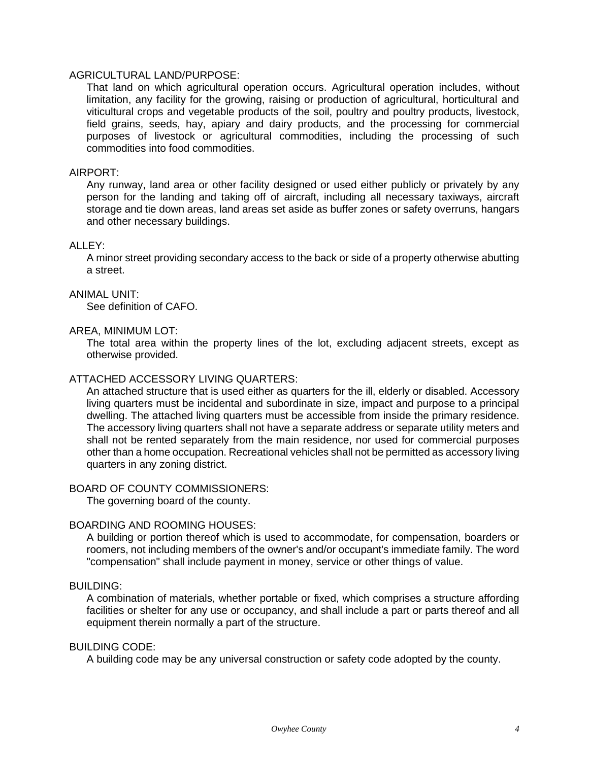# AGRICULTURAL LAND/PURPOSE:

That land on which agricultural operation occurs. Agricultural operation includes, without limitation, any facility for the growing, raising or production of agricultural, horticultural and viticultural crops and vegetable products of the soil, poultry and poultry products, livestock, field grains, seeds, hay, apiary and dairy products, and the processing for commercial purposes of livestock or agricultural commodities, including the processing of such commodities into food commodities.

# AIRPORT:

Any runway, land area or other facility designed or used either publicly or privately by any person for the landing and taking off of aircraft, including all necessary taxiways, aircraft storage and tie down areas, land areas set aside as buffer zones or safety overruns, hangars and other necessary buildings.

# ALLEY:

A minor street providing secondary access to the back or side of a property otherwise abutting a street.

#### ANIMAL UNIT:

See definition of CAFO.

#### AREA, MINIMUM LOT:

The total area within the property lines of the lot, excluding adjacent streets, except as otherwise provided.

#### ATTACHED ACCESSORY LIVING QUARTERS:

An attached structure that is used either as quarters for the ill, elderly or disabled. Accessory living quarters must be incidental and subordinate in size, impact and purpose to a principal dwelling. The attached living quarters must be accessible from inside the primary residence. The accessory living quarters shall not have a separate address or separate utility meters and shall not be rented separately from the main residence, nor used for commercial purposes other than a home occupation. Recreational vehicles shall not be permitted as accessory living quarters in any zoning district.

#### BOARD OF COUNTY COMMISSIONERS:

The governing board of the county.

# BOARDING AND ROOMING HOUSES:

A building or portion thereof which is used to accommodate, for compensation, boarders or roomers, not including members of the owner's and/or occupant's immediate family. The word "compensation" shall include payment in money, service or other things of value.

#### BUILDING:

A combination of materials, whether portable or fixed, which comprises a structure affording facilities or shelter for any use or occupancy, and shall include a part or parts thereof and all equipment therein normally a part of the structure.

#### BUILDING CODE:

A building code may be any universal construction or safety code adopted by the county.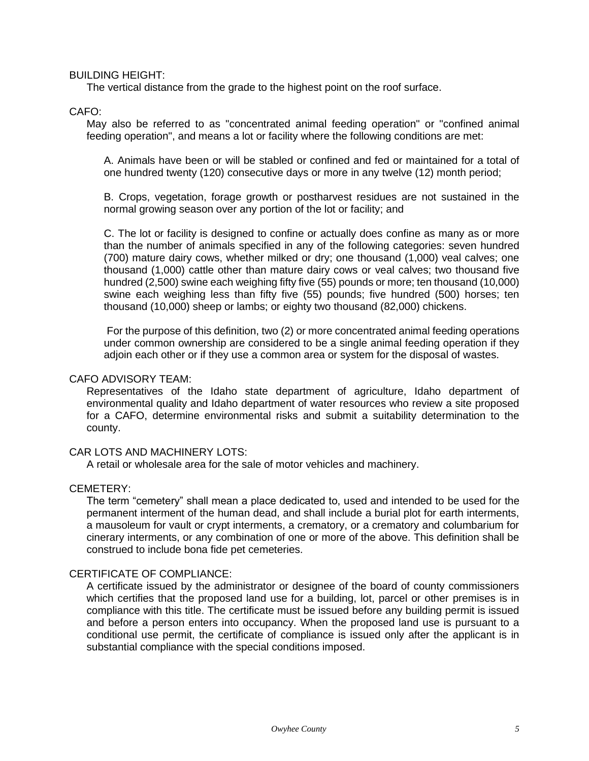BUILDING HEIGHT:

The vertical distance from the grade to the highest point on the roof surface.

# CAFO:

May also be referred to as "concentrated animal feeding operation" or "confined animal feeding operation", and means a lot or facility where the following conditions are met:

A. Animals have been or will be stabled or confined and fed or maintained for a total of one hundred twenty (120) consecutive days or more in any twelve (12) month period;

B. Crops, vegetation, forage growth or postharvest residues are not sustained in the normal growing season over any portion of the lot or facility; and

C. The lot or facility is designed to confine or actually does confine as many as or more than the number of animals specified in any of the following categories: seven hundred (700) mature dairy cows, whether milked or dry; one thousand (1,000) veal calves; one thousand (1,000) cattle other than mature dairy cows or veal calves; two thousand five hundred (2,500) swine each weighing fifty five (55) pounds or more; ten thousand (10,000) swine each weighing less than fifty five (55) pounds; five hundred (500) horses; ten thousand (10,000) sheep or lambs; or eighty two thousand (82,000) chickens.

For the purpose of this definition, two (2) or more concentrated animal feeding operations under common ownership are considered to be a single animal feeding operation if they adjoin each other or if they use a common area or system for the disposal of wastes.

#### CAFO ADVISORY TEAM:

Representatives of the Idaho state department of agriculture, Idaho department of environmental quality and Idaho department of water resources who review a site proposed for a CAFO, determine environmental risks and submit a suitability determination to the county.

# CAR LOTS AND MACHINERY LOTS:

A retail or wholesale area for the sale of motor vehicles and machinery.

# CEMETERY:

The term "cemetery" shall mean a place dedicated to, used and intended to be used for the permanent interment of the human dead, and shall include a burial plot for earth interments, a mausoleum for vault or crypt interments, a crematory, or a crematory and columbarium for cinerary interments, or any combination of one or more of the above. This definition shall be construed to include bona fide pet cemeteries.

# CERTIFICATE OF COMPLIANCE:

A certificate issued by the administrator or designee of the board of county commissioners which certifies that the proposed land use for a building, lot, parcel or other premises is in compliance with this title. The certificate must be issued before any building permit is issued and before a person enters into occupancy. When the proposed land use is pursuant to a conditional use permit, the certificate of compliance is issued only after the applicant is in substantial compliance with the special conditions imposed.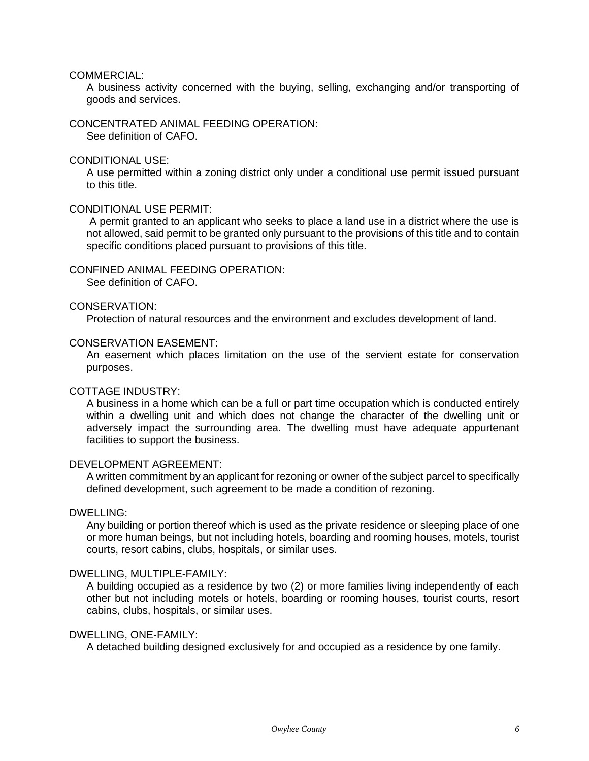COMMERCIAL:

A business activity concerned with the buying, selling, exchanging and/or transporting of goods and services.

CONCENTRATED ANIMAL FEEDING OPERATION:

See definition of CAFO.

# CONDITIONAL USE:

A use permitted within a zoning district only under a conditional use permit issued pursuant to this title.

# CONDITIONAL USE PERMIT:

A permit granted to an applicant who seeks to place a land use in a district where the use is not allowed, said permit to be granted only pursuant to the provisions of this title and to contain specific conditions placed pursuant to provisions of this title.

# CONFINED ANIMAL FEEDING OPERATION:

See definition of CAFO.

# CONSERVATION:

Protection of natural resources and the environment and excludes development of land.

# CONSERVATION EASEMENT:

An easement which places limitation on the use of the servient estate for conservation purposes.

# COTTAGE INDUSTRY:

A business in a home which can be a full or part time occupation which is conducted entirely within a dwelling unit and which does not change the character of the dwelling unit or adversely impact the surrounding area. The dwelling must have adequate appurtenant facilities to support the business.

# DEVELOPMENT AGREEMENT:

A written commitment by an applicant for rezoning or owner of the subject parcel to specifically defined development, such agreement to be made a condition of rezoning.

# DWELLING:

Any building or portion thereof which is used as the private residence or sleeping place of one or more human beings, but not including hotels, boarding and rooming houses, motels, tourist courts, resort cabins, clubs, hospitals, or similar uses.

# DWELLING, MULTIPLE-FAMILY:

A building occupied as a residence by two (2) or more families living independently of each other but not including motels or hotels, boarding or rooming houses, tourist courts, resort cabins, clubs, hospitals, or similar uses.

# DWELLING, ONE-FAMILY:

A detached building designed exclusively for and occupied as a residence by one family.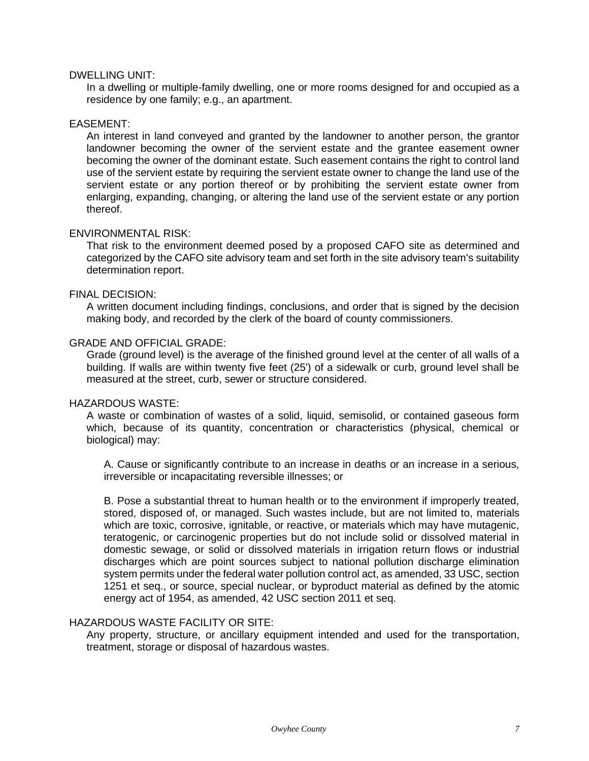#### DWELLING UNIT:

In a dwelling or multiple-family dwelling, one or more rooms designed for and occupied as a residence by one family; e.g., an apartment.

#### EASEMENT:

An interest in land conveyed and granted by the landowner to another person, the grantor landowner becoming the owner of the servient estate and the grantee easement owner becoming the owner of the dominant estate. Such easement contains the right to control land use of the servient estate by requiring the servient estate owner to change the land use of the servient estate or any portion thereof or by prohibiting the servient estate owner from enlarging, expanding, changing, or altering the land use of the servient estate or any portion thereof.

#### ENVIRONMENTAL RISK:

That risk to the environment deemed posed by a proposed CAFO site as determined and categorized by the CAFO site advisory team and set forth in the site advisory team's suitability determination report.

#### FINAL DECISION:

A written document including findings, conclusions, and order that is signed by the decision making body, and recorded by the clerk of the board of county commissioners.

#### GRADE AND OFFICIAL GRADE:

Grade (ground level) is the average of the finished ground level at the center of all walls of a building. If walls are within twenty five feet (25') of a sidewalk or curb, ground level shall be measured at the street, curb, sewer or structure considered.

#### HAZARDOUS WASTE:

A waste or combination of wastes of a solid, liquid, semisolid, or contained gaseous form which, because of its quantity, concentration or characteristics (physical, chemical or biological) may:

A. Cause or significantly contribute to an increase in deaths or an increase in a serious, irreversible or incapacitating reversible illnesses; or

B. Pose a substantial threat to human health or to the environment if improperly treated, stored, disposed of, or managed. Such wastes include, but are not limited to, materials which are toxic, corrosive, ignitable, or reactive, or materials which may have mutagenic, teratogenic, or carcinogenic properties but do not include solid or dissolved material in domestic sewage, or solid or dissolved materials in irrigation return flows or industrial discharges which are point sources subject to national pollution discharge elimination system permits under the federal water pollution control act, as amended, 33 USC, section 1251 et seq., or source, special nuclear, or byproduct material as defined by the atomic energy act of 1954, as amended, 42 USC section 2011 et seq.

# HAZARDOUS WASTE FACILITY OR SITE:

Any property, structure, or ancillary equipment intended and used for the transportation, treatment, storage or disposal of hazardous wastes.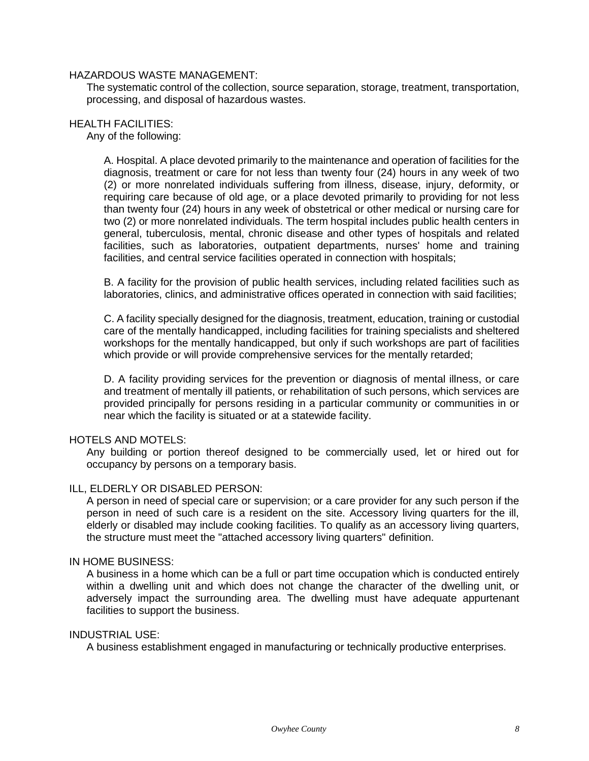# HAZARDOUS WASTE MANAGEMENT:

The systematic control of the collection, source separation, storage, treatment, transportation, processing, and disposal of hazardous wastes.

# HEALTH FACILITIES:

Any of the following:

A. Hospital. A place devoted primarily to the maintenance and operation of facilities for the diagnosis, treatment or care for not less than twenty four (24) hours in any week of two (2) or more nonrelated individuals suffering from illness, disease, injury, deformity, or requiring care because of old age, or a place devoted primarily to providing for not less than twenty four (24) hours in any week of obstetrical or other medical or nursing care for two (2) or more nonrelated individuals. The term hospital includes public health centers in general, tuberculosis, mental, chronic disease and other types of hospitals and related facilities, such as laboratories, outpatient departments, nurses' home and training facilities, and central service facilities operated in connection with hospitals;

B. A facility for the provision of public health services, including related facilities such as laboratories, clinics, and administrative offices operated in connection with said facilities;

C. A facility specially designed for the diagnosis, treatment, education, training or custodial care of the mentally handicapped, including facilities for training specialists and sheltered workshops for the mentally handicapped, but only if such workshops are part of facilities which provide or will provide comprehensive services for the mentally retarded;

D. A facility providing services for the prevention or diagnosis of mental illness, or care and treatment of mentally ill patients, or rehabilitation of such persons, which services are provided principally for persons residing in a particular community or communities in or near which the facility is situated or at a statewide facility.

# HOTELS AND MOTELS:

Any building or portion thereof designed to be commercially used, let or hired out for occupancy by persons on a temporary basis.

# ILL, ELDERLY OR DISABLED PERSON:

A person in need of special care or supervision; or a care provider for any such person if the person in need of such care is a resident on the site. Accessory living quarters for the ill, elderly or disabled may include cooking facilities. To qualify as an accessory living quarters, the structure must meet the "attached accessory living quarters" definition.

#### IN HOME BUSINESS:

A business in a home which can be a full or part time occupation which is conducted entirely within a dwelling unit and which does not change the character of the dwelling unit, or adversely impact the surrounding area. The dwelling must have adequate appurtenant facilities to support the business.

#### INDUSTRIAL USE:

A business establishment engaged in manufacturing or technically productive enterprises.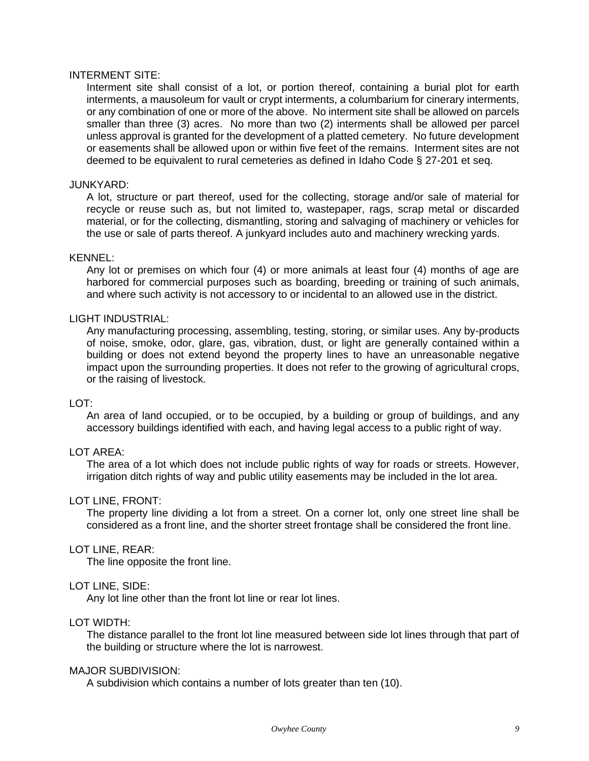# INTERMENT SITE:

Interment site shall consist of a lot, or portion thereof, containing a burial plot for earth interments, a mausoleum for vault or crypt interments, a columbarium for cinerary interments, or any combination of one or more of the above. No interment site shall be allowed on parcels smaller than three (3) acres. No more than two (2) interments shall be allowed per parcel unless approval is granted for the development of a platted cemetery. No future development or easements shall be allowed upon or within five feet of the remains. Interment sites are not deemed to be equivalent to rural cemeteries as defined in Idaho Code § 27-201 et seq.

#### JUNKYARD:

A lot, structure or part thereof, used for the collecting, storage and/or sale of material for recycle or reuse such as, but not limited to, wastepaper, rags, scrap metal or discarded material, or for the collecting, dismantling, storing and salvaging of machinery or vehicles for the use or sale of parts thereof. A junkyard includes auto and machinery wrecking yards.

#### KENNEL:

Any lot or premises on which four (4) or more animals at least four (4) months of age are harbored for commercial purposes such as boarding, breeding or training of such animals, and where such activity is not accessory to or incidental to an allowed use in the district.

#### LIGHT INDUSTRIAL:

Any manufacturing processing, assembling, testing, storing, or similar uses. Any by-products of noise, smoke, odor, glare, gas, vibration, dust, or light are generally contained within a building or does not extend beyond the property lines to have an unreasonable negative impact upon the surrounding properties. It does not refer to the growing of agricultural crops, or the raising of livestock.

#### LOT:

An area of land occupied, or to be occupied, by a building or group of buildings, and any accessory buildings identified with each, and having legal access to a public right of way.

# LOT AREA:

The area of a lot which does not include public rights of way for roads or streets. However, irrigation ditch rights of way and public utility easements may be included in the lot area.

# LOT LINE, FRONT:

The property line dividing a lot from a street. On a corner lot, only one street line shall be considered as a front line, and the shorter street frontage shall be considered the front line.

#### LOT LINE, REAR:

The line opposite the front line.

#### LOT LINE, SIDE:

Any lot line other than the front lot line or rear lot lines.

#### LOT WIDTH:

The distance parallel to the front lot line measured between side lot lines through that part of the building or structure where the lot is narrowest.

# MAJOR SUBDIVISION:

A subdivision which contains a number of lots greater than ten (10).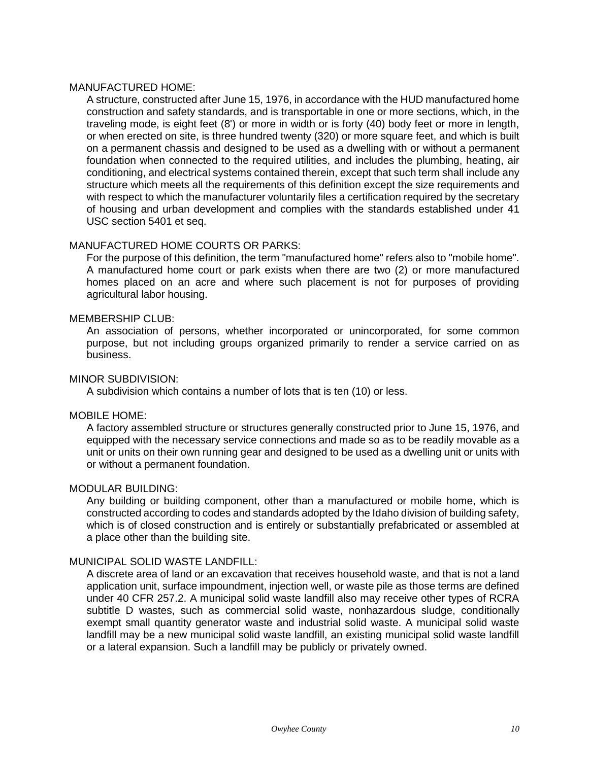#### MANUFACTURED HOME:

A structure, constructed after June 15, 1976, in accordance with the HUD manufactured home construction and safety standards, and is transportable in one or more sections, which, in the traveling mode, is eight feet (8') or more in width or is forty (40) body feet or more in length, or when erected on site, is three hundred twenty (320) or more square feet, and which is built on a permanent chassis and designed to be used as a dwelling with or without a permanent foundation when connected to the required utilities, and includes the plumbing, heating, air conditioning, and electrical systems contained therein, except that such term shall include any structure which meets all the requirements of this definition except the size requirements and with respect to which the manufacturer voluntarily files a certification required by the secretary of housing and urban development and complies with the standards established under 41 USC section 5401 et seq.

# MANUFACTURED HOME COURTS OR PARKS:

For the purpose of this definition, the term "manufactured home" refers also to "mobile home". A manufactured home court or park exists when there are two (2) or more manufactured homes placed on an acre and where such placement is not for purposes of providing agricultural labor housing.

# MEMBERSHIP CLUB:

An association of persons, whether incorporated or unincorporated, for some common purpose, but not including groups organized primarily to render a service carried on as business.

# MINOR SUBDIVISION:

A subdivision which contains a number of lots that is ten (10) or less.

# MOBILE HOME:

A factory assembled structure or structures generally constructed prior to June 15, 1976, and equipped with the necessary service connections and made so as to be readily movable as a unit or units on their own running gear and designed to be used as a dwelling unit or units with or without a permanent foundation.

# MODULAR BUILDING:

Any building or building component, other than a manufactured or mobile home, which is constructed according to codes and standards adopted by the Idaho division of building safety, which is of closed construction and is entirely or substantially prefabricated or assembled at a place other than the building site.

# MUNICIPAL SOLID WASTE LANDFILL:

A discrete area of land or an excavation that receives household waste, and that is not a land application unit, surface impoundment, injection well, or waste pile as those terms are defined under 40 CFR 257.2. A municipal solid waste landfill also may receive other types of RCRA subtitle D wastes, such as commercial solid waste, nonhazardous sludge, conditionally exempt small quantity generator waste and industrial solid waste. A municipal solid waste landfill may be a new municipal solid waste landfill, an existing municipal solid waste landfill or a lateral expansion. Such a landfill may be publicly or privately owned.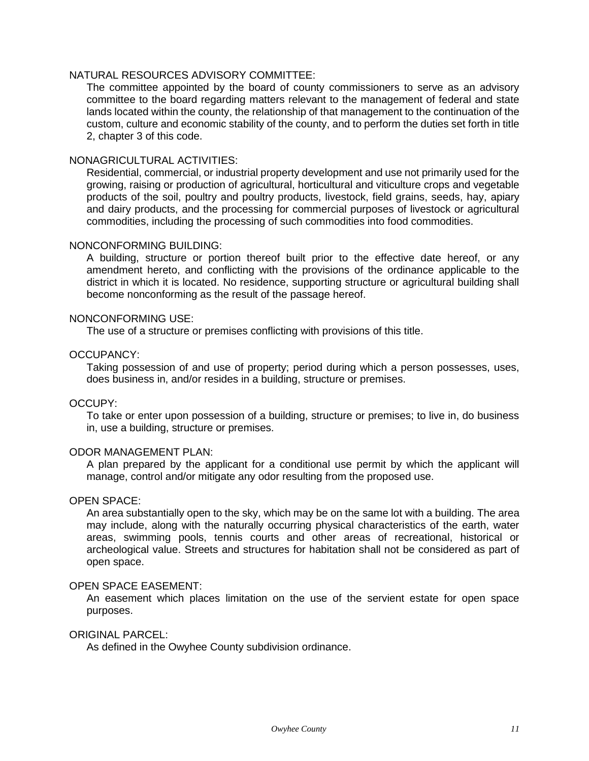# NATURAL RESOURCES ADVISORY COMMITTEE:

The committee appointed by the board of county commissioners to serve as an advisory committee to the board regarding matters relevant to the management of federal and state lands located within the county, the relationship of that management to the continuation of the custom, culture and economic stability of the county, and to perform the duties set forth in title 2, chapter 3 of this code.

# NONAGRICULTURAL ACTIVITIES:

Residential, commercial, or industrial property development and use not primarily used for the growing, raising or production of agricultural, horticultural and viticulture crops and vegetable products of the soil, poultry and poultry products, livestock, field grains, seeds, hay, apiary and dairy products, and the processing for commercial purposes of livestock or agricultural commodities, including the processing of such commodities into food commodities.

# NONCONFORMING BUILDING:

A building, structure or portion thereof built prior to the effective date hereof, or any amendment hereto, and conflicting with the provisions of the ordinance applicable to the district in which it is located. No residence, supporting structure or agricultural building shall become nonconforming as the result of the passage hereof.

#### NONCONFORMING USE:

The use of a structure or premises conflicting with provisions of this title.

#### OCCUPANCY:

Taking possession of and use of property; period during which a person possesses, uses, does business in, and/or resides in a building, structure or premises.

# OCCUPY:

To take or enter upon possession of a building, structure or premises; to live in, do business in, use a building, structure or premises.

#### ODOR MANAGEMENT PLAN:

A plan prepared by the applicant for a conditional use permit by which the applicant will manage, control and/or mitigate any odor resulting from the proposed use.

#### OPEN SPACE:

An area substantially open to the sky, which may be on the same lot with a building. The area may include, along with the naturally occurring physical characteristics of the earth, water areas, swimming pools, tennis courts and other areas of recreational, historical or archeological value. Streets and structures for habitation shall not be considered as part of open space.

#### OPEN SPACE EASEMENT:

An easement which places limitation on the use of the servient estate for open space purposes.

#### ORIGINAL PARCEL:

As defined in the Owyhee County subdivision ordinance.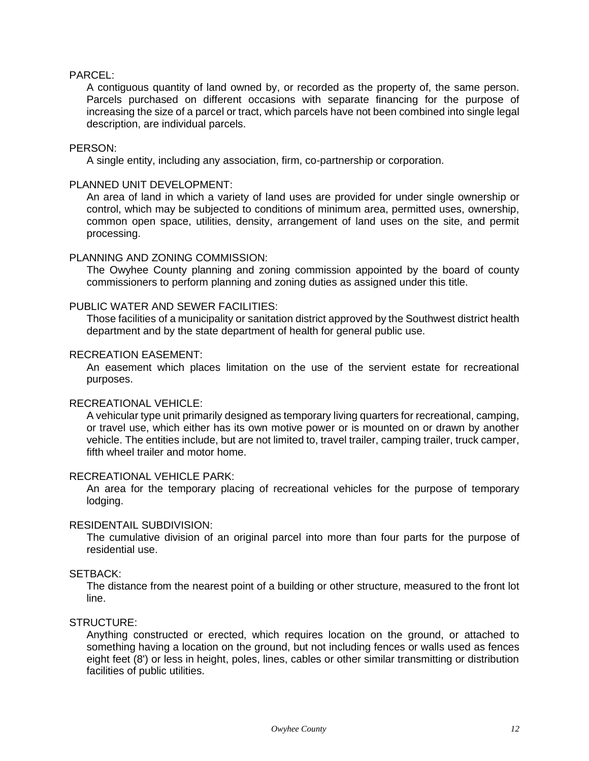# PARCEL:

A contiguous quantity of land owned by, or recorded as the property of, the same person. Parcels purchased on different occasions with separate financing for the purpose of increasing the size of a parcel or tract, which parcels have not been combined into single legal description, are individual parcels.

#### PERSON:

A single entity, including any association, firm, co-partnership or corporation.

# PLANNED UNIT DEVELOPMENT:

An area of land in which a variety of land uses are provided for under single ownership or control, which may be subjected to conditions of minimum area, permitted uses, ownership, common open space, utilities, density, arrangement of land uses on the site, and permit processing.

#### PLANNING AND ZONING COMMISSION:

The Owyhee County planning and zoning commission appointed by the board of county commissioners to perform planning and zoning duties as assigned under this title.

#### PUBLIC WATER AND SEWER FACILITIES:

Those facilities of a municipality or sanitation district approved by the Southwest district health department and by the state department of health for general public use.

#### RECREATION EASEMENT:

An easement which places limitation on the use of the servient estate for recreational purposes.

# RECREATIONAL VEHICLE:

A vehicular type unit primarily designed as temporary living quarters for recreational, camping, or travel use, which either has its own motive power or is mounted on or drawn by another vehicle. The entities include, but are not limited to, travel trailer, camping trailer, truck camper, fifth wheel trailer and motor home.

# RECREATIONAL VEHICLE PARK:

An area for the temporary placing of recreational vehicles for the purpose of temporary lodging.

#### RESIDENTAIL SUBDIVISION:

The cumulative division of an original parcel into more than four parts for the purpose of residential use.

# SETBACK:

The distance from the nearest point of a building or other structure, measured to the front lot line.

#### STRUCTURE:

Anything constructed or erected, which requires location on the ground, or attached to something having a location on the ground, but not including fences or walls used as fences eight feet (8') or less in height, poles, lines, cables or other similar transmitting or distribution facilities of public utilities.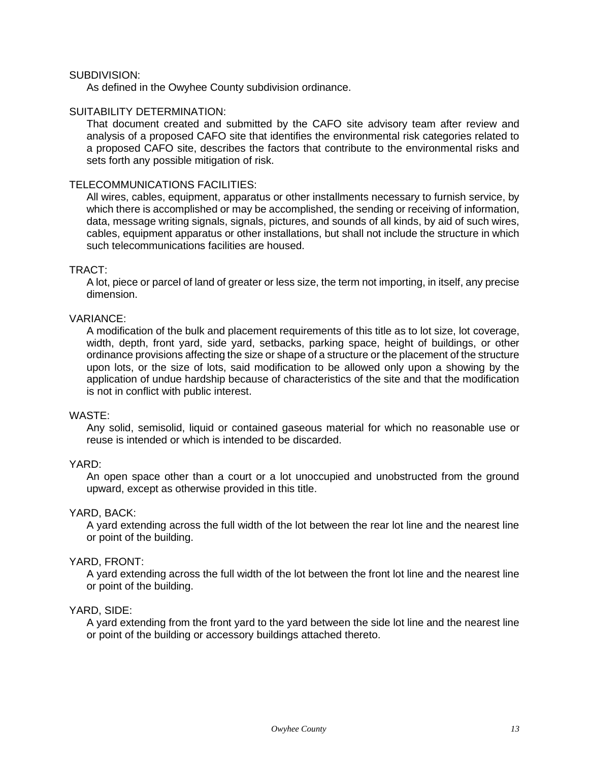# SUBDIVISION:

As defined in the Owyhee County subdivision ordinance.

# SUITABILITY DETERMINATION:

That document created and submitted by the CAFO site advisory team after review and analysis of a proposed CAFO site that identifies the environmental risk categories related to a proposed CAFO site, describes the factors that contribute to the environmental risks and sets forth any possible mitigation of risk.

# TELECOMMUNICATIONS FACILITIES:

All wires, cables, equipment, apparatus or other installments necessary to furnish service, by which there is accomplished or may be accomplished, the sending or receiving of information, data, message writing signals, signals, pictures, and sounds of all kinds, by aid of such wires, cables, equipment apparatus or other installations, but shall not include the structure in which such telecommunications facilities are housed.

# TRACT:

A lot, piece or parcel of land of greater or less size, the term not importing, in itself, any precise dimension.

# VARIANCE:

A modification of the bulk and placement requirements of this title as to lot size, lot coverage, width, depth, front yard, side yard, setbacks, parking space, height of buildings, or other ordinance provisions affecting the size or shape of a structure or the placement of the structure upon lots, or the size of lots, said modification to be allowed only upon a showing by the application of undue hardship because of characteristics of the site and that the modification is not in conflict with public interest.

# WASTE:

Any solid, semisolid, liquid or contained gaseous material for which no reasonable use or reuse is intended or which is intended to be discarded.

# YARD:

An open space other than a court or a lot unoccupied and unobstructed from the ground upward, except as otherwise provided in this title.

# YARD, BACK:

A yard extending across the full width of the lot between the rear lot line and the nearest line or point of the building.

# YARD, FRONT:

A yard extending across the full width of the lot between the front lot line and the nearest line or point of the building.

# YARD, SIDE:

A yard extending from the front yard to the yard between the side lot line and the nearest line or point of the building or accessory buildings attached thereto.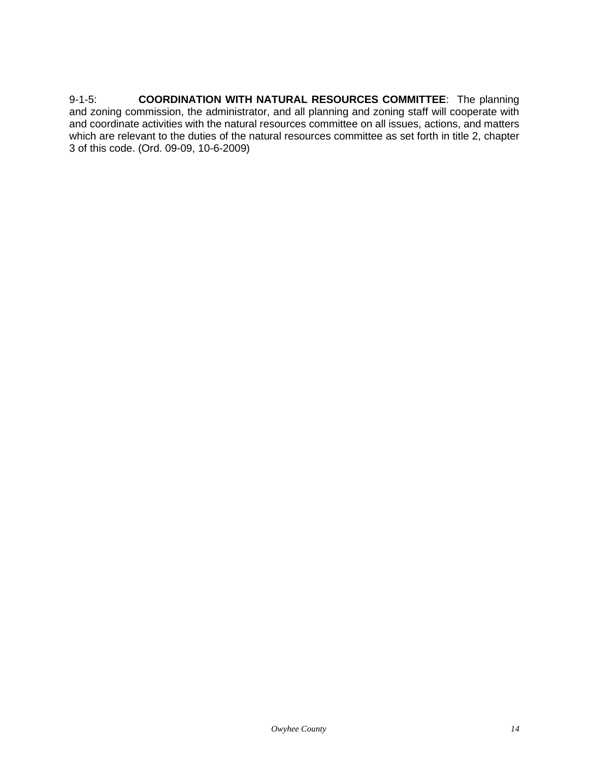9-1-5: **COORDINATION WITH NATURAL RESOURCES COMMITTEE**: The planning and zoning commission, the administrator, and all planning and zoning staff will cooperate with and coordinate activities with the natural resources committee on all issues, actions, and matters which are relevant to the duties of the natural resources committee as set forth in title 2, chapter 3 of this code. (Ord. 09-09, 10-6-2009)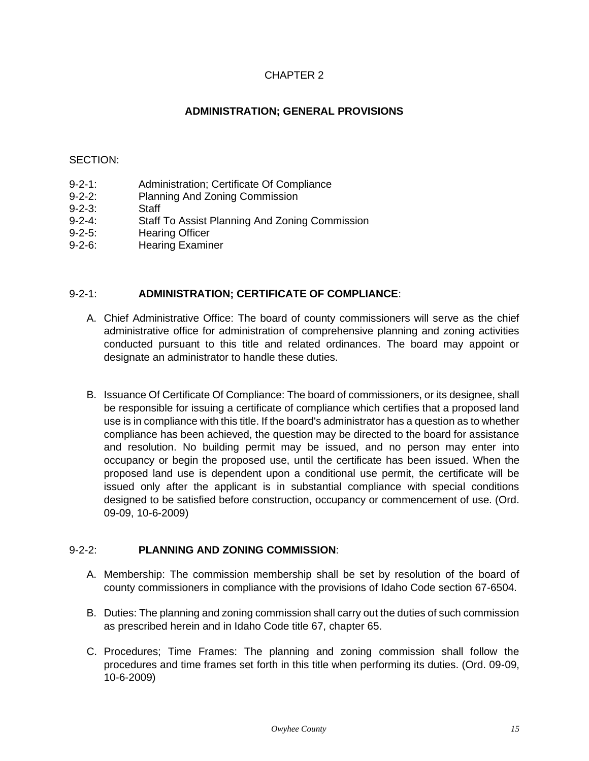# CHAPTER 2

# **ADMINISTRATION; GENERAL PROVISIONS**

# <span id="page-14-0"></span>SECTION:

- 9-2-1: Administration; Certificate Of Compliance
- 9-2-2: Planning And Zoning Commission
- 9-2-3: Staff
- 9-2-4: Staff To Assist Planning And Zoning Commission
- 9-2-5: Hearing Officer
- 9-2-6: Hearing Examiner

# 9-2-1: **ADMINISTRATION; CERTIFICATE OF COMPLIANCE**:

- A. Chief Administrative Office: The board of county commissioners will serve as the chief administrative office for administration of comprehensive planning and zoning activities conducted pursuant to this title and related ordinances. The board may appoint or designate an administrator to handle these duties.
- B. Issuance Of Certificate Of Compliance: The board of commissioners, or its designee, shall be responsible for issuing a certificate of compliance which certifies that a proposed land use is in compliance with this title. If the board's administrator has a question as to whether compliance has been achieved, the question may be directed to the board for assistance and resolution. No building permit may be issued, and no person may enter into occupancy or begin the proposed use, until the certificate has been issued. When the proposed land use is dependent upon a conditional use permit, the certificate will be issued only after the applicant is in substantial compliance with special conditions designed to be satisfied before construction, occupancy or commencement of use. (Ord. 09-09, 10-6-2009)

# 9-2-2: **PLANNING AND ZONING COMMISSION**:

- A. Membership: The commission membership shall be set by resolution of the board of county commissioners in compliance with the provisions of Idaho Code section 67-6504.
- B. Duties: The planning and zoning commission shall carry out the duties of such commission as prescribed herein and in Idaho Code title 67, chapter 65.
- C. Procedures; Time Frames: The planning and zoning commission shall follow the procedures and time frames set forth in this title when performing its duties. (Ord. 09-09, 10-6-2009)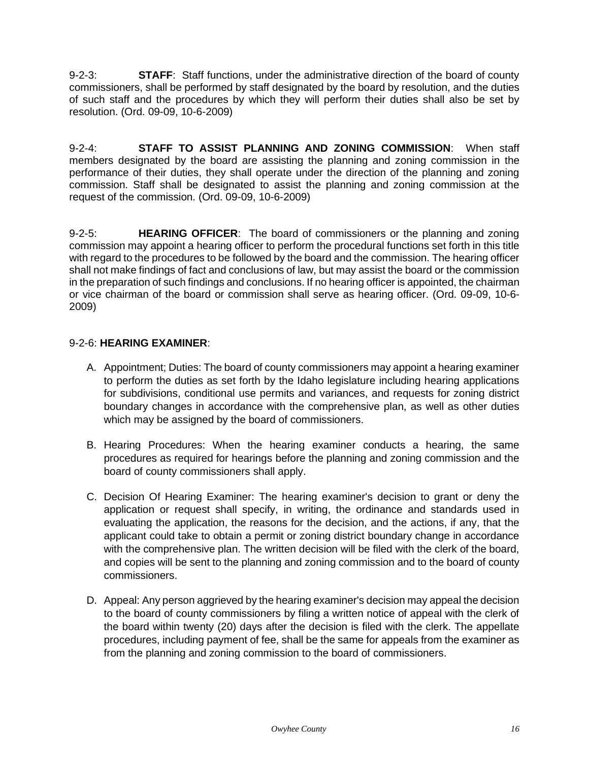9-2-3: **STAFF**: Staff functions, under the administrative direction of the board of county commissioners, shall be performed by staff designated by the board by resolution, and the duties of such staff and the procedures by which they will perform their duties shall also be set by resolution. (Ord. 09-09, 10-6-2009)

9-2-4: **STAFF TO ASSIST PLANNING AND ZONING COMMISSION**: When staff members designated by the board are assisting the planning and zoning commission in the performance of their duties, they shall operate under the direction of the planning and zoning commission. Staff shall be designated to assist the planning and zoning commission at the request of the commission. (Ord. 09-09, 10-6-2009)

9-2-5: **HEARING OFFICER**: The board of commissioners or the planning and zoning commission may appoint a hearing officer to perform the procedural functions set forth in this title with regard to the procedures to be followed by the board and the commission. The hearing officer shall not make findings of fact and conclusions of law, but may assist the board or the commission in the preparation of such findings and conclusions. If no hearing officer is appointed, the chairman or vice chairman of the board or commission shall serve as hearing officer. (Ord. 09-09, 10-6- 2009)

# 9-2-6: **HEARING EXAMINER**:

- A. Appointment; Duties: The board of county commissioners may appoint a hearing examiner to perform the duties as set forth by the Idaho legislature including hearing applications for subdivisions, conditional use permits and variances, and requests for zoning district boundary changes in accordance with the comprehensive plan, as well as other duties which may be assigned by the board of commissioners.
- B. Hearing Procedures: When the hearing examiner conducts a hearing, the same procedures as required for hearings before the planning and zoning commission and the board of county commissioners shall apply.
- C. Decision Of Hearing Examiner: The hearing examiner's decision to grant or deny the application or request shall specify, in writing, the ordinance and standards used in evaluating the application, the reasons for the decision, and the actions, if any, that the applicant could take to obtain a permit or zoning district boundary change in accordance with the comprehensive plan. The written decision will be filed with the clerk of the board, and copies will be sent to the planning and zoning commission and to the board of county commissioners.
- D. Appeal: Any person aggrieved by the hearing examiner's decision may appeal the decision to the board of county commissioners by filing a written notice of appeal with the clerk of the board within twenty (20) days after the decision is filed with the clerk. The appellate procedures, including payment of fee, shall be the same for appeals from the examiner as from the planning and zoning commission to the board of commissioners.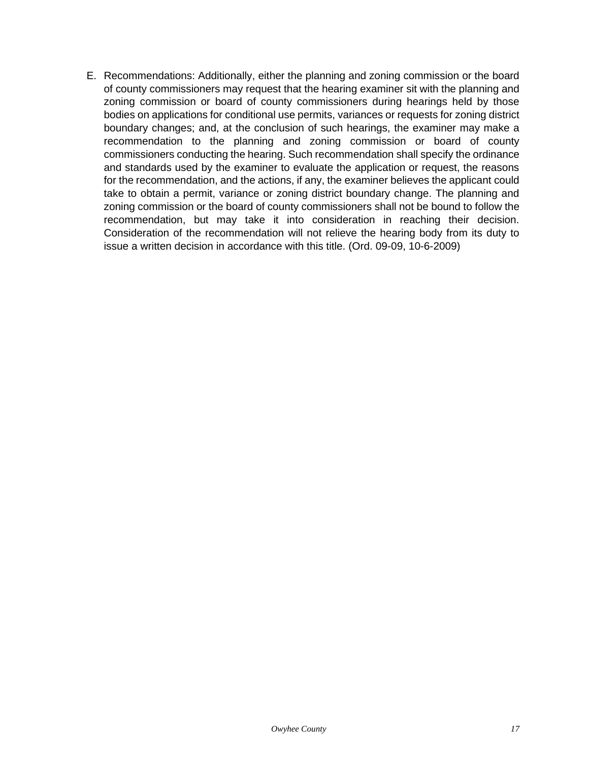E. Recommendations: Additionally, either the planning and zoning commission or the board of county commissioners may request that the hearing examiner sit with the planning and zoning commission or board of county commissioners during hearings held by those bodies on applications for conditional use permits, variances or requests for zoning district boundary changes; and, at the conclusion of such hearings, the examiner may make a recommendation to the planning and zoning commission or board of county commissioners conducting the hearing. Such recommendation shall specify the ordinance and standards used by the examiner to evaluate the application or request, the reasons for the recommendation, and the actions, if any, the examiner believes the applicant could take to obtain a permit, variance or zoning district boundary change. The planning and zoning commission or the board of county commissioners shall not be bound to follow the recommendation, but may take it into consideration in reaching their decision. Consideration of the recommendation will not relieve the hearing body from its duty to issue a written decision in accordance with this title. (Ord. 09-09, 10-6-2009)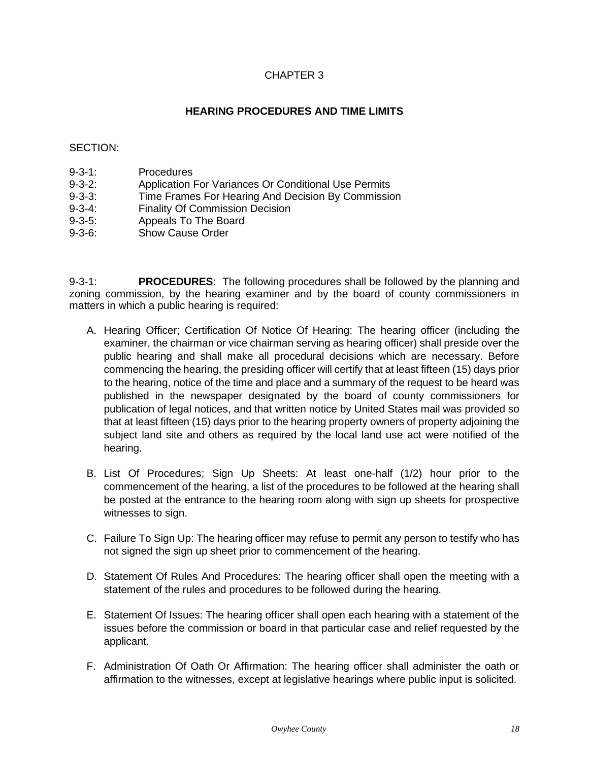# CHAPTER 3

# **HEARING PROCEDURES AND TIME LIMITS**

# <span id="page-17-0"></span>SECTION:

- 9-3-1: Procedures
- 9-3-2: Application For Variances Or Conditional Use Permits<br>9-3-3: Time Frames For Hearing And Decision By Commissic
- Time Frames For Hearing And Decision By Commission
- 9-3-4: Finality Of Commission Decision
- 9-3-5: Appeals To The Board
- 9-3-6: Show Cause Order

9-3-1: **PROCEDURES**: The following procedures shall be followed by the planning and zoning commission, by the hearing examiner and by the board of county commissioners in matters in which a public hearing is required:

- A. Hearing Officer; Certification Of Notice Of Hearing: The hearing officer (including the examiner, the chairman or vice chairman serving as hearing officer) shall preside over the public hearing and shall make all procedural decisions which are necessary. Before commencing the hearing, the presiding officer will certify that at least fifteen (15) days prior to the hearing, notice of the time and place and a summary of the request to be heard was published in the newspaper designated by the board of county commissioners for publication of legal notices, and that written notice by United States mail was provided so that at least fifteen (15) days prior to the hearing property owners of property adjoining the subject land site and others as required by the local land use act were notified of the hearing.
- B. List Of Procedures; Sign Up Sheets: At least one-half (1/2) hour prior to the commencement of the hearing, a list of the procedures to be followed at the hearing shall be posted at the entrance to the hearing room along with sign up sheets for prospective witnesses to sign.
- C. Failure To Sign Up: The hearing officer may refuse to permit any person to testify who has not signed the sign up sheet prior to commencement of the hearing.
- D. Statement Of Rules And Procedures: The hearing officer shall open the meeting with a statement of the rules and procedures to be followed during the hearing.
- E. Statement Of Issues: The hearing officer shall open each hearing with a statement of the issues before the commission or board in that particular case and relief requested by the applicant.
- F. Administration Of Oath Or Affirmation: The hearing officer shall administer the oath or affirmation to the witnesses, except at legislative hearings where public input is solicited.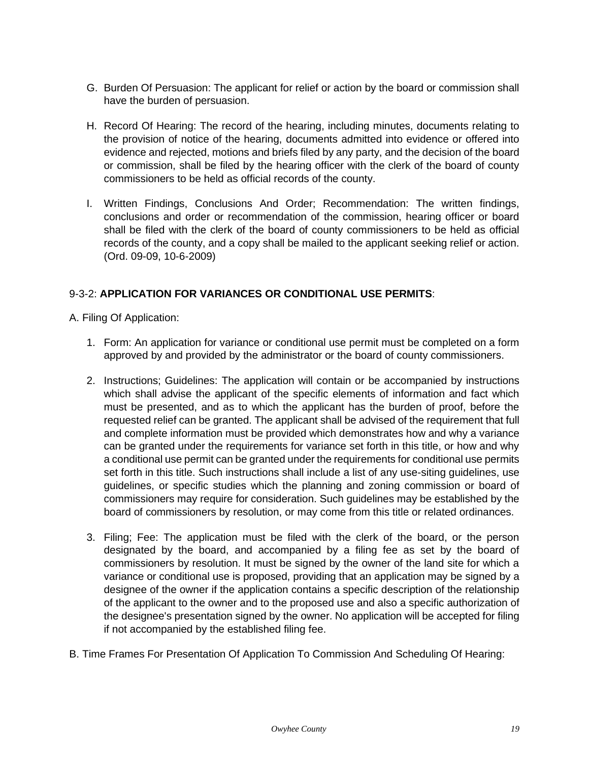- G. Burden Of Persuasion: The applicant for relief or action by the board or commission shall have the burden of persuasion.
- H. Record Of Hearing: The record of the hearing, including minutes, documents relating to the provision of notice of the hearing, documents admitted into evidence or offered into evidence and rejected, motions and briefs filed by any party, and the decision of the board or commission, shall be filed by the hearing officer with the clerk of the board of county commissioners to be held as official records of the county.
- I. Written Findings, Conclusions And Order; Recommendation: The written findings, conclusions and order or recommendation of the commission, hearing officer or board shall be filed with the clerk of the board of county commissioners to be held as official records of the county, and a copy shall be mailed to the applicant seeking relief or action. (Ord. 09-09, 10-6-2009)

# 9-3-2: **APPLICATION FOR VARIANCES OR CONDITIONAL USE PERMITS**:

A. Filing Of Application:

- 1. Form: An application for variance or conditional use permit must be completed on a form approved by and provided by the administrator or the board of county commissioners.
- 2. Instructions; Guidelines: The application will contain or be accompanied by instructions which shall advise the applicant of the specific elements of information and fact which must be presented, and as to which the applicant has the burden of proof, before the requested relief can be granted. The applicant shall be advised of the requirement that full and complete information must be provided which demonstrates how and why a variance can be granted under the requirements for variance set forth in this title, or how and why a conditional use permit can be granted under the requirements for conditional use permits set forth in this title. Such instructions shall include a list of any use-siting guidelines, use guidelines, or specific studies which the planning and zoning commission or board of commissioners may require for consideration. Such guidelines may be established by the board of commissioners by resolution, or may come from this title or related ordinances.
- 3. Filing; Fee: The application must be filed with the clerk of the board, or the person designated by the board, and accompanied by a filing fee as set by the board of commissioners by resolution. It must be signed by the owner of the land site for which a variance or conditional use is proposed, providing that an application may be signed by a designee of the owner if the application contains a specific description of the relationship of the applicant to the owner and to the proposed use and also a specific authorization of the designee's presentation signed by the owner. No application will be accepted for filing if not accompanied by the established filing fee.
- B. Time Frames For Presentation Of Application To Commission And Scheduling Of Hearing: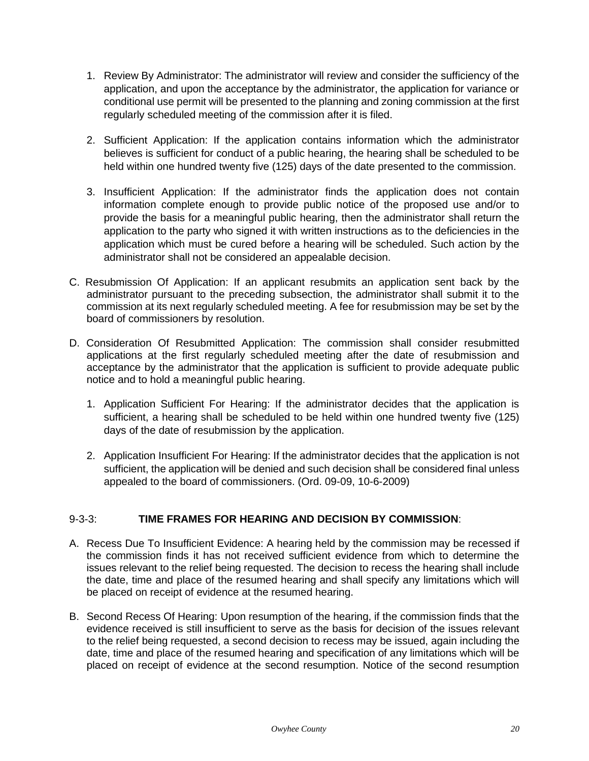- 1. Review By Administrator: The administrator will review and consider the sufficiency of the application, and upon the acceptance by the administrator, the application for variance or conditional use permit will be presented to the planning and zoning commission at the first regularly scheduled meeting of the commission after it is filed.
- 2. Sufficient Application: If the application contains information which the administrator believes is sufficient for conduct of a public hearing, the hearing shall be scheduled to be held within one hundred twenty five (125) days of the date presented to the commission.
- 3. Insufficient Application: If the administrator finds the application does not contain information complete enough to provide public notice of the proposed use and/or to provide the basis for a meaningful public hearing, then the administrator shall return the application to the party who signed it with written instructions as to the deficiencies in the application which must be cured before a hearing will be scheduled. Such action by the administrator shall not be considered an appealable decision.
- C. Resubmission Of Application: If an applicant resubmits an application sent back by the administrator pursuant to the preceding subsection, the administrator shall submit it to the commission at its next regularly scheduled meeting. A fee for resubmission may be set by the board of commissioners by resolution.
- D. Consideration Of Resubmitted Application: The commission shall consider resubmitted applications at the first regularly scheduled meeting after the date of resubmission and acceptance by the administrator that the application is sufficient to provide adequate public notice and to hold a meaningful public hearing.
	- 1. Application Sufficient For Hearing: If the administrator decides that the application is sufficient, a hearing shall be scheduled to be held within one hundred twenty five (125) days of the date of resubmission by the application.
	- 2. Application Insufficient For Hearing: If the administrator decides that the application is not sufficient, the application will be denied and such decision shall be considered final unless appealed to the board of commissioners. (Ord. 09-09, 10-6-2009)

# 9-3-3: **TIME FRAMES FOR HEARING AND DECISION BY COMMISSION**:

- A. Recess Due To Insufficient Evidence: A hearing held by the commission may be recessed if the commission finds it has not received sufficient evidence from which to determine the issues relevant to the relief being requested. The decision to recess the hearing shall include the date, time and place of the resumed hearing and shall specify any limitations which will be placed on receipt of evidence at the resumed hearing.
- B. Second Recess Of Hearing: Upon resumption of the hearing, if the commission finds that the evidence received is still insufficient to serve as the basis for decision of the issues relevant to the relief being requested, a second decision to recess may be issued, again including the date, time and place of the resumed hearing and specification of any limitations which will be placed on receipt of evidence at the second resumption. Notice of the second resumption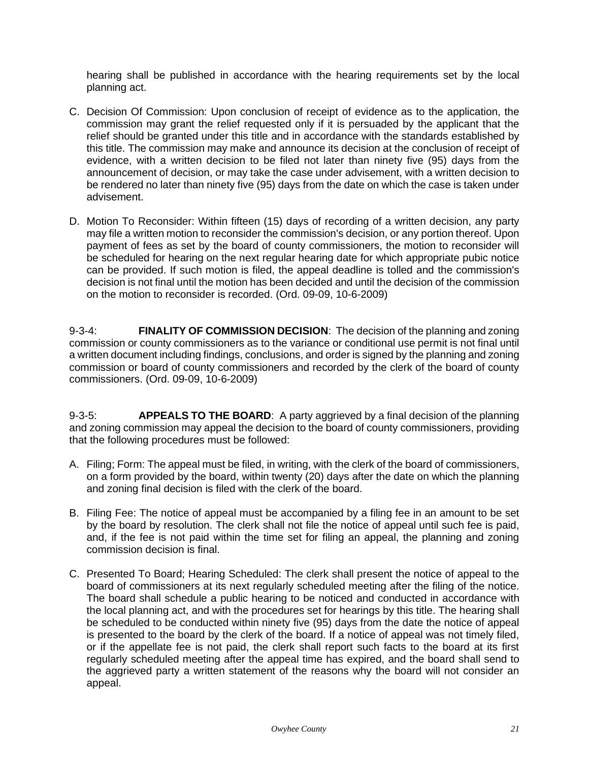hearing shall be published in accordance with the hearing requirements set by the local planning act.

- C. Decision Of Commission: Upon conclusion of receipt of evidence as to the application, the commission may grant the relief requested only if it is persuaded by the applicant that the relief should be granted under this title and in accordance with the standards established by this title. The commission may make and announce its decision at the conclusion of receipt of evidence, with a written decision to be filed not later than ninety five (95) days from the announcement of decision, or may take the case under advisement, with a written decision to be rendered no later than ninety five (95) days from the date on which the case is taken under advisement.
- D. Motion To Reconsider: Within fifteen (15) days of recording of a written decision, any party may file a written motion to reconsider the commission's decision, or any portion thereof. Upon payment of fees as set by the board of county commissioners, the motion to reconsider will be scheduled for hearing on the next regular hearing date for which appropriate pubic notice can be provided. If such motion is filed, the appeal deadline is tolled and the commission's decision is not final until the motion has been decided and until the decision of the commission on the motion to reconsider is recorded. (Ord. 09-09, 10-6-2009)

9-3-4: **FINALITY OF COMMISSION DECISION**: The decision of the planning and zoning commission or county commissioners as to the variance or conditional use permit is not final until a written document including findings, conclusions, and order is signed by the planning and zoning commission or board of county commissioners and recorded by the clerk of the board of county commissioners. (Ord. 09-09, 10-6-2009)

9-3-5: **APPEALS TO THE BOARD**: A party aggrieved by a final decision of the planning and zoning commission may appeal the decision to the board of county commissioners, providing that the following procedures must be followed:

- A. Filing; Form: The appeal must be filed, in writing, with the clerk of the board of commissioners, on a form provided by the board, within twenty (20) days after the date on which the planning and zoning final decision is filed with the clerk of the board.
- B. Filing Fee: The notice of appeal must be accompanied by a filing fee in an amount to be set by the board by resolution. The clerk shall not file the notice of appeal until such fee is paid, and, if the fee is not paid within the time set for filing an appeal, the planning and zoning commission decision is final.
- C. Presented To Board; Hearing Scheduled: The clerk shall present the notice of appeal to the board of commissioners at its next regularly scheduled meeting after the filing of the notice. The board shall schedule a public hearing to be noticed and conducted in accordance with the local planning act, and with the procedures set for hearings by this title. The hearing shall be scheduled to be conducted within ninety five (95) days from the date the notice of appeal is presented to the board by the clerk of the board. If a notice of appeal was not timely filed, or if the appellate fee is not paid, the clerk shall report such facts to the board at its first regularly scheduled meeting after the appeal time has expired, and the board shall send to the aggrieved party a written statement of the reasons why the board will not consider an appeal.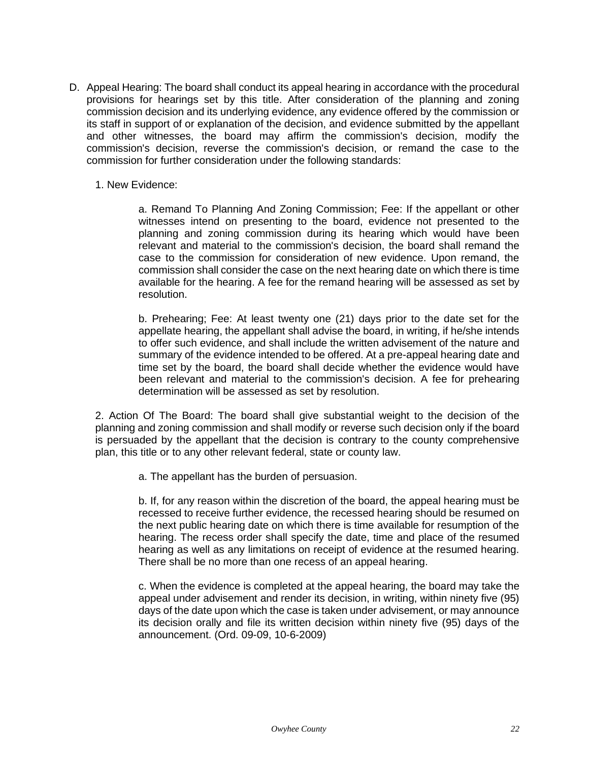- D. Appeal Hearing: The board shall conduct its appeal hearing in accordance with the procedural provisions for hearings set by this title. After consideration of the planning and zoning commission decision and its underlying evidence, any evidence offered by the commission or its staff in support of or explanation of the decision, and evidence submitted by the appellant and other witnesses, the board may affirm the commission's decision, modify the commission's decision, reverse the commission's decision, or remand the case to the commission for further consideration under the following standards:
	- 1. New Evidence:

a. Remand To Planning And Zoning Commission; Fee: If the appellant or other witnesses intend on presenting to the board, evidence not presented to the planning and zoning commission during its hearing which would have been relevant and material to the commission's decision, the board shall remand the case to the commission for consideration of new evidence. Upon remand, the commission shall consider the case on the next hearing date on which there is time available for the hearing. A fee for the remand hearing will be assessed as set by resolution.

b. Prehearing; Fee: At least twenty one (21) days prior to the date set for the appellate hearing, the appellant shall advise the board, in writing, if he/she intends to offer such evidence, and shall include the written advisement of the nature and summary of the evidence intended to be offered. At a pre-appeal hearing date and time set by the board, the board shall decide whether the evidence would have been relevant and material to the commission's decision. A fee for prehearing determination will be assessed as set by resolution.

2. Action Of The Board: The board shall give substantial weight to the decision of the planning and zoning commission and shall modify or reverse such decision only if the board is persuaded by the appellant that the decision is contrary to the county comprehensive plan, this title or to any other relevant federal, state or county law.

a. The appellant has the burden of persuasion.

b. If, for any reason within the discretion of the board, the appeal hearing must be recessed to receive further evidence, the recessed hearing should be resumed on the next public hearing date on which there is time available for resumption of the hearing. The recess order shall specify the date, time and place of the resumed hearing as well as any limitations on receipt of evidence at the resumed hearing. There shall be no more than one recess of an appeal hearing.

c. When the evidence is completed at the appeal hearing, the board may take the appeal under advisement and render its decision, in writing, within ninety five (95) days of the date upon which the case is taken under advisement, or may announce its decision orally and file its written decision within ninety five (95) days of the announcement. (Ord. 09-09, 10-6-2009)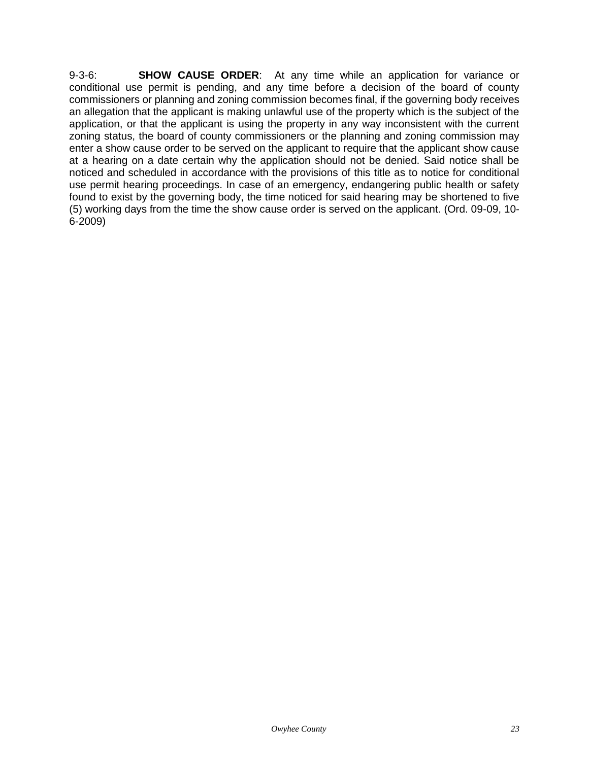9-3-6: **SHOW CAUSE ORDER**: At any time while an application for variance or conditional use permit is pending, and any time before a decision of the board of county commissioners or planning and zoning commission becomes final, if the governing body receives an allegation that the applicant is making unlawful use of the property which is the subject of the application, or that the applicant is using the property in any way inconsistent with the current zoning status, the board of county commissioners or the planning and zoning commission may enter a show cause order to be served on the applicant to require that the applicant show cause at a hearing on a date certain why the application should not be denied. Said notice shall be noticed and scheduled in accordance with the provisions of this title as to notice for conditional use permit hearing proceedings. In case of an emergency, endangering public health or safety found to exist by the governing body, the time noticed for said hearing may be shortened to five (5) working days from the time the show cause order is served on the applicant. (Ord. 09-09, 10- 6-2009)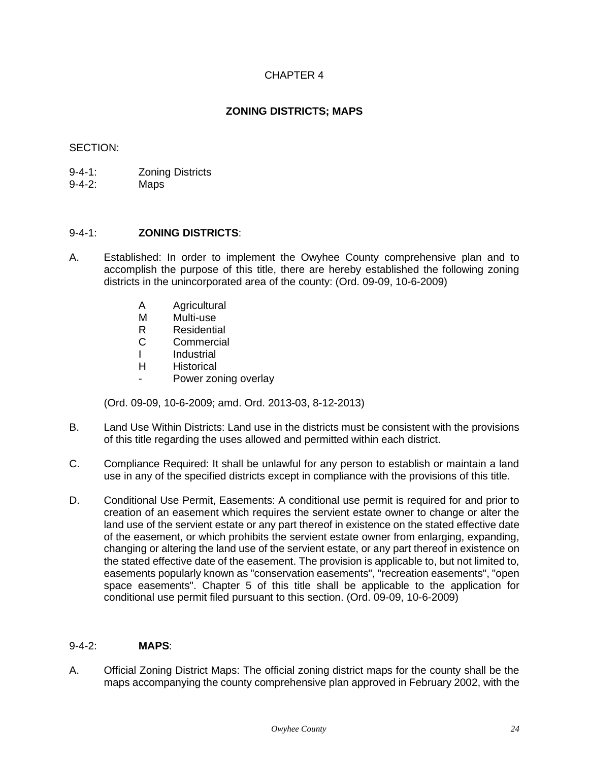# CHAPTER 4

# **ZONING DISTRICTS; MAPS**

# <span id="page-23-0"></span>SECTION:

- 9-4-1: Zoning Districts
- 9-4-2: Maps

# 9-4-1: **ZONING DISTRICTS**:

- A. Established: In order to implement the Owyhee County comprehensive plan and to accomplish the purpose of this title, there are hereby established the following zoning districts in the unincorporated area of the county: (Ord. 09-09, 10-6-2009)
	- A Agricultural
	- M Multi-use
	- R Residential
	- C Commercial
	- I Industrial
	- H Historical
		- Power zoning overlay

(Ord. 09-09, 10-6-2009; amd. Ord. 2013-03, 8-12-2013)

- B. Land Use Within Districts: Land use in the districts must be consistent with the provisions of this title regarding the uses allowed and permitted within each district.
- C. Compliance Required: It shall be unlawful for any person to establish or maintain a land use in any of the specified districts except in compliance with the provisions of this title.
- D. Conditional Use Permit, Easements: A conditional use permit is required for and prior to creation of an easement which requires the servient estate owner to change or alter the land use of the servient estate or any part thereof in existence on the stated effective date of the easement, or which prohibits the servient estate owner from enlarging, expanding, changing or altering the land use of the servient estate, or any part thereof in existence on the stated effective date of the easement. The provision is applicable to, but not limited to, easements popularly known as "conservation easements", "recreation easements", "open space easements". Chapter 5 of this title shall be applicable to the application for conditional use permit filed pursuant to this section. (Ord. 09-09, 10-6-2009)

# 9-4-2: **MAPS**:

A. Official Zoning District Maps: The official zoning district maps for the county shall be the maps accompanying the county comprehensive plan approved in February 2002, with the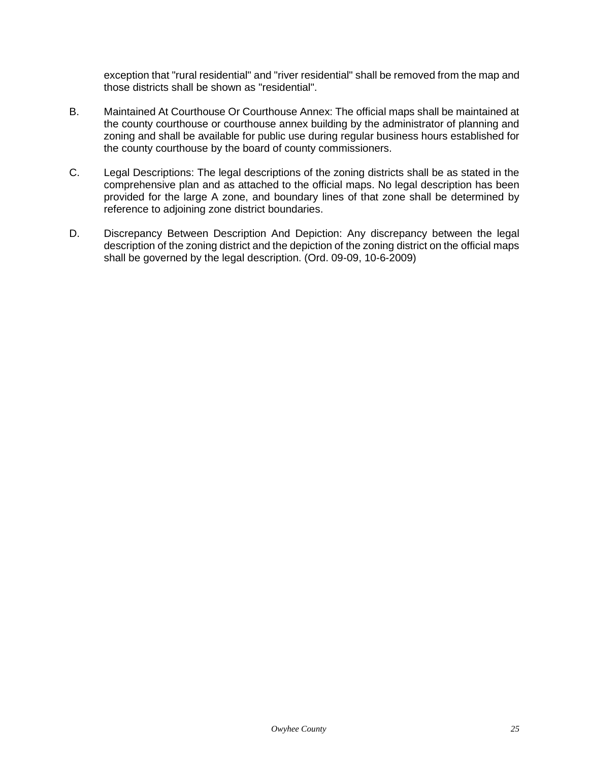exception that "rural residential" and "river residential" shall be removed from the map and those districts shall be shown as "residential".

- B. Maintained At Courthouse Or Courthouse Annex: The official maps shall be maintained at the county courthouse or courthouse annex building by the administrator of planning and zoning and shall be available for public use during regular business hours established for the county courthouse by the board of county commissioners.
- C. Legal Descriptions: The legal descriptions of the zoning districts shall be as stated in the comprehensive plan and as attached to the official maps. No legal description has been provided for the large A zone, and boundary lines of that zone shall be determined by reference to adjoining zone district boundaries.
- D. Discrepancy Between Description And Depiction: Any discrepancy between the legal description of the zoning district and the depiction of the zoning district on the official maps shall be governed by the legal description. (Ord. 09-09, 10-6-2009)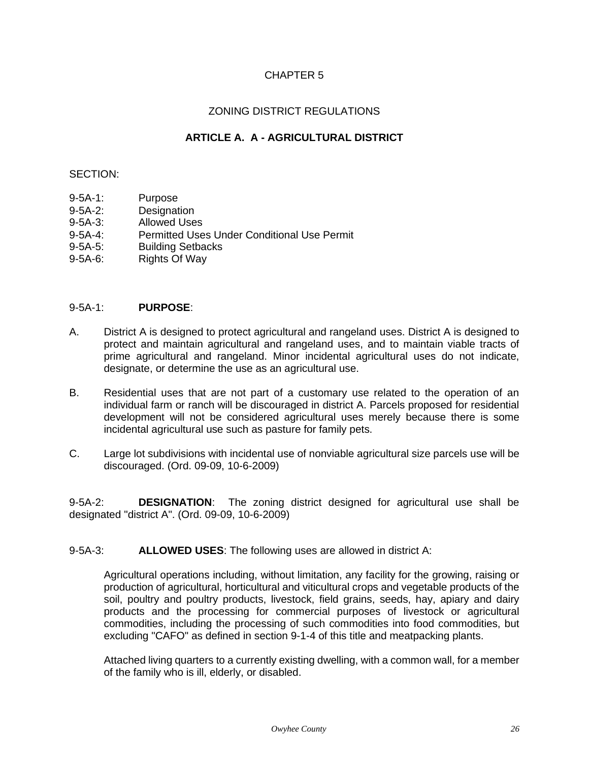# CHAPTER 5

# ZONING DISTRICT REGULATIONS

# **ARTICLE A. A - AGRICULTURAL DISTRICT**

# <span id="page-25-1"></span><span id="page-25-0"></span>SECTION:

- 9-5A-1: Purpose
- 9-5A-2: Designation
- 9-5A-3: Allowed Uses
- 9-5A-4: Permitted Uses Under Conditional Use Permit
- 9-5A-5: Building Setbacks
- 9-5A-6: Rights Of Way

# 9-5A-1: **PURPOSE**:

- A. District A is designed to protect agricultural and rangeland uses. District A is designed to protect and maintain agricultural and rangeland uses, and to maintain viable tracts of prime agricultural and rangeland. Minor incidental agricultural uses do not indicate, designate, or determine the use as an agricultural use.
- B. Residential uses that are not part of a customary use related to the operation of an individual farm or ranch will be discouraged in district A. Parcels proposed for residential development will not be considered agricultural uses merely because there is some incidental agricultural use such as pasture for family pets.
- C. Large lot subdivisions with incidental use of nonviable agricultural size parcels use will be discouraged. (Ord. 09-09, 10-6-2009)

9-5A-2: **DESIGNATION**: The zoning district designed for agricultural use shall be designated "district A". (Ord. 09-09, 10-6-2009)

9-5A-3: **ALLOWED USES**: The following uses are allowed in district A:

Agricultural operations including, without limitation, any facility for the growing, raising or production of agricultural, horticultural and viticultural crops and vegetable products of the soil, poultry and poultry products, livestock, field grains, seeds, hay, apiary and dairy products and the processing for commercial purposes of livestock or agricultural commodities, including the processing of such commodities into food commodities, but excluding "CAFO" as defined in section 9-1-4 of this title and meatpacking plants.

Attached living quarters to a currently existing dwelling, with a common wall, for a member of the family who is ill, elderly, or disabled.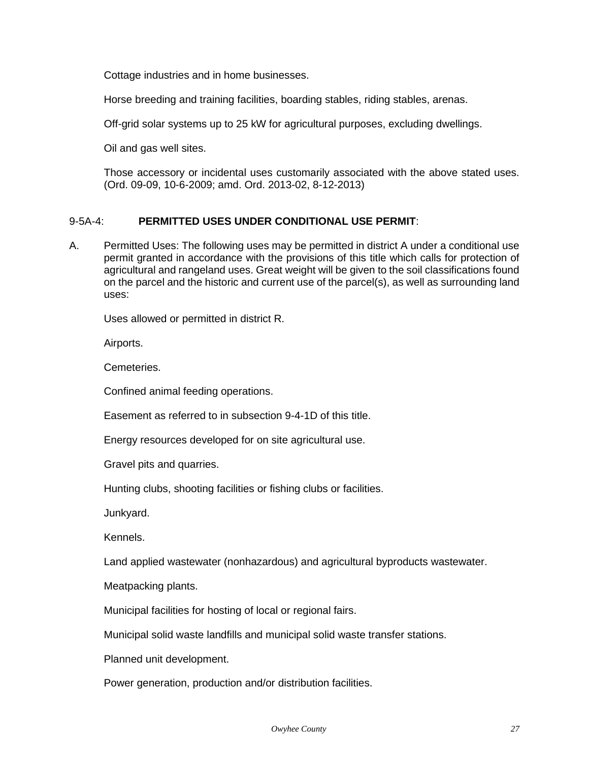Cottage industries and in home businesses.

Horse breeding and training facilities, boarding stables, riding stables, arenas.

Off-grid solar systems up to 25 kW for agricultural purposes, excluding dwellings.

Oil and gas well sites.

Those accessory or incidental uses customarily associated with the above stated uses. (Ord. 09-09, 10-6-2009; amd. Ord. 2013-02, 8-12-2013)

# 9-5A-4: **PERMITTED USES UNDER CONDITIONAL USE PERMIT**:

A. Permitted Uses: The following uses may be permitted in district A under a conditional use permit granted in accordance with the provisions of this title which calls for protection of agricultural and rangeland uses. Great weight will be given to the soil classifications found on the parcel and the historic and current use of the parcel(s), as well as surrounding land uses:

Uses allowed or permitted in district R.

Airports.

Cemeteries.

Confined animal feeding operations.

Easement as referred to in subsection 9-4-1D of this title.

Energy resources developed for on site agricultural use.

Gravel pits and quarries.

Hunting clubs, shooting facilities or fishing clubs or facilities.

Junkyard.

Kennels.

Land applied wastewater (nonhazardous) and agricultural byproducts wastewater.

Meatpacking plants.

Municipal facilities for hosting of local or regional fairs.

Municipal solid waste landfills and municipal solid waste transfer stations.

Planned unit development.

Power generation, production and/or distribution facilities.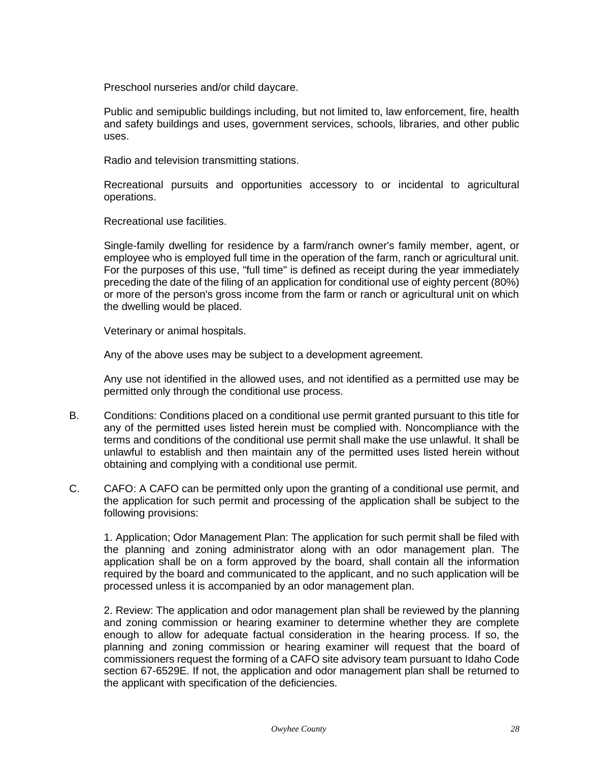Preschool nurseries and/or child daycare.

Public and semipublic buildings including, but not limited to, law enforcement, fire, health and safety buildings and uses, government services, schools, libraries, and other public uses.

Radio and television transmitting stations.

Recreational pursuits and opportunities accessory to or incidental to agricultural operations.

Recreational use facilities.

Single-family dwelling for residence by a farm/ranch owner's family member, agent, or employee who is employed full time in the operation of the farm, ranch or agricultural unit. For the purposes of this use, "full time" is defined as receipt during the year immediately preceding the date of the filing of an application for conditional use of eighty percent (80%) or more of the person's gross income from the farm or ranch or agricultural unit on which the dwelling would be placed.

Veterinary or animal hospitals.

Any of the above uses may be subject to a development agreement.

Any use not identified in the allowed uses, and not identified as a permitted use may be permitted only through the conditional use process.

- B. Conditions: Conditions placed on a conditional use permit granted pursuant to this title for any of the permitted uses listed herein must be complied with. Noncompliance with the terms and conditions of the conditional use permit shall make the use unlawful. It shall be unlawful to establish and then maintain any of the permitted uses listed herein without obtaining and complying with a conditional use permit.
- C. CAFO: A CAFO can be permitted only upon the granting of a conditional use permit, and the application for such permit and processing of the application shall be subject to the following provisions:

1. Application; Odor Management Plan: The application for such permit shall be filed with the planning and zoning administrator along with an odor management plan. The application shall be on a form approved by the board, shall contain all the information required by the board and communicated to the applicant, and no such application will be processed unless it is accompanied by an odor management plan.

2. Review: The application and odor management plan shall be reviewed by the planning and zoning commission or hearing examiner to determine whether they are complete enough to allow for adequate factual consideration in the hearing process. If so, the planning and zoning commission or hearing examiner will request that the board of commissioners request the forming of a CAFO site advisory team pursuant to Idaho Code section 67-6529E. If not, the application and odor management plan shall be returned to the applicant with specification of the deficiencies.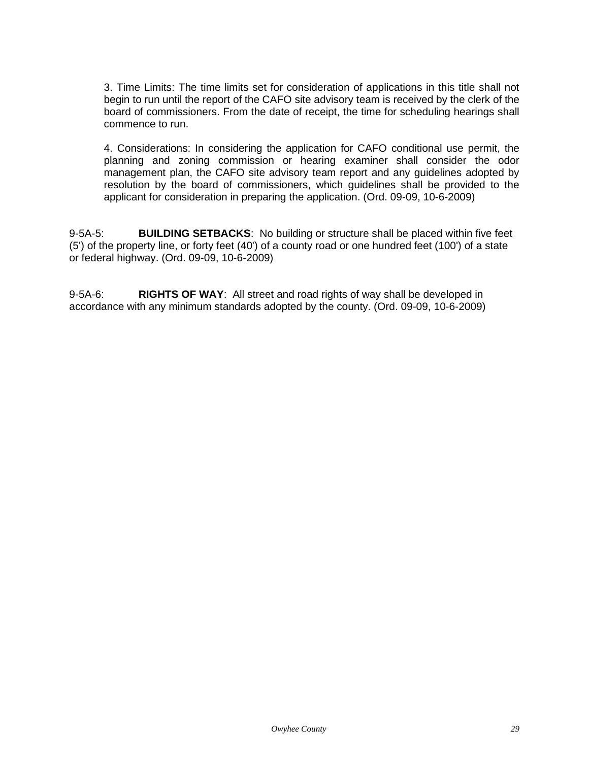3. Time Limits: The time limits set for consideration of applications in this title shall not begin to run until the report of the CAFO site advisory team is received by the clerk of the board of commissioners. From the date of receipt, the time for scheduling hearings shall commence to run.

4. Considerations: In considering the application for CAFO conditional use permit, the planning and zoning commission or hearing examiner shall consider the odor management plan, the CAFO site advisory team report and any guidelines adopted by resolution by the board of commissioners, which guidelines shall be provided to the applicant for consideration in preparing the application. (Ord. 09-09, 10-6-2009)

9-5A-5: **BUILDING SETBACKS**: No building or structure shall be placed within five feet (5') of the property line, or forty feet (40') of a county road or one hundred feet (100') of a state or federal highway. (Ord. 09-09, 10-6-2009)

9-5A-6: **RIGHTS OF WAY**: All street and road rights of way shall be developed in accordance with any minimum standards adopted by the county. (Ord. 09-09, 10-6-2009)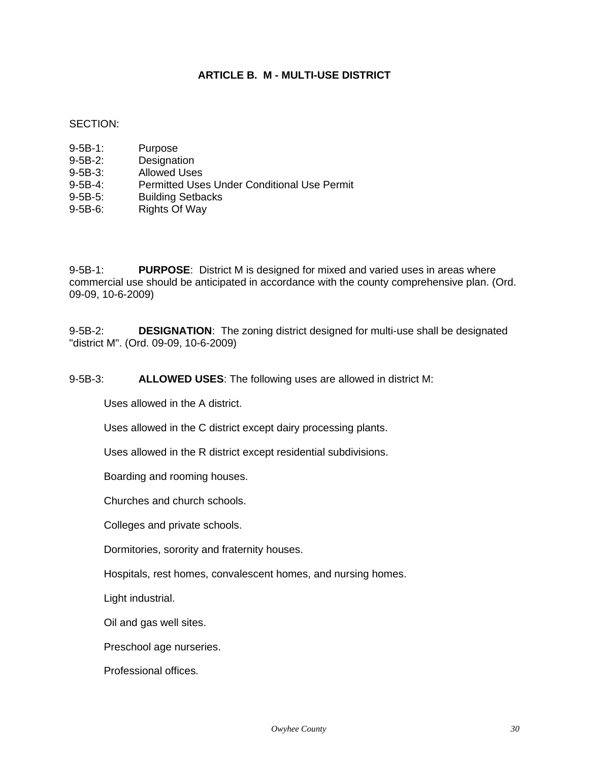# **ARTICLE B. M - MULTI-USE DISTRICT**

#### <span id="page-29-0"></span>SECTION:

- 9-5B-1: Purpose
- 9-5B-2: Designation
- 9-5B-3: Allowed Uses
- 9-5B-4: Permitted Uses Under Conditional Use Permit
- 9-5B-5: Building Setbacks
- 9-5B-6: Rights Of Way

9-5B-1: **PURPOSE**: District M is designed for mixed and varied uses in areas where commercial use should be anticipated in accordance with the county comprehensive plan. (Ord. 09-09, 10-6-2009)

9-5B-2: **DESIGNATION**: The zoning district designed for multi-use shall be designated "district M". (Ord. 09-09, 10-6-2009)

9-5B-3: **ALLOWED USES**: The following uses are allowed in district M:

Uses allowed in the A district.

Uses allowed in the C district except dairy processing plants.

Uses allowed in the R district except residential subdivisions.

Boarding and rooming houses.

Churches and church schools.

Colleges and private schools.

Dormitories, sorority and fraternity houses.

Hospitals, rest homes, convalescent homes, and nursing homes.

Light industrial.

Oil and gas well sites.

Preschool age nurseries.

Professional offices.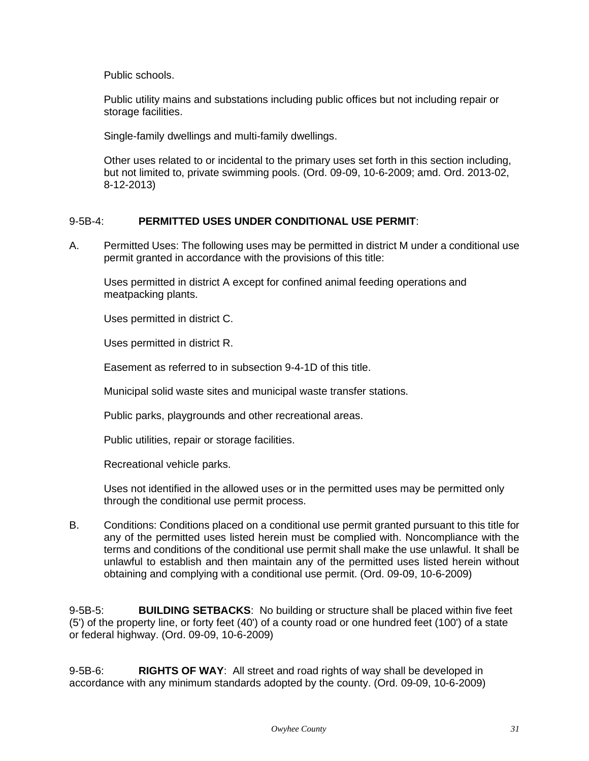Public schools.

Public utility mains and substations including public offices but not including repair or storage facilities.

Single-family dwellings and multi-family dwellings.

Other uses related to or incidental to the primary uses set forth in this section including, but not limited to, private swimming pools. (Ord. 09-09, 10-6-2009; amd. Ord. 2013-02, 8-12-2013)

# 9-5B-4: **PERMITTED USES UNDER CONDITIONAL USE PERMIT**:

A. Permitted Uses: The following uses may be permitted in district M under a conditional use permit granted in accordance with the provisions of this title:

Uses permitted in district A except for confined animal feeding operations and meatpacking plants.

Uses permitted in district C.

Uses permitted in district R.

Easement as referred to in subsection 9-4-1D of this title.

Municipal solid waste sites and municipal waste transfer stations.

Public parks, playgrounds and other recreational areas.

Public utilities, repair or storage facilities.

Recreational vehicle parks.

Uses not identified in the allowed uses or in the permitted uses may be permitted only through the conditional use permit process.

B. Conditions: Conditions placed on a conditional use permit granted pursuant to this title for any of the permitted uses listed herein must be complied with. Noncompliance with the terms and conditions of the conditional use permit shall make the use unlawful. It shall be unlawful to establish and then maintain any of the permitted uses listed herein without obtaining and complying with a conditional use permit. (Ord. 09-09, 10-6-2009)

9-5B-5: **BUILDING SETBACKS**: No building or structure shall be placed within five feet (5') of the property line, or forty feet (40') of a county road or one hundred feet (100') of a state or federal highway. (Ord. 09-09, 10-6-2009)

9-5B-6: **RIGHTS OF WAY**: All street and road rights of way shall be developed in accordance with any minimum standards adopted by the county. (Ord. 09-09, 10-6-2009)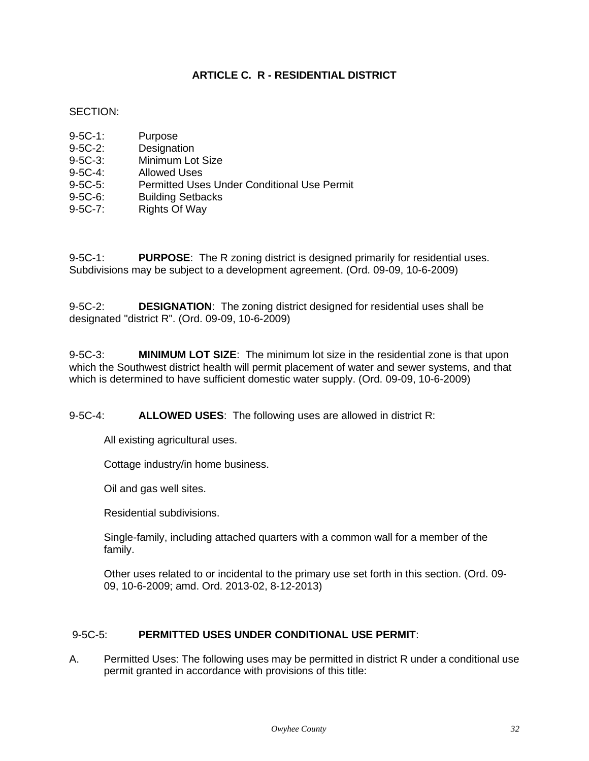# **ARTICLE C. R - RESIDENTIAL DISTRICT**

# <span id="page-31-0"></span>SECTION:

| $9 - 5C - 1$ : | Purpose                                            |
|----------------|----------------------------------------------------|
| $9-5C-2$ :     | Designation                                        |
| $9 - 5C - 3$ : | Minimum Lot Size                                   |
| $9-5C-4$ :     | <b>Allowed Uses</b>                                |
| $9-5C-5$ :     | <b>Permitted Uses Under Conditional Use Permit</b> |
| $9 - 5C - 6$ : | <b>Building Setbacks</b>                           |
| $9-5C-7$ :     | <b>Rights Of Way</b>                               |
|                |                                                    |

9-5C-1: **PURPOSE**: The R zoning district is designed primarily for residential uses. Subdivisions may be subject to a development agreement. (Ord. 09-09, 10-6-2009)

9-5C-2: **DESIGNATION**: The zoning district designed for residential uses shall be designated "district R". (Ord. 09-09, 10-6-2009)

9-5C-3: **MINIMUM LOT SIZE**: The minimum lot size in the residential zone is that upon which the Southwest district health will permit placement of water and sewer systems, and that which is determined to have sufficient domestic water supply. (Ord. 09-09, 10-6-2009)

9-5C-4: **ALLOWED USES**: The following uses are allowed in district R:

All existing agricultural uses.

Cottage industry/in home business.

Oil and gas well sites.

Residential subdivisions.

Single-family, including attached quarters with a common wall for a member of the family.

Other uses related to or incidental to the primary use set forth in this section. (Ord. 09- 09, 10-6-2009; amd. Ord. 2013-02, 8-12-2013)

# 9-5C-5: **PERMITTED USES UNDER CONDITIONAL USE PERMIT**:

A. Permitted Uses: The following uses may be permitted in district R under a conditional use permit granted in accordance with provisions of this title: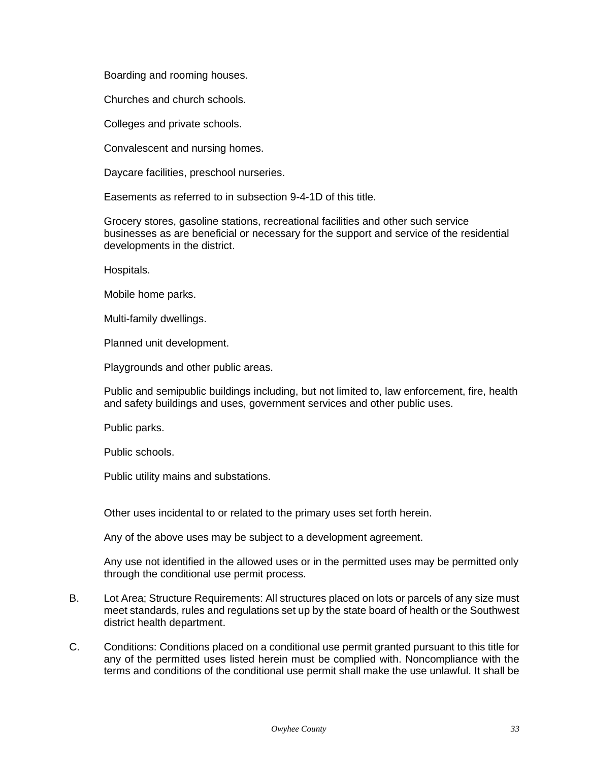Boarding and rooming houses.

Churches and church schools.

Colleges and private schools.

Convalescent and nursing homes.

Daycare facilities, preschool nurseries.

Easements as referred to in subsection 9-4-1D of this title.

Grocery stores, gasoline stations, recreational facilities and other such service businesses as are beneficial or necessary for the support and service of the residential developments in the district.

Hospitals.

Mobile home parks.

Multi-family dwellings.

Planned unit development.

Playgrounds and other public areas.

Public and semipublic buildings including, but not limited to, law enforcement, fire, health and safety buildings and uses, government services and other public uses.

Public parks.

Public schools.

Public utility mains and substations.

Other uses incidental to or related to the primary uses set forth herein.

Any of the above uses may be subject to a development agreement.

Any use not identified in the allowed uses or in the permitted uses may be permitted only through the conditional use permit process.

- B. Lot Area; Structure Requirements: All structures placed on lots or parcels of any size must meet standards, rules and regulations set up by the state board of health or the Southwest district health department.
- C. Conditions: Conditions placed on a conditional use permit granted pursuant to this title for any of the permitted uses listed herein must be complied with. Noncompliance with the terms and conditions of the conditional use permit shall make the use unlawful. It shall be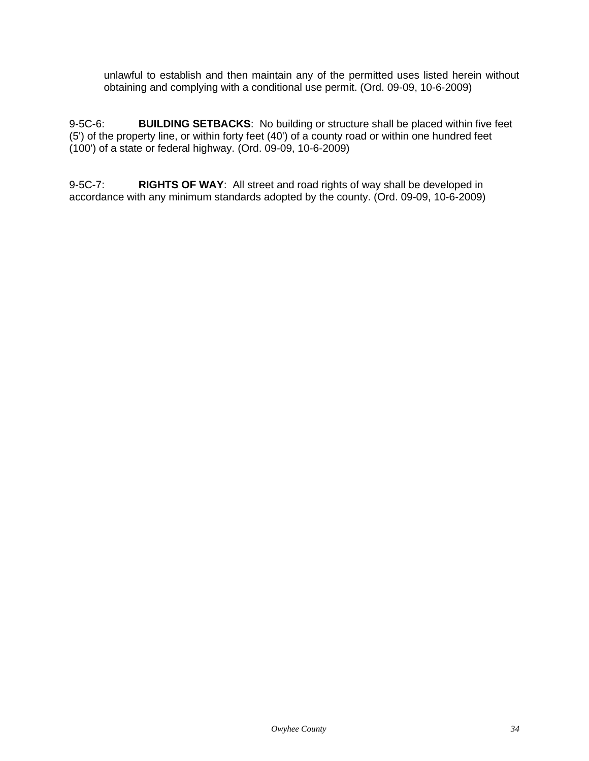unlawful to establish and then maintain any of the permitted uses listed herein without obtaining and complying with a conditional use permit. (Ord. 09-09, 10-6-2009)

9-5C-6: **BUILDING SETBACKS**: No building or structure shall be placed within five feet (5') of the property line, or within forty feet (40') of a county road or within one hundred feet (100') of a state or federal highway. (Ord. 09-09, 10-6-2009)

9-5C-7: **RIGHTS OF WAY**: All street and road rights of way shall be developed in accordance with any minimum standards adopted by the county. (Ord. 09-09, 10-6-2009)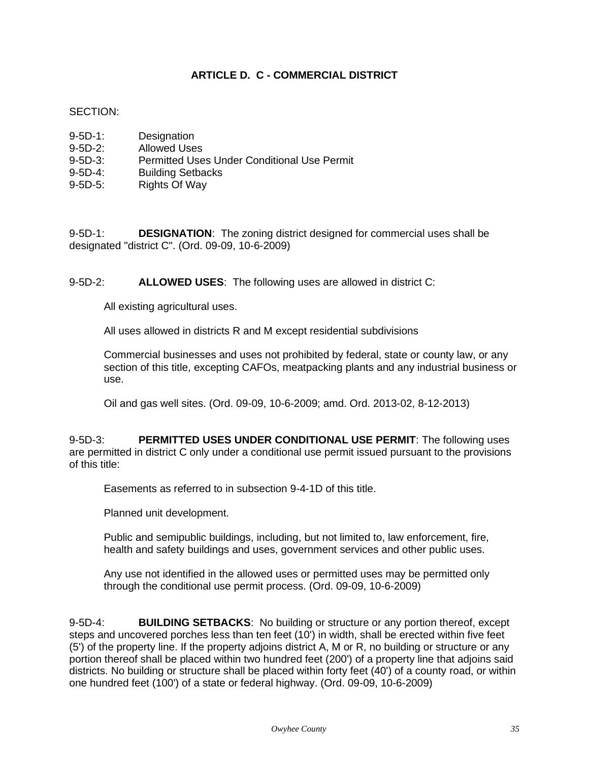# **ARTICLE D. C - COMMERCIAL DISTRICT**

# <span id="page-34-0"></span>SECTION:

| $9 - 5D - 1$ | Designation                                 |
|--------------|---------------------------------------------|
| $9-5D-2$ :   | <b>Allowed Uses</b>                         |
| $9-5D-3$ :   | Permitted Uses Under Conditional Use Permit |
| $9-5D-4$     | <b>Building Setbacks</b>                    |
| $9-5D-5$ :   | <b>Rights Of Way</b>                        |

9-5D-1: **DESIGNATION**: The zoning district designed for commercial uses shall be designated "district C". (Ord. 09-09, 10-6-2009)

9-5D-2: **ALLOWED USES**: The following uses are allowed in district C:

All existing agricultural uses.

All uses allowed in districts R and M except residential subdivisions

Commercial businesses and uses not prohibited by federal, state or county law, or any section of this title, excepting CAFOs, meatpacking plants and any industrial business or use.

Oil and gas well sites. (Ord. 09-09, 10-6-2009; amd. Ord. 2013-02, 8-12-2013)

9-5D-3: **PERMITTED USES UNDER CONDITIONAL USE PERMIT**: The following uses are permitted in district C only under a conditional use permit issued pursuant to the provisions of this title:

Easements as referred to in subsection 9-4-1D of this title.

Planned unit development.

Public and semipublic buildings, including, but not limited to, law enforcement, fire, health and safety buildings and uses, government services and other public uses.

Any use not identified in the allowed uses or permitted uses may be permitted only through the conditional use permit process. (Ord. 09-09, 10-6-2009)

9-5D-4: **BUILDING SETBACKS**: No building or structure or any portion thereof, except steps and uncovered porches less than ten feet (10') in width, shall be erected within five feet (5') of the property line. If the property adjoins district A, M or R, no building or structure or any portion thereof shall be placed within two hundred feet (200') of a property line that adjoins said districts. No building or structure shall be placed within forty feet (40') of a county road, or within one hundred feet (100') of a state or federal highway. (Ord. 09-09, 10-6-2009)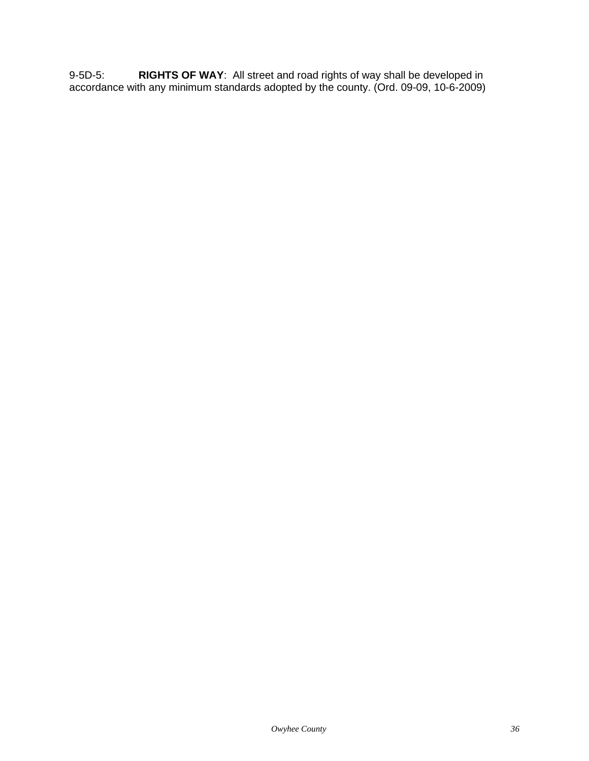9-5D-5: **RIGHTS OF WAY**: All street and road rights of way shall be developed in accordance with any minimum standards adopted by the county. (Ord. 09-09, 10-6-2009)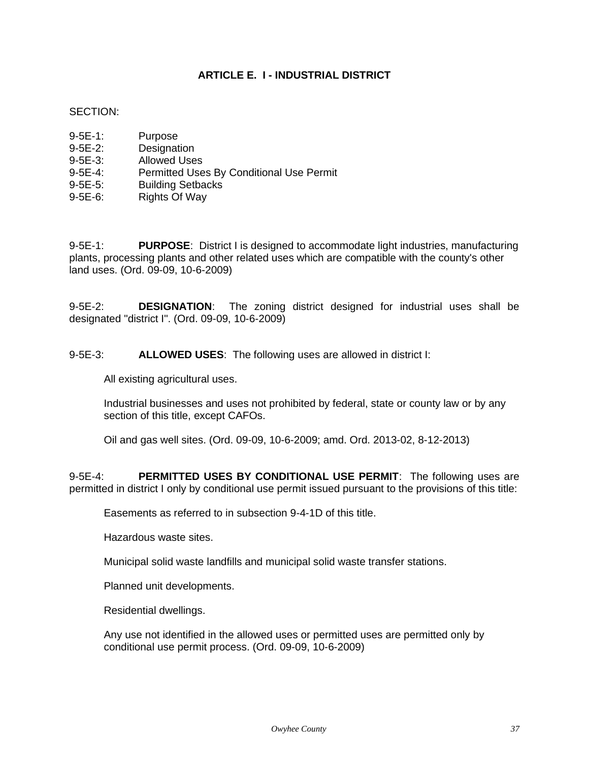# **ARTICLE E. I - INDUSTRIAL DISTRICT**

## SECTION:

- 9-5E-2: Designation
- 9-5E-3: Allowed Uses
- 9-5E-4: Permitted Uses By Conditional Use Permit
- 9-5E-5: Building Setbacks
- 9-5E-6: Rights Of Way

9-5E-1: **PURPOSE**: District I is designed to accommodate light industries, manufacturing plants, processing plants and other related uses which are compatible with the county's other land uses. (Ord. 09-09, 10-6-2009)

9-5E-2: **DESIGNATION**: The zoning district designed for industrial uses shall be designated "district I". (Ord. 09-09, 10-6-2009)

9-5E-3: **ALLOWED USES**: The following uses are allowed in district I:

All existing agricultural uses.

Industrial businesses and uses not prohibited by federal, state or county law or by any section of this title, except CAFOs.

Oil and gas well sites. (Ord. 09-09, 10-6-2009; amd. Ord. 2013-02, 8-12-2013)

9-5E-4: **PERMITTED USES BY CONDITIONAL USE PERMIT**: The following uses are permitted in district I only by conditional use permit issued pursuant to the provisions of this title:

Easements as referred to in subsection 9-4-1D of this title.

Hazardous waste sites.

Municipal solid waste landfills and municipal solid waste transfer stations.

Planned unit developments.

Residential dwellings.

Any use not identified in the allowed uses or permitted uses are permitted only by conditional use permit process. (Ord. 09-09, 10-6-2009)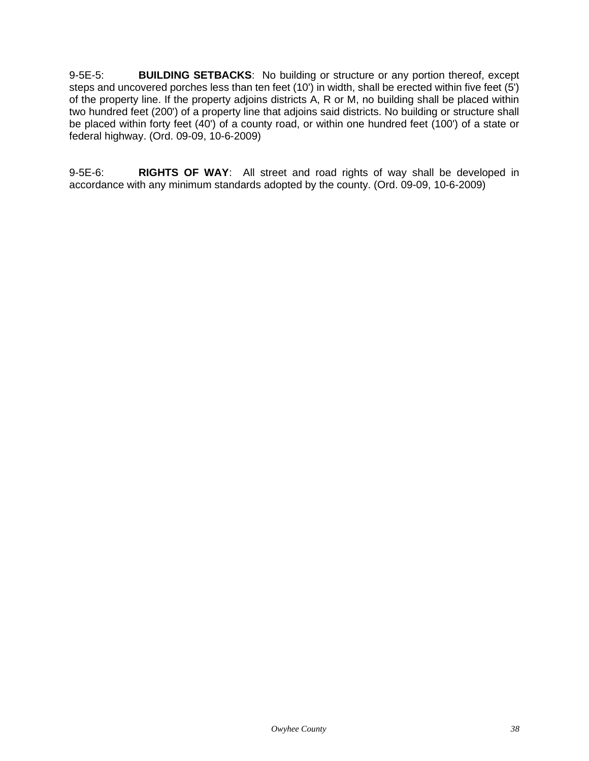9-5E-5: **BUILDING SETBACKS**: No building or structure or any portion thereof, except steps and uncovered porches less than ten feet (10') in width, shall be erected within five feet (5') of the property line. If the property adjoins districts A, R or M, no building shall be placed within two hundred feet (200') of a property line that adjoins said districts. No building or structure shall be placed within forty feet (40') of a county road, or within one hundred feet (100') of a state or federal highway. (Ord. 09-09, 10-6-2009)

9-5E-6: **RIGHTS OF WAY**: All street and road rights of way shall be developed in accordance with any minimum standards adopted by the county. (Ord. 09-09, 10-6-2009)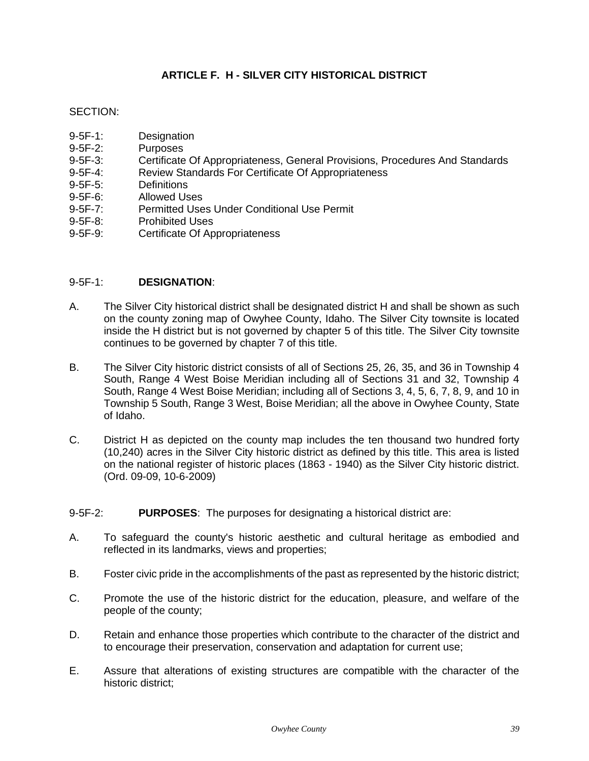# **ARTICLE F. H - SILVER CITY HISTORICAL DISTRICT**

# SECTION:

- 9-5F-1: Designation
- 9-5F-2: Purposes
- 9-5F-3: Certificate Of Appropriateness, General Provisions, Procedures And Standards
- 9-5F-4: Review Standards For Certificate Of Appropriateness
- 9-5F-5: Definitions
- 9-5F-6: Allowed Uses
- 9-5F-7: Permitted Uses Under Conditional Use Permit
- 9-5F-8: Prohibited Uses
- 9-5F-9: Certificate Of Appropriateness

# 9-5F-1: **DESIGNATION**:

- A. The Silver City historical district shall be designated district H and shall be shown as such on the county zoning map of Owyhee County, Idaho. The Silver City townsite is located inside the H district but is not governed by chapter 5 of this title. The Silver City townsite continues to be governed by chapter 7 of this title.
- B. The Silver City historic district consists of all of Sections 25, 26, 35, and 36 in Township 4 South, Range 4 West Boise Meridian including all of Sections 31 and 32, Township 4 South, Range 4 West Boise Meridian; including all of Sections 3, 4, 5, 6, 7, 8, 9, and 10 in Township 5 South, Range 3 West, Boise Meridian; all the above in Owyhee County, State of Idaho.
- C. District H as depicted on the county map includes the ten thousand two hundred forty (10,240) acres in the Silver City historic district as defined by this title. This area is listed on the national register of historic places (1863 - 1940) as the Silver City historic district. (Ord. 09-09, 10-6-2009)
- 9-5F-2: **PURPOSES**: The purposes for designating a historical district are:
- A. To safeguard the county's historic aesthetic and cultural heritage as embodied and reflected in its landmarks, views and properties;
- B. Foster civic pride in the accomplishments of the past as represented by the historic district;
- C. Promote the use of the historic district for the education, pleasure, and welfare of the people of the county;
- D. Retain and enhance those properties which contribute to the character of the district and to encourage their preservation, conservation and adaptation for current use;
- E. Assure that alterations of existing structures are compatible with the character of the historic district;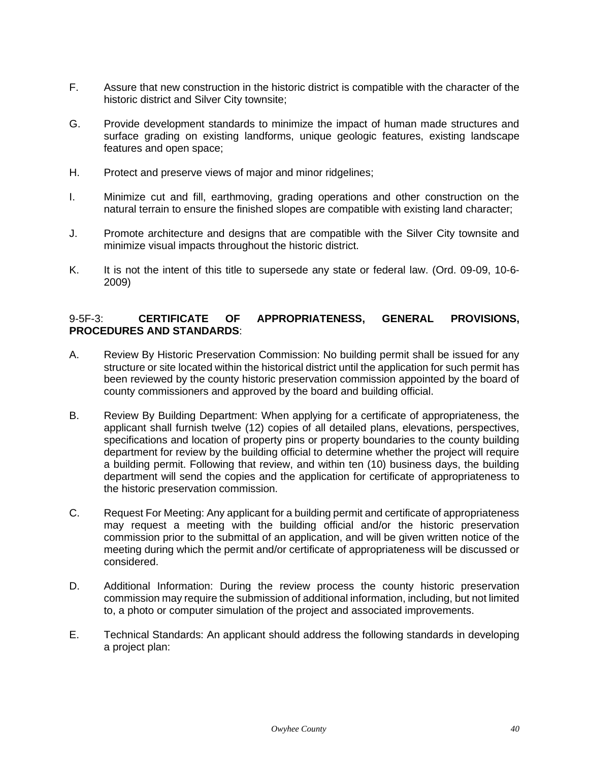- F. Assure that new construction in the historic district is compatible with the character of the historic district and Silver City townsite;
- G. Provide development standards to minimize the impact of human made structures and surface grading on existing landforms, unique geologic features, existing landscape features and open space;
- H. Protect and preserve views of major and minor ridgelines;
- I. Minimize cut and fill, earthmoving, grading operations and other construction on the natural terrain to ensure the finished slopes are compatible with existing land character;
- J. Promote architecture and designs that are compatible with the Silver City townsite and minimize visual impacts throughout the historic district.
- K. It is not the intent of this title to supersede any state or federal law. (Ord. 09-09, 10-6- 2009)

# 9-5F-3: **CERTIFICATE OF APPROPRIATENESS, GENERAL PROVISIONS, PROCEDURES AND STANDARDS**:

- A. Review By Historic Preservation Commission: No building permit shall be issued for any structure or site located within the historical district until the application for such permit has been reviewed by the county historic preservation commission appointed by the board of county commissioners and approved by the board and building official.
- B. Review By Building Department: When applying for a certificate of appropriateness, the applicant shall furnish twelve (12) copies of all detailed plans, elevations, perspectives, specifications and location of property pins or property boundaries to the county building department for review by the building official to determine whether the project will require a building permit. Following that review, and within ten (10) business days, the building department will send the copies and the application for certificate of appropriateness to the historic preservation commission.
- C. Request For Meeting: Any applicant for a building permit and certificate of appropriateness may request a meeting with the building official and/or the historic preservation commission prior to the submittal of an application, and will be given written notice of the meeting during which the permit and/or certificate of appropriateness will be discussed or considered.
- D. Additional Information: During the review process the county historic preservation commission may require the submission of additional information, including, but not limited to, a photo or computer simulation of the project and associated improvements.
- E. Technical Standards: An applicant should address the following standards in developing a project plan: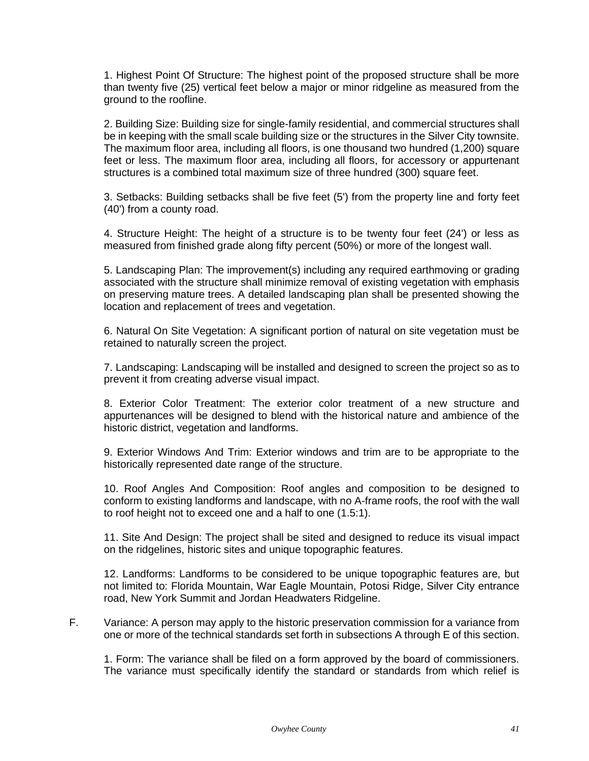1. Highest Point Of Structure: The highest point of the proposed structure shall be more than twenty five (25) vertical feet below a major or minor ridgeline as measured from the ground to the roofline.

2. Building Size: Building size for single-family residential, and commercial structures shall be in keeping with the small scale building size or the structures in the Silver City townsite. The maximum floor area, including all floors, is one thousand two hundred (1,200) square feet or less. The maximum floor area, including all floors, for accessory or appurtenant structures is a combined total maximum size of three hundred (300) square feet.

3. Setbacks: Building setbacks shall be five feet (5') from the property line and forty feet (40') from a county road.

4. Structure Height: The height of a structure is to be twenty four feet (24') or less as measured from finished grade along fifty percent (50%) or more of the longest wall.

5. Landscaping Plan: The improvement(s) including any required earthmoving or grading associated with the structure shall minimize removal of existing vegetation with emphasis on preserving mature trees. A detailed landscaping plan shall be presented showing the location and replacement of trees and vegetation.

6. Natural On Site Vegetation: A significant portion of natural on site vegetation must be retained to naturally screen the project.

7. Landscaping: Landscaping will be installed and designed to screen the project so as to prevent it from creating adverse visual impact.

8. Exterior Color Treatment: The exterior color treatment of a new structure and appurtenances will be designed to blend with the historical nature and ambience of the historic district, vegetation and landforms.

9. Exterior Windows And Trim: Exterior windows and trim are to be appropriate to the historically represented date range of the structure.

10. Roof Angles And Composition: Roof angles and composition to be designed to conform to existing landforms and landscape, with no A-frame roofs, the roof with the wall to roof height not to exceed one and a half to one (1.5:1).

11. Site And Design: The project shall be sited and designed to reduce its visual impact on the ridgelines, historic sites and unique topographic features.

12. Landforms: Landforms to be considered to be unique topographic features are, but not limited to: Florida Mountain, War Eagle Mountain, Potosi Ridge, Silver City entrance road, New York Summit and Jordan Headwaters Ridgeline.

F. Variance: A person may apply to the historic preservation commission for a variance from one or more of the technical standards set forth in subsections A through E of this section.

1. Form: The variance shall be filed on a form approved by the board of commissioners. The variance must specifically identify the standard or standards from which relief is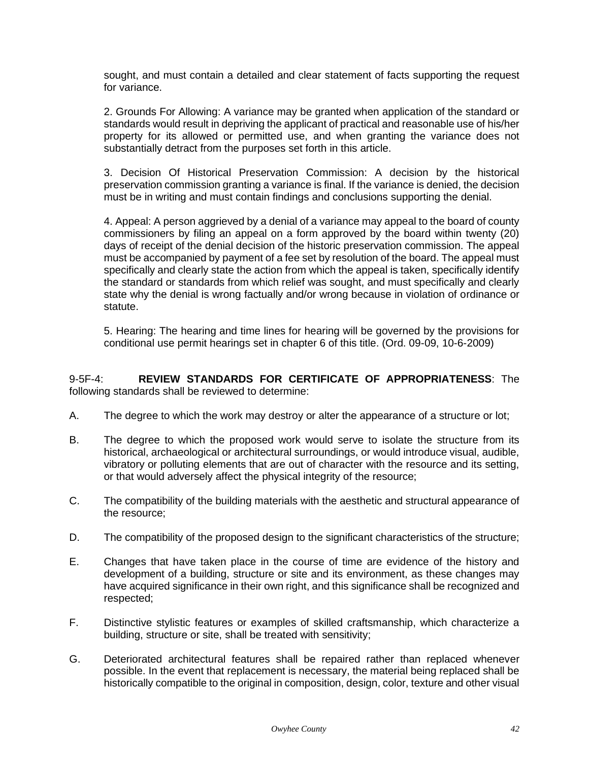sought, and must contain a detailed and clear statement of facts supporting the request for variance.

2. Grounds For Allowing: A variance may be granted when application of the standard or standards would result in depriving the applicant of practical and reasonable use of his/her property for its allowed or permitted use, and when granting the variance does not substantially detract from the purposes set forth in this article.

3. Decision Of Historical Preservation Commission: A decision by the historical preservation commission granting a variance is final. If the variance is denied, the decision must be in writing and must contain findings and conclusions supporting the denial.

4. Appeal: A person aggrieved by a denial of a variance may appeal to the board of county commissioners by filing an appeal on a form approved by the board within twenty (20) days of receipt of the denial decision of the historic preservation commission. The appeal must be accompanied by payment of a fee set by resolution of the board. The appeal must specifically and clearly state the action from which the appeal is taken, specifically identify the standard or standards from which relief was sought, and must specifically and clearly state why the denial is wrong factually and/or wrong because in violation of ordinance or statute.

5. Hearing: The hearing and time lines for hearing will be governed by the provisions for conditional use permit hearings set in chapter 6 of this title. (Ord. 09-09, 10-6-2009)

9-5F-4: **REVIEW STANDARDS FOR CERTIFICATE OF APPROPRIATENESS**: The following standards shall be reviewed to determine:

- A. The degree to which the work may destroy or alter the appearance of a structure or lot;
- B. The degree to which the proposed work would serve to isolate the structure from its historical, archaeological or architectural surroundings, or would introduce visual, audible, vibratory or polluting elements that are out of character with the resource and its setting, or that would adversely affect the physical integrity of the resource;
- C. The compatibility of the building materials with the aesthetic and structural appearance of the resource;
- D. The compatibility of the proposed design to the significant characteristics of the structure;
- E. Changes that have taken place in the course of time are evidence of the history and development of a building, structure or site and its environment, as these changes may have acquired significance in their own right, and this significance shall be recognized and respected;
- F. Distinctive stylistic features or examples of skilled craftsmanship, which characterize a building, structure or site, shall be treated with sensitivity;
- G. Deteriorated architectural features shall be repaired rather than replaced whenever possible. In the event that replacement is necessary, the material being replaced shall be historically compatible to the original in composition, design, color, texture and other visual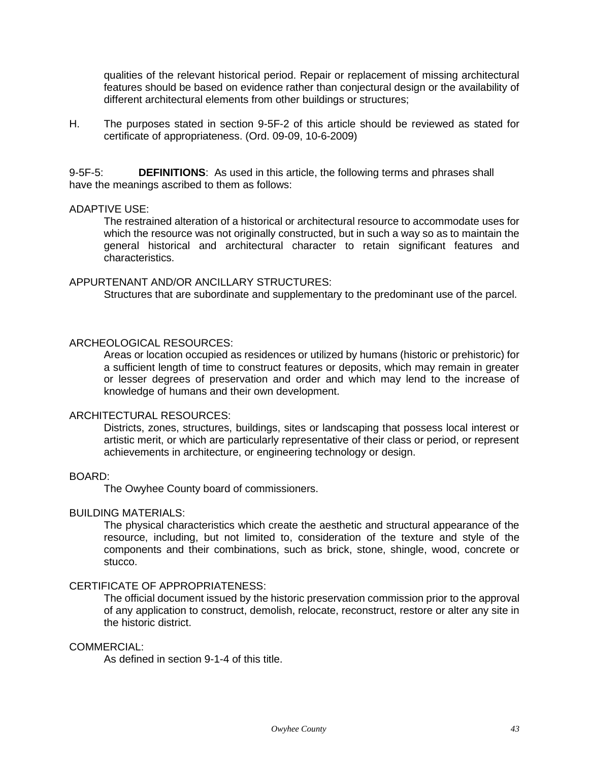qualities of the relevant historical period. Repair or replacement of missing architectural features should be based on evidence rather than conjectural design or the availability of different architectural elements from other buildings or structures;

H. The purposes stated in section 9-5F-2 of this article should be reviewed as stated for certificate of appropriateness. (Ord. 09-09, 10-6-2009)

9-5F-5: **DEFINITIONS**: As used in this article, the following terms and phrases shall have the meanings ascribed to them as follows:

#### ADAPTIVE USE:

The restrained alteration of a historical or architectural resource to accommodate uses for which the resource was not originally constructed, but in such a way so as to maintain the general historical and architectural character to retain significant features and characteristics.

#### APPURTENANT AND/OR ANCILLARY STRUCTURES:

Structures that are subordinate and supplementary to the predominant use of the parcel.

## ARCHEOLOGICAL RESOURCES:

Areas or location occupied as residences or utilized by humans (historic or prehistoric) for a sufficient length of time to construct features or deposits, which may remain in greater or lesser degrees of preservation and order and which may lend to the increase of knowledge of humans and their own development.

#### ARCHITECTURAL RESOURCES:

Districts, zones, structures, buildings, sites or landscaping that possess local interest or artistic merit, or which are particularly representative of their class or period, or represent achievements in architecture, or engineering technology or design.

#### BOARD:

The Owyhee County board of commissioners.

## BUILDING MATERIALS:

The physical characteristics which create the aesthetic and structural appearance of the resource, including, but not limited to, consideration of the texture and style of the components and their combinations, such as brick, stone, shingle, wood, concrete or stucco.

#### CERTIFICATE OF APPROPRIATENESS:

The official document issued by the historic preservation commission prior to the approval of any application to construct, demolish, relocate, reconstruct, restore or alter any site in the historic district.

#### COMMERCIAL:

As defined in section 9-1-4 of this title.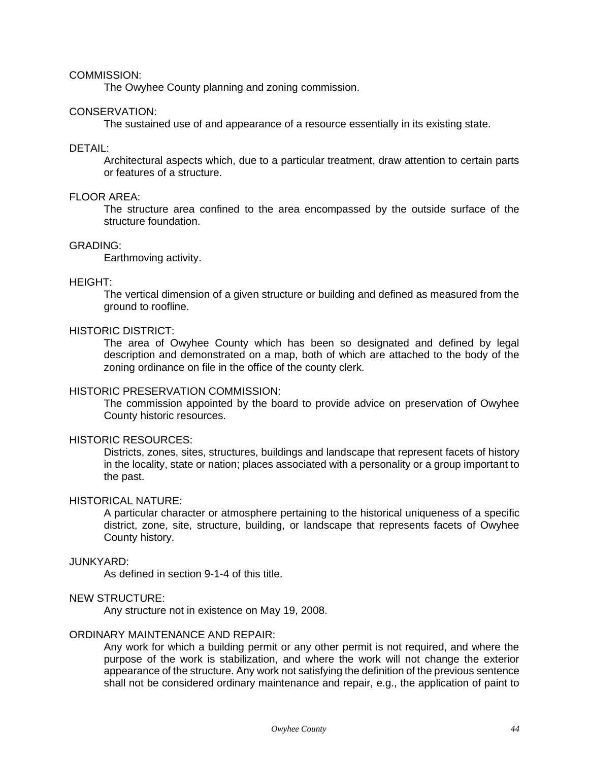#### COMMISSION:

The Owyhee County planning and zoning commission.

#### CONSERVATION:

The sustained use of and appearance of a resource essentially in its existing state.

# DETAIL:

Architectural aspects which, due to a particular treatment, draw attention to certain parts or features of a structure.

#### FLOOR AREA:

The structure area confined to the area encompassed by the outside surface of the structure foundation.

#### GRADING:

Earthmoving activity.

#### HEIGHT:

The vertical dimension of a given structure or building and defined as measured from the ground to roofline.

## HISTORIC DISTRICT:

The area of Owyhee County which has been so designated and defined by legal description and demonstrated on a map, both of which are attached to the body of the zoning ordinance on file in the office of the county clerk.

## HISTORIC PRESERVATION COMMISSION:

The commission appointed by the board to provide advice on preservation of Owyhee County historic resources.

### HISTORIC RESOURCES:

Districts, zones, sites, structures, buildings and landscape that represent facets of history in the locality, state or nation; places associated with a personality or a group important to the past.

#### HISTORICAL NATURE:

A particular character or atmosphere pertaining to the historical uniqueness of a specific district, zone, site, structure, building, or landscape that represents facets of Owyhee County history.

### JUNKYARD:

As defined in section 9-1-4 of this title.

# NEW STRUCTURE:

Any structure not in existence on May 19, 2008.

# ORDINARY MAINTENANCE AND REPAIR:

Any work for which a building permit or any other permit is not required, and where the purpose of the work is stabilization, and where the work will not change the exterior appearance of the structure. Any work not satisfying the definition of the previous sentence shall not be considered ordinary maintenance and repair, e.g., the application of paint to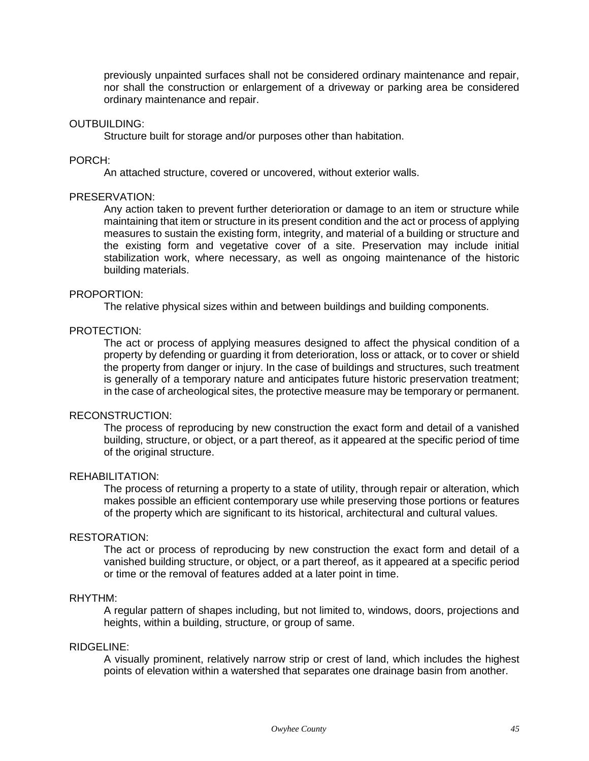previously unpainted surfaces shall not be considered ordinary maintenance and repair, nor shall the construction or enlargement of a driveway or parking area be considered ordinary maintenance and repair.

#### OUTBUILDING:

Structure built for storage and/or purposes other than habitation.

#### PORCH:

An attached structure, covered or uncovered, without exterior walls.

#### PRESERVATION:

Any action taken to prevent further deterioration or damage to an item or structure while maintaining that item or structure in its present condition and the act or process of applying measures to sustain the existing form, integrity, and material of a building or structure and the existing form and vegetative cover of a site. Preservation may include initial stabilization work, where necessary, as well as ongoing maintenance of the historic building materials.

#### PROPORTION:

The relative physical sizes within and between buildings and building components.

#### PROTECTION:

The act or process of applying measures designed to affect the physical condition of a property by defending or guarding it from deterioration, loss or attack, or to cover or shield the property from danger or injury. In the case of buildings and structures, such treatment is generally of a temporary nature and anticipates future historic preservation treatment; in the case of archeological sites, the protective measure may be temporary or permanent.

### RECONSTRUCTION:

The process of reproducing by new construction the exact form and detail of a vanished building, structure, or object, or a part thereof, as it appeared at the specific period of time of the original structure.

## REHABILITATION:

The process of returning a property to a state of utility, through repair or alteration, which makes possible an efficient contemporary use while preserving those portions or features of the property which are significant to its historical, architectural and cultural values.

#### RESTORATION:

The act or process of reproducing by new construction the exact form and detail of a vanished building structure, or object, or a part thereof, as it appeared at a specific period or time or the removal of features added at a later point in time.

### RHYTHM:

A regular pattern of shapes including, but not limited to, windows, doors, projections and heights, within a building, structure, or group of same.

#### RIDGELINE:

A visually prominent, relatively narrow strip or crest of land, which includes the highest points of elevation within a watershed that separates one drainage basin from another.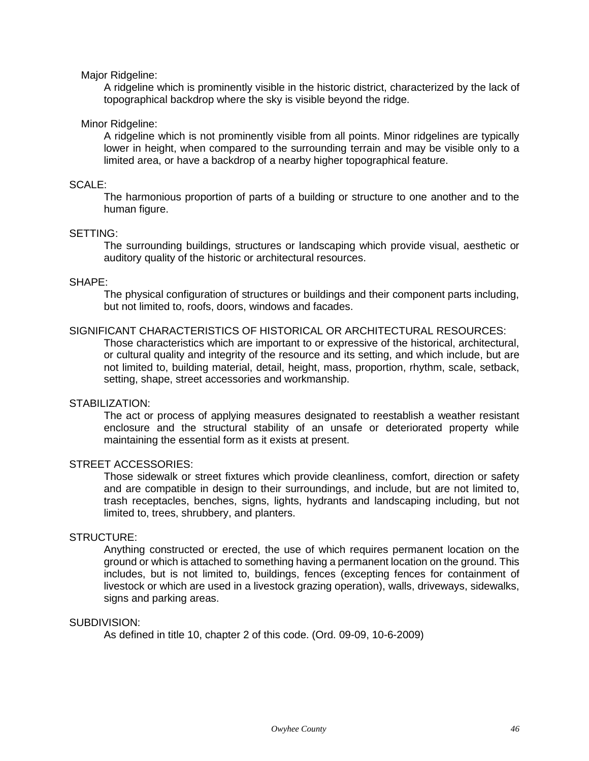## Major Ridgeline:

A ridgeline which is prominently visible in the historic district, characterized by the lack of topographical backdrop where the sky is visible beyond the ridge.

## Minor Ridgeline:

A ridgeline which is not prominently visible from all points. Minor ridgelines are typically lower in height, when compared to the surrounding terrain and may be visible only to a limited area, or have a backdrop of a nearby higher topographical feature.

# SCALE:

The harmonious proportion of parts of a building or structure to one another and to the human figure.

# SETTING:

The surrounding buildings, structures or landscaping which provide visual, aesthetic or auditory quality of the historic or architectural resources.

## SHAPE:

The physical configuration of structures or buildings and their component parts including, but not limited to, roofs, doors, windows and facades.

# SIGNIFICANT CHARACTERISTICS OF HISTORICAL OR ARCHITECTURAL RESOURCES:

Those characteristics which are important to or expressive of the historical, architectural, or cultural quality and integrity of the resource and its setting, and which include, but are not limited to, building material, detail, height, mass, proportion, rhythm, scale, setback, setting, shape, street accessories and workmanship.

## STABILIZATION:

The act or process of applying measures designated to reestablish a weather resistant enclosure and the structural stability of an unsafe or deteriorated property while maintaining the essential form as it exists at present.

## STREET ACCESSORIES:

Those sidewalk or street fixtures which provide cleanliness, comfort, direction or safety and are compatible in design to their surroundings, and include, but are not limited to, trash receptacles, benches, signs, lights, hydrants and landscaping including, but not limited to, trees, shrubbery, and planters.

## STRUCTURE:

Anything constructed or erected, the use of which requires permanent location on the ground or which is attached to something having a permanent location on the ground. This includes, but is not limited to, buildings, fences (excepting fences for containment of livestock or which are used in a livestock grazing operation), walls, driveways, sidewalks, signs and parking areas.

## SUBDIVISION:

As defined in title 10, chapter 2 of this code. (Ord. 09-09, 10-6-2009)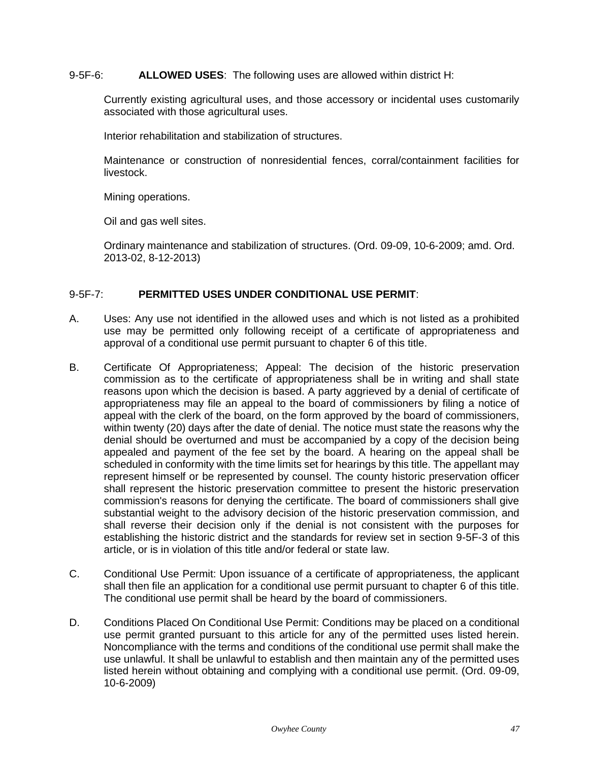# 9-5F-6: **ALLOWED USES**: The following uses are allowed within district H:

Currently existing agricultural uses, and those accessory or incidental uses customarily associated with those agricultural uses.

Interior rehabilitation and stabilization of structures.

Maintenance or construction of nonresidential fences, corral/containment facilities for livestock.

Mining operations.

Oil and gas well sites.

Ordinary maintenance and stabilization of structures. (Ord. 09-09, 10-6-2009; amd. Ord. 2013-02, 8-12-2013)

## 9-5F-7: **PERMITTED USES UNDER CONDITIONAL USE PERMIT**:

- A. Uses: Any use not identified in the allowed uses and which is not listed as a prohibited use may be permitted only following receipt of a certificate of appropriateness and approval of a conditional use permit pursuant to chapter 6 of this title.
- B. Certificate Of Appropriateness; Appeal: The decision of the historic preservation commission as to the certificate of appropriateness shall be in writing and shall state reasons upon which the decision is based. A party aggrieved by a denial of certificate of appropriateness may file an appeal to the board of commissioners by filing a notice of appeal with the clerk of the board, on the form approved by the board of commissioners, within twenty (20) days after the date of denial. The notice must state the reasons why the denial should be overturned and must be accompanied by a copy of the decision being appealed and payment of the fee set by the board. A hearing on the appeal shall be scheduled in conformity with the time limits set for hearings by this title. The appellant may represent himself or be represented by counsel. The county historic preservation officer shall represent the historic preservation committee to present the historic preservation commission's reasons for denying the certificate. The board of commissioners shall give substantial weight to the advisory decision of the historic preservation commission, and shall reverse their decision only if the denial is not consistent with the purposes for establishing the historic district and the standards for review set in section 9-5F-3 of this article, or is in violation of this title and/or federal or state law.
- C. Conditional Use Permit: Upon issuance of a certificate of appropriateness, the applicant shall then file an application for a conditional use permit pursuant to chapter 6 of this title. The conditional use permit shall be heard by the board of commissioners.
- D. Conditions Placed On Conditional Use Permit: Conditions may be placed on a conditional use permit granted pursuant to this article for any of the permitted uses listed herein. Noncompliance with the terms and conditions of the conditional use permit shall make the use unlawful. It shall be unlawful to establish and then maintain any of the permitted uses listed herein without obtaining and complying with a conditional use permit. (Ord. 09-09, 10-6-2009)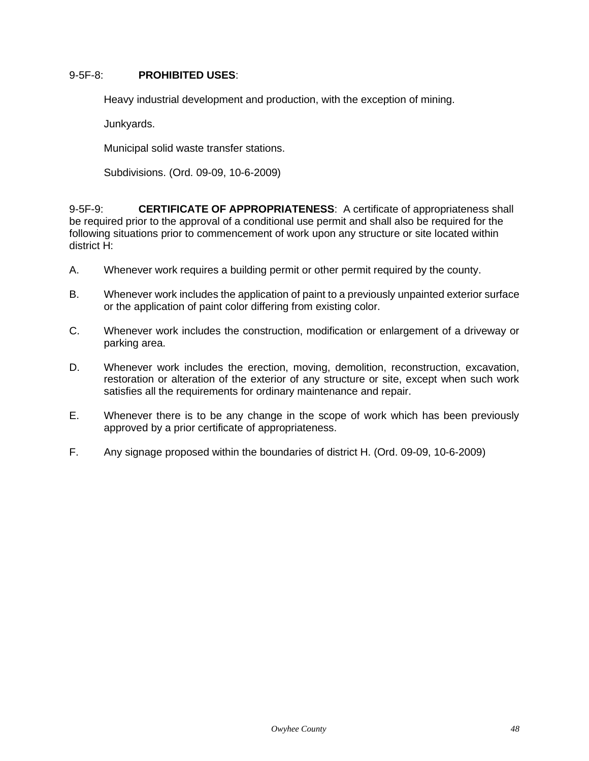# 9-5F-8: **PROHIBITED USES**:

Heavy industrial development and production, with the exception of mining.

Junkyards.

Municipal solid waste transfer stations.

Subdivisions. (Ord. 09-09, 10-6-2009)

9-5F-9: **CERTIFICATE OF APPROPRIATENESS**: A certificate of appropriateness shall be required prior to the approval of a conditional use permit and shall also be required for the following situations prior to commencement of work upon any structure or site located within district H:

- A. Whenever work requires a building permit or other permit required by the county.
- B. Whenever work includes the application of paint to a previously unpainted exterior surface or the application of paint color differing from existing color.
- C. Whenever work includes the construction, modification or enlargement of a driveway or parking area.
- D. Whenever work includes the erection, moving, demolition, reconstruction, excavation, restoration or alteration of the exterior of any structure or site, except when such work satisfies all the requirements for ordinary maintenance and repair.
- E. Whenever there is to be any change in the scope of work which has been previously approved by a prior certificate of appropriateness.
- F. Any signage proposed within the boundaries of district H. (Ord. 09-09, 10-6-2009)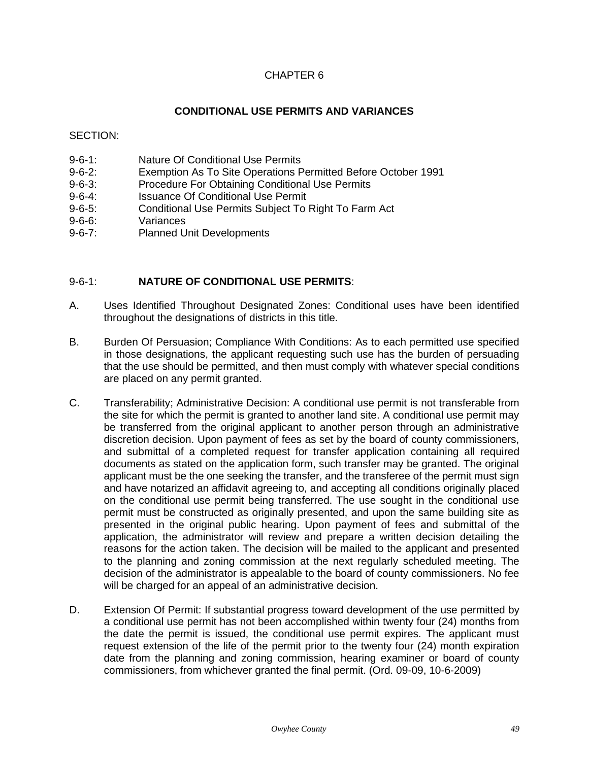# **CONDITIONAL USE PERMITS AND VARIANCES**

SECTION:

- 9-6-1: Nature Of Conditional Use Permits
- 9-6-2: Exemption As To Site Operations Permitted Before October 1991
- 9-6-3: Procedure For Obtaining Conditional Use Permits
- 9-6-4: Issuance Of Conditional Use Permit
- 9-6-5: Conditional Use Permits Subject To Right To Farm Act
- 9-6-6: Variances
- 9-6-7: Planned Unit Developments

# 9-6-1: **NATURE OF CONDITIONAL USE PERMITS**:

- A. Uses Identified Throughout Designated Zones: Conditional uses have been identified throughout the designations of districts in this title.
- B. Burden Of Persuasion; Compliance With Conditions: As to each permitted use specified in those designations, the applicant requesting such use has the burden of persuading that the use should be permitted, and then must comply with whatever special conditions are placed on any permit granted.
- C. Transferability; Administrative Decision: A conditional use permit is not transferable from the site for which the permit is granted to another land site. A conditional use permit may be transferred from the original applicant to another person through an administrative discretion decision. Upon payment of fees as set by the board of county commissioners, and submittal of a completed request for transfer application containing all required documents as stated on the application form, such transfer may be granted. The original applicant must be the one seeking the transfer, and the transferee of the permit must sign and have notarized an affidavit agreeing to, and accepting all conditions originally placed on the conditional use permit being transferred. The use sought in the conditional use permit must be constructed as originally presented, and upon the same building site as presented in the original public hearing. Upon payment of fees and submittal of the application, the administrator will review and prepare a written decision detailing the reasons for the action taken. The decision will be mailed to the applicant and presented to the planning and zoning commission at the next regularly scheduled meeting. The decision of the administrator is appealable to the board of county commissioners. No fee will be charged for an appeal of an administrative decision.
- D. Extension Of Permit: If substantial progress toward development of the use permitted by a conditional use permit has not been accomplished within twenty four (24) months from the date the permit is issued, the conditional use permit expires. The applicant must request extension of the life of the permit prior to the twenty four (24) month expiration date from the planning and zoning commission, hearing examiner or board of county commissioners, from whichever granted the final permit. (Ord. 09-09, 10-6-2009)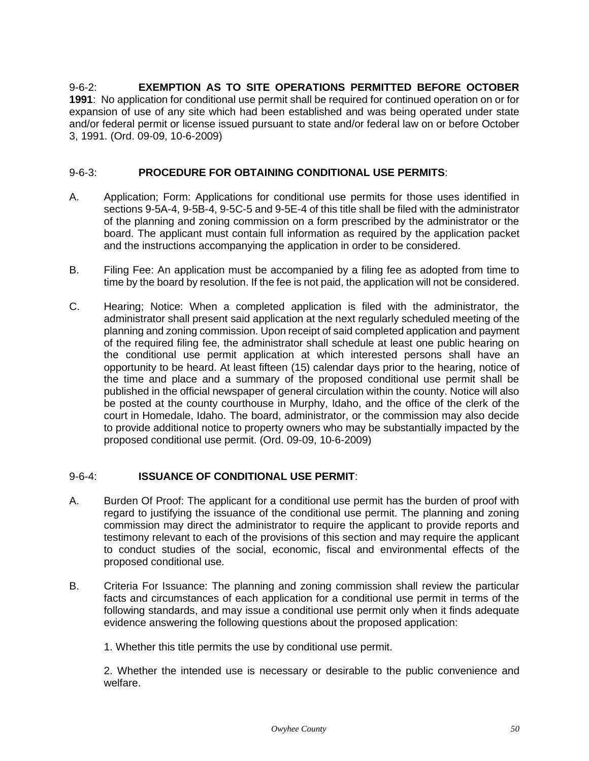9-6-2: **EXEMPTION AS TO SITE OPERATIONS PERMITTED BEFORE OCTOBER 1991**: No application for conditional use permit shall be required for continued operation on or for expansion of use of any site which had been established and was being operated under state and/or federal permit or license issued pursuant to state and/or federal law on or before October 3, 1991. (Ord. 09-09, 10-6-2009)

# 9-6-3: **PROCEDURE FOR OBTAINING CONDITIONAL USE PERMITS**:

- A. Application; Form: Applications for conditional use permits for those uses identified in sections 9-5A-4, 9-5B-4, 9-5C-5 and 9-5E-4 of this title shall be filed with the administrator of the planning and zoning commission on a form prescribed by the administrator or the board. The applicant must contain full information as required by the application packet and the instructions accompanying the application in order to be considered.
- B. Filing Fee: An application must be accompanied by a filing fee as adopted from time to time by the board by resolution. If the fee is not paid, the application will not be considered.
- C. Hearing; Notice: When a completed application is filed with the administrator, the administrator shall present said application at the next regularly scheduled meeting of the planning and zoning commission. Upon receipt of said completed application and payment of the required filing fee, the administrator shall schedule at least one public hearing on the conditional use permit application at which interested persons shall have an opportunity to be heard. At least fifteen (15) calendar days prior to the hearing, notice of the time and place and a summary of the proposed conditional use permit shall be published in the official newspaper of general circulation within the county. Notice will also be posted at the county courthouse in Murphy, Idaho, and the office of the clerk of the court in Homedale, Idaho. The board, administrator, or the commission may also decide to provide additional notice to property owners who may be substantially impacted by the proposed conditional use permit. (Ord. 09-09, 10-6-2009)

# 9-6-4: **ISSUANCE OF CONDITIONAL USE PERMIT**:

- A. Burden Of Proof: The applicant for a conditional use permit has the burden of proof with regard to justifying the issuance of the conditional use permit. The planning and zoning commission may direct the administrator to require the applicant to provide reports and testimony relevant to each of the provisions of this section and may require the applicant to conduct studies of the social, economic, fiscal and environmental effects of the proposed conditional use.
- B. Criteria For Issuance: The planning and zoning commission shall review the particular facts and circumstances of each application for a conditional use permit in terms of the following standards, and may issue a conditional use permit only when it finds adequate evidence answering the following questions about the proposed application:

1. Whether this title permits the use by conditional use permit.

2. Whether the intended use is necessary or desirable to the public convenience and welfare.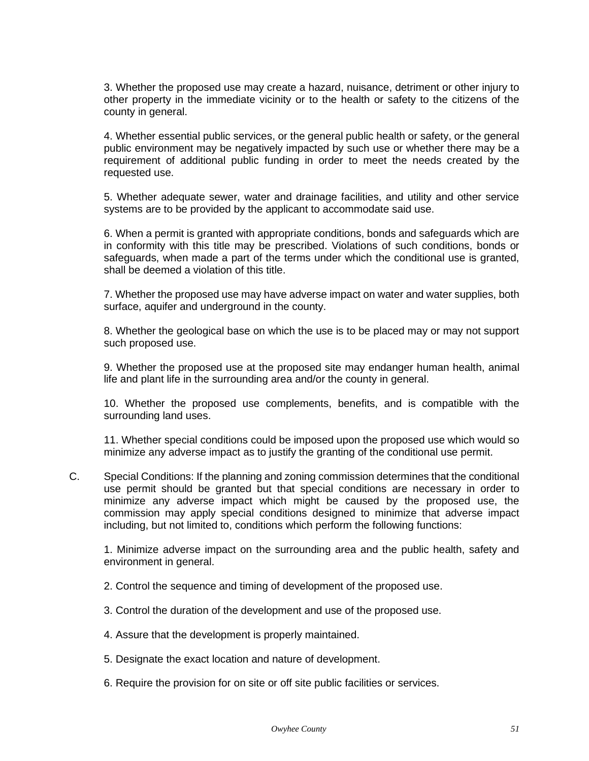3. Whether the proposed use may create a hazard, nuisance, detriment or other injury to other property in the immediate vicinity or to the health or safety to the citizens of the county in general.

4. Whether essential public services, or the general public health or safety, or the general public environment may be negatively impacted by such use or whether there may be a requirement of additional public funding in order to meet the needs created by the requested use.

5. Whether adequate sewer, water and drainage facilities, and utility and other service systems are to be provided by the applicant to accommodate said use.

6. When a permit is granted with appropriate conditions, bonds and safeguards which are in conformity with this title may be prescribed. Violations of such conditions, bonds or safeguards, when made a part of the terms under which the conditional use is granted, shall be deemed a violation of this title.

7. Whether the proposed use may have adverse impact on water and water supplies, both surface, aquifer and underground in the county.

8. Whether the geological base on which the use is to be placed may or may not support such proposed use.

9. Whether the proposed use at the proposed site may endanger human health, animal life and plant life in the surrounding area and/or the county in general.

10. Whether the proposed use complements, benefits, and is compatible with the surrounding land uses.

11. Whether special conditions could be imposed upon the proposed use which would so minimize any adverse impact as to justify the granting of the conditional use permit.

C. Special Conditions: If the planning and zoning commission determines that the conditional use permit should be granted but that special conditions are necessary in order to minimize any adverse impact which might be caused by the proposed use, the commission may apply special conditions designed to minimize that adverse impact including, but not limited to, conditions which perform the following functions:

1. Minimize adverse impact on the surrounding area and the public health, safety and environment in general.

- 2. Control the sequence and timing of development of the proposed use.
- 3. Control the duration of the development and use of the proposed use.
- 4. Assure that the development is properly maintained.
- 5. Designate the exact location and nature of development.
- 6. Require the provision for on site or off site public facilities or services.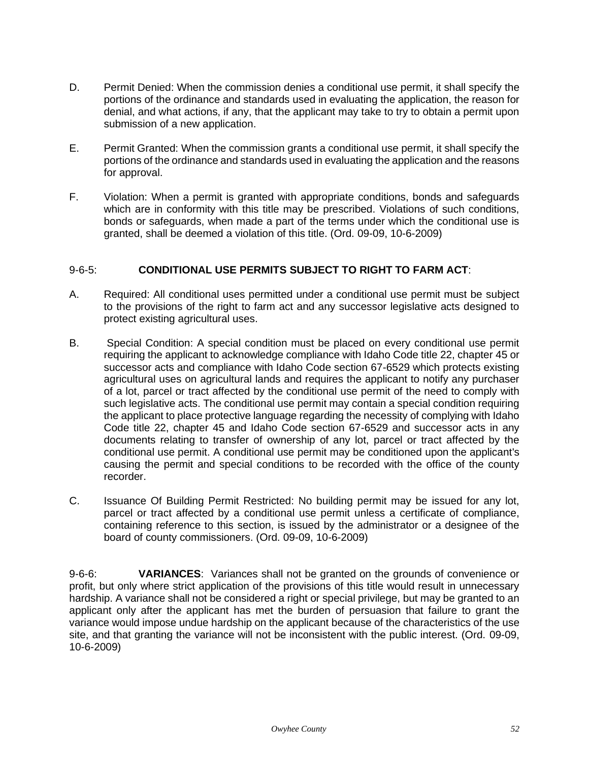- D. Permit Denied: When the commission denies a conditional use permit, it shall specify the portions of the ordinance and standards used in evaluating the application, the reason for denial, and what actions, if any, that the applicant may take to try to obtain a permit upon submission of a new application.
- E. Permit Granted: When the commission grants a conditional use permit, it shall specify the portions of the ordinance and standards used in evaluating the application and the reasons for approval.
- F. Violation: When a permit is granted with appropriate conditions, bonds and safeguards which are in conformity with this title may be prescribed. Violations of such conditions, bonds or safeguards, when made a part of the terms under which the conditional use is granted, shall be deemed a violation of this title. (Ord. 09-09, 10-6-2009)

# 9-6-5: **CONDITIONAL USE PERMITS SUBJECT TO RIGHT TO FARM ACT**:

- A. Required: All conditional uses permitted under a conditional use permit must be subject to the provisions of the right to farm act and any successor legislative acts designed to protect existing agricultural uses.
- B. Special Condition: A special condition must be placed on every conditional use permit requiring the applicant to acknowledge compliance with Idaho Code title 22, chapter 45 or successor acts and compliance with Idaho Code section 67-6529 which protects existing agricultural uses on agricultural lands and requires the applicant to notify any purchaser of a lot, parcel or tract affected by the conditional use permit of the need to comply with such legislative acts. The conditional use permit may contain a special condition requiring the applicant to place protective language regarding the necessity of complying with Idaho Code title 22, chapter 45 and Idaho Code section 67-6529 and successor acts in any documents relating to transfer of ownership of any lot, parcel or tract affected by the conditional use permit. A conditional use permit may be conditioned upon the applicant's causing the permit and special conditions to be recorded with the office of the county recorder.
- C. Issuance Of Building Permit Restricted: No building permit may be issued for any lot, parcel or tract affected by a conditional use permit unless a certificate of compliance, containing reference to this section, is issued by the administrator or a designee of the board of county commissioners. (Ord. 09-09, 10-6-2009)

9-6-6: **VARIANCES**: Variances shall not be granted on the grounds of convenience or profit, but only where strict application of the provisions of this title would result in unnecessary hardship. A variance shall not be considered a right or special privilege, but may be granted to an applicant only after the applicant has met the burden of persuasion that failure to grant the variance would impose undue hardship on the applicant because of the characteristics of the use site, and that granting the variance will not be inconsistent with the public interest. (Ord. 09-09, 10-6-2009)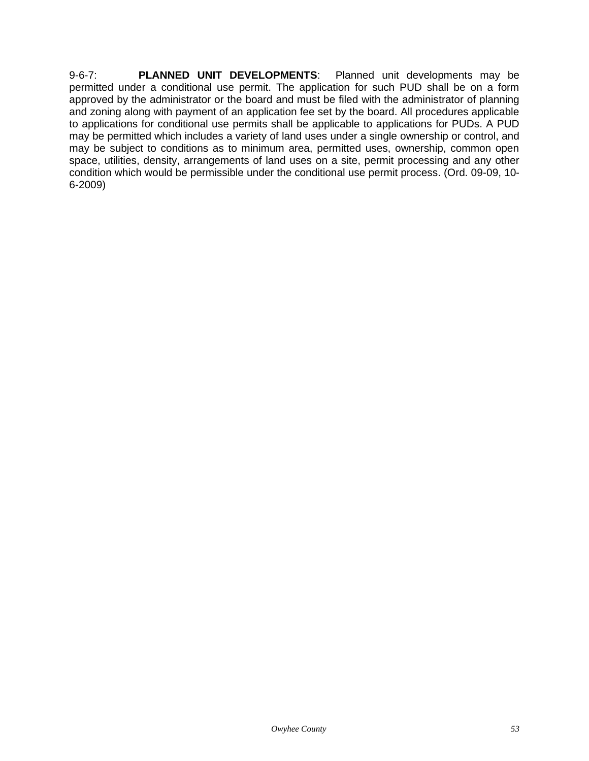9-6-7: **PLANNED UNIT DEVELOPMENTS**: Planned unit developments may be permitted under a conditional use permit. The application for such PUD shall be on a form approved by the administrator or the board and must be filed with the administrator of planning and zoning along with payment of an application fee set by the board. All procedures applicable to applications for conditional use permits shall be applicable to applications for PUDs. A PUD may be permitted which includes a variety of land uses under a single ownership or control, and may be subject to conditions as to minimum area, permitted uses, ownership, common open space, utilities, density, arrangements of land uses on a site, permit processing and any other condition which would be permissible under the conditional use permit process. (Ord. 09-09, 10- 6-2009)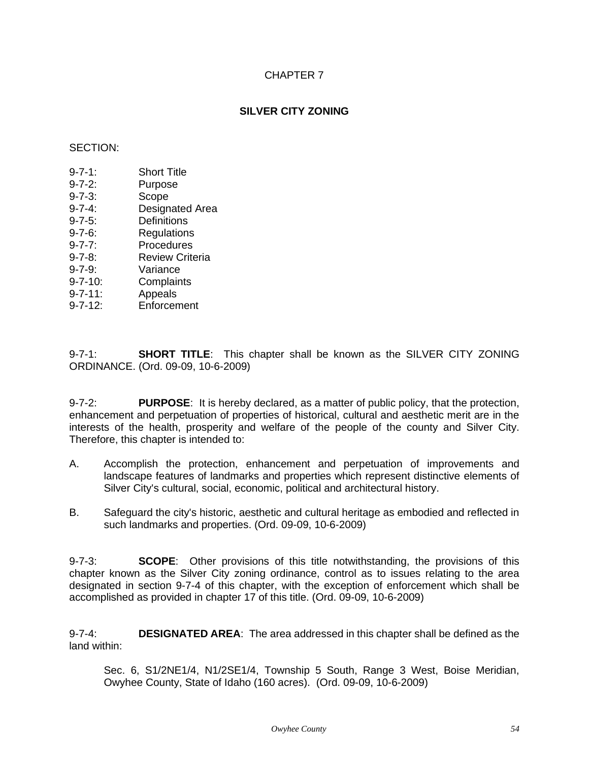# **SILVER CITY ZONING**

# SECTION:

- 9-7-1: Short Title
- 9-7-2: Purpose
- 9-7-3: Scope
- 9-7-4: Designated Area
- 9-7-5: Definitions
- 9-7-6: Regulations
- 9-7-7: Procedures
- 9-7-8: Review Criteria
- 9-7-9: Variance
- 9-7-10: Complaints
- 9-7-11: Appeals
- 9-7-12: Enforcement

9-7-1: **SHORT TITLE**: This chapter shall be known as the SILVER CITY ZONING ORDINANCE. (Ord. 09-09, 10-6-2009)

9-7-2: **PURPOSE**: It is hereby declared, as a matter of public policy, that the protection, enhancement and perpetuation of properties of historical, cultural and aesthetic merit are in the interests of the health, prosperity and welfare of the people of the county and Silver City. Therefore, this chapter is intended to:

- A. Accomplish the protection, enhancement and perpetuation of improvements and landscape features of landmarks and properties which represent distinctive elements of Silver City's cultural, social, economic, political and architectural history.
- B. Safeguard the city's historic, aesthetic and cultural heritage as embodied and reflected in such landmarks and properties. (Ord. 09-09, 10-6-2009)

9-7-3: **SCOPE**: Other provisions of this title notwithstanding, the provisions of this chapter known as the Silver City zoning ordinance, control as to issues relating to the area designated in section 9-7-4 of this chapter, with the exception of enforcement which shall be accomplished as provided in chapter 17 of this title. (Ord. 09-09, 10-6-2009)

9-7-4: **DESIGNATED AREA**: The area addressed in this chapter shall be defined as the land within:

Sec. 6, S1/2NE1/4, N1/2SE1/4, Township 5 South, Range 3 West, Boise Meridian, Owyhee County, State of Idaho (160 acres). (Ord. 09-09, 10-6-2009)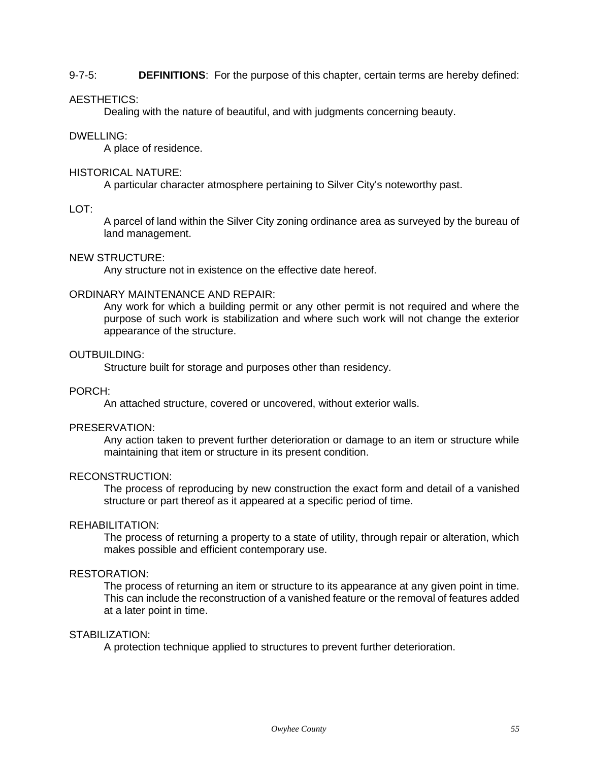## 9-7-5: **DEFINITIONS**: For the purpose of this chapter, certain terms are hereby defined:

## AESTHETICS:

Dealing with the nature of beautiful, and with judgments concerning beauty.

#### DWELLING:

A place of residence.

#### HISTORICAL NATURE:

A particular character atmosphere pertaining to Silver City's noteworthy past.

#### $LOT^T$

A parcel of land within the Silver City zoning ordinance area as surveyed by the bureau of land management.

## NEW STRUCTURE:

Any structure not in existence on the effective date hereof.

#### ORDINARY MAINTENANCE AND REPAIR:

Any work for which a building permit or any other permit is not required and where the purpose of such work is stabilization and where such work will not change the exterior appearance of the structure.

#### OUTBUILDING:

Structure built for storage and purposes other than residency.

## PORCH:

An attached structure, covered or uncovered, without exterior walls.

# PRESERVATION:

Any action taken to prevent further deterioration or damage to an item or structure while maintaining that item or structure in its present condition.

## RECONSTRUCTION:

The process of reproducing by new construction the exact form and detail of a vanished structure or part thereof as it appeared at a specific period of time.

#### REHABILITATION:

The process of returning a property to a state of utility, through repair or alteration, which makes possible and efficient contemporary use.

# RESTORATION:

The process of returning an item or structure to its appearance at any given point in time. This can include the reconstruction of a vanished feature or the removal of features added at a later point in time.

## STABILIZATION:

A protection technique applied to structures to prevent further deterioration.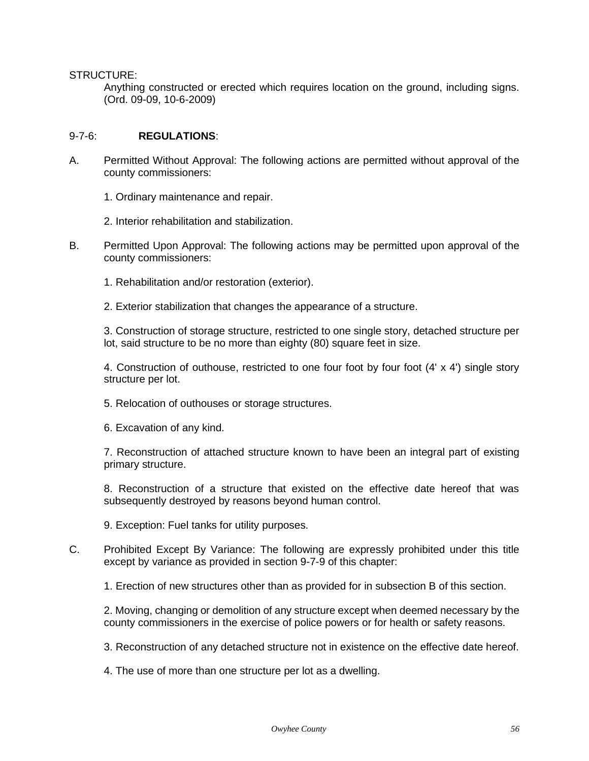STRUCTURE:

Anything constructed or erected which requires location on the ground, including signs. (Ord. 09-09, 10-6-2009)

### 9-7-6: **REGULATIONS**:

- A. Permitted Without Approval: The following actions are permitted without approval of the county commissioners:
	- 1. Ordinary maintenance and repair.
	- 2. Interior rehabilitation and stabilization.
- B. Permitted Upon Approval: The following actions may be permitted upon approval of the county commissioners:
	- 1. Rehabilitation and/or restoration (exterior).
	- 2. Exterior stabilization that changes the appearance of a structure.

3. Construction of storage structure, restricted to one single story, detached structure per lot, said structure to be no more than eighty (80) square feet in size.

4. Construction of outhouse, restricted to one four foot by four foot (4' x 4') single story structure per lot.

- 5. Relocation of outhouses or storage structures.
- 6. Excavation of any kind.

7. Reconstruction of attached structure known to have been an integral part of existing primary structure.

8. Reconstruction of a structure that existed on the effective date hereof that was subsequently destroyed by reasons beyond human control.

9. Exception: Fuel tanks for utility purposes.

C. Prohibited Except By Variance: The following are expressly prohibited under this title except by variance as provided in section 9-7-9 of this chapter:

1. Erection of new structures other than as provided for in subsection B of this section.

2. Moving, changing or demolition of any structure except when deemed necessary by the county commissioners in the exercise of police powers or for health or safety reasons.

3. Reconstruction of any detached structure not in existence on the effective date hereof.

4. The use of more than one structure per lot as a dwelling.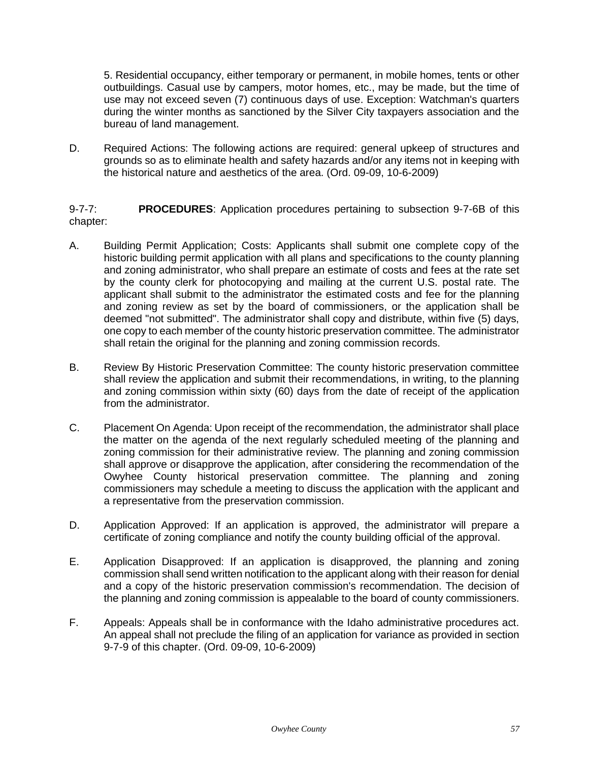5. Residential occupancy, either temporary or permanent, in mobile homes, tents or other outbuildings. Casual use by campers, motor homes, etc., may be made, but the time of use may not exceed seven (7) continuous days of use. Exception: Watchman's quarters during the winter months as sanctioned by the Silver City taxpayers association and the bureau of land management.

D. Required Actions: The following actions are required: general upkeep of structures and grounds so as to eliminate health and safety hazards and/or any items not in keeping with the historical nature and aesthetics of the area. (Ord. 09-09, 10-6-2009)

9-7-7: **PROCEDURES**: Application procedures pertaining to subsection 9-7-6B of this chapter:

- A. Building Permit Application; Costs: Applicants shall submit one complete copy of the historic building permit application with all plans and specifications to the county planning and zoning administrator, who shall prepare an estimate of costs and fees at the rate set by the county clerk for photocopying and mailing at the current U.S. postal rate. The applicant shall submit to the administrator the estimated costs and fee for the planning and zoning review as set by the board of commissioners, or the application shall be deemed "not submitted". The administrator shall copy and distribute, within five (5) days, one copy to each member of the county historic preservation committee. The administrator shall retain the original for the planning and zoning commission records.
- B. Review By Historic Preservation Committee: The county historic preservation committee shall review the application and submit their recommendations, in writing, to the planning and zoning commission within sixty (60) days from the date of receipt of the application from the administrator.
- C. Placement On Agenda: Upon receipt of the recommendation, the administrator shall place the matter on the agenda of the next regularly scheduled meeting of the planning and zoning commission for their administrative review. The planning and zoning commission shall approve or disapprove the application, after considering the recommendation of the Owyhee County historical preservation committee. The planning and zoning commissioners may schedule a meeting to discuss the application with the applicant and a representative from the preservation commission.
- D. Application Approved: If an application is approved, the administrator will prepare a certificate of zoning compliance and notify the county building official of the approval.
- E. Application Disapproved: If an application is disapproved, the planning and zoning commission shall send written notification to the applicant along with their reason for denial and a copy of the historic preservation commission's recommendation. The decision of the planning and zoning commission is appealable to the board of county commissioners.
- F. Appeals: Appeals shall be in conformance with the Idaho administrative procedures act. An appeal shall not preclude the filing of an application for variance as provided in section 9-7-9 of this chapter. (Ord. 09-09, 10-6-2009)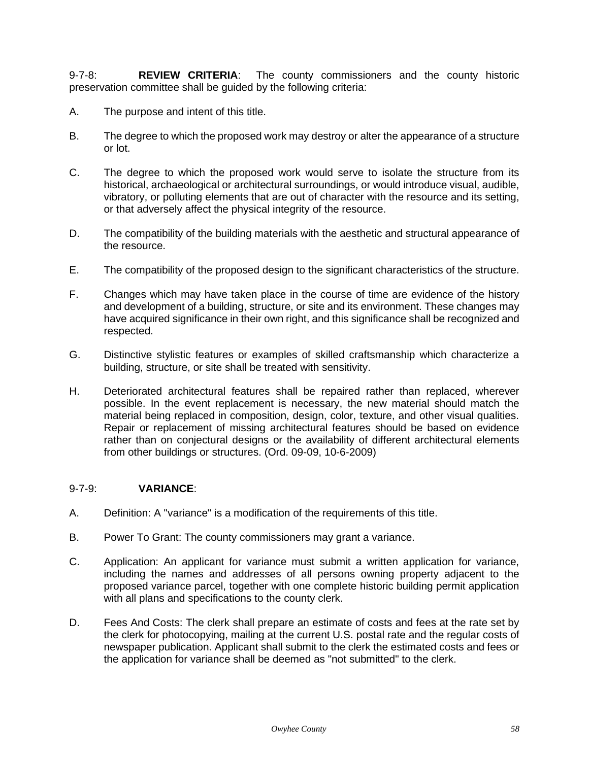9-7-8: **REVIEW CRITERIA**: The county commissioners and the county historic preservation committee shall be guided by the following criteria:

- A. The purpose and intent of this title.
- B. The degree to which the proposed work may destroy or alter the appearance of a structure or lot.
- C. The degree to which the proposed work would serve to isolate the structure from its historical, archaeological or architectural surroundings, or would introduce visual, audible, vibratory, or polluting elements that are out of character with the resource and its setting, or that adversely affect the physical integrity of the resource.
- D. The compatibility of the building materials with the aesthetic and structural appearance of the resource.
- E. The compatibility of the proposed design to the significant characteristics of the structure.
- F. Changes which may have taken place in the course of time are evidence of the history and development of a building, structure, or site and its environment. These changes may have acquired significance in their own right, and this significance shall be recognized and respected.
- G. Distinctive stylistic features or examples of skilled craftsmanship which characterize a building, structure, or site shall be treated with sensitivity.
- H. Deteriorated architectural features shall be repaired rather than replaced, wherever possible. In the event replacement is necessary, the new material should match the material being replaced in composition, design, color, texture, and other visual qualities. Repair or replacement of missing architectural features should be based on evidence rather than on conjectural designs or the availability of different architectural elements from other buildings or structures. (Ord. 09-09, 10-6-2009)

## 9-7-9: **VARIANCE**:

- A. Definition: A "variance" is a modification of the requirements of this title.
- B. Power To Grant: The county commissioners may grant a variance.
- C. Application: An applicant for variance must submit a written application for variance, including the names and addresses of all persons owning property adjacent to the proposed variance parcel, together with one complete historic building permit application with all plans and specifications to the county clerk.
- D. Fees And Costs: The clerk shall prepare an estimate of costs and fees at the rate set by the clerk for photocopying, mailing at the current U.S. postal rate and the regular costs of newspaper publication. Applicant shall submit to the clerk the estimated costs and fees or the application for variance shall be deemed as "not submitted" to the clerk.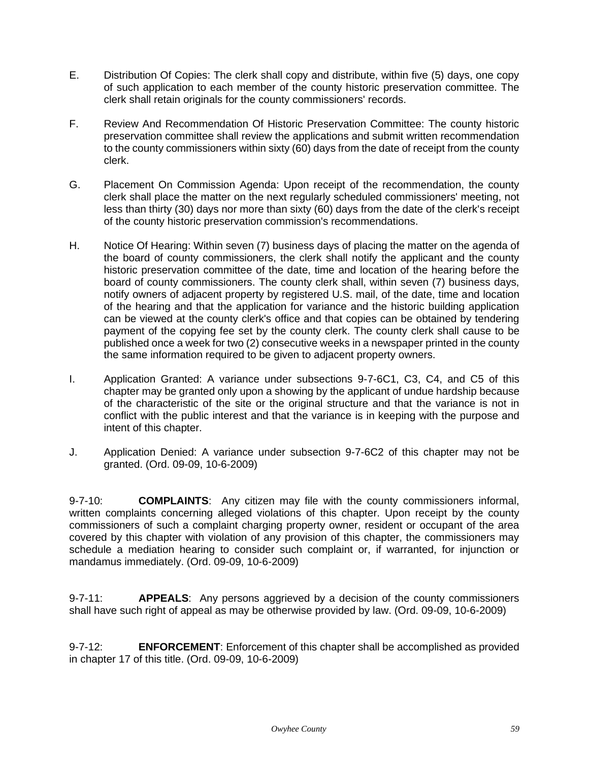- E. Distribution Of Copies: The clerk shall copy and distribute, within five (5) days, one copy of such application to each member of the county historic preservation committee. The clerk shall retain originals for the county commissioners' records.
- F. Review And Recommendation Of Historic Preservation Committee: The county historic preservation committee shall review the applications and submit written recommendation to the county commissioners within sixty (60) days from the date of receipt from the county clerk.
- G. Placement On Commission Agenda: Upon receipt of the recommendation, the county clerk shall place the matter on the next regularly scheduled commissioners' meeting, not less than thirty (30) days nor more than sixty (60) days from the date of the clerk's receipt of the county historic preservation commission's recommendations.
- H. Notice Of Hearing: Within seven (7) business days of placing the matter on the agenda of the board of county commissioners, the clerk shall notify the applicant and the county historic preservation committee of the date, time and location of the hearing before the board of county commissioners. The county clerk shall, within seven (7) business days, notify owners of adjacent property by registered U.S. mail, of the date, time and location of the hearing and that the application for variance and the historic building application can be viewed at the county clerk's office and that copies can be obtained by tendering payment of the copying fee set by the county clerk. The county clerk shall cause to be published once a week for two (2) consecutive weeks in a newspaper printed in the county the same information required to be given to adjacent property owners.
- I. Application Granted: A variance under subsections 9-7-6C1, C3, C4, and C5 of this chapter may be granted only upon a showing by the applicant of undue hardship because of the characteristic of the site or the original structure and that the variance is not in conflict with the public interest and that the variance is in keeping with the purpose and intent of this chapter.
- J. Application Denied: A variance under subsection 9-7-6C2 of this chapter may not be granted. (Ord. 09-09, 10-6-2009)

9-7-10: **COMPLAINTS**: Any citizen may file with the county commissioners informal, written complaints concerning alleged violations of this chapter. Upon receipt by the county commissioners of such a complaint charging property owner, resident or occupant of the area covered by this chapter with violation of any provision of this chapter, the commissioners may schedule a mediation hearing to consider such complaint or, if warranted, for injunction or mandamus immediately. (Ord. 09-09, 10-6-2009)

9-7-11: **APPEALS**: Any persons aggrieved by a decision of the county commissioners shall have such right of appeal as may be otherwise provided by law. (Ord. 09-09, 10-6-2009)

9-7-12: **ENFORCEMENT**: Enforcement of this chapter shall be accomplished as provided in chapter 17 of this title. (Ord. 09-09, 10-6-2009)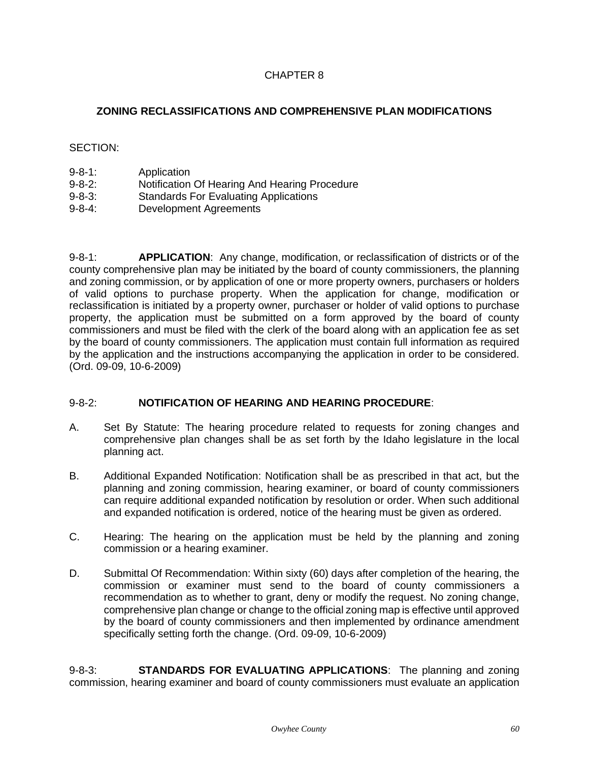# **ZONING RECLASSIFICATIONS AND COMPREHENSIVE PLAN MODIFICATIONS**

# SECTION:

- 9-8-1: Application
- 9-8-2: Notification Of Hearing And Hearing Procedure
- 9-8-3: Standards For Evaluating Applications
- 9-8-4: Development Agreements

9-8-1: **APPLICATION**: Any change, modification, or reclassification of districts or of the county comprehensive plan may be initiated by the board of county commissioners, the planning and zoning commission, or by application of one or more property owners, purchasers or holders of valid options to purchase property. When the application for change, modification or reclassification is initiated by a property owner, purchaser or holder of valid options to purchase property, the application must be submitted on a form approved by the board of county commissioners and must be filed with the clerk of the board along with an application fee as set by the board of county commissioners. The application must contain full information as required by the application and the instructions accompanying the application in order to be considered. (Ord. 09-09, 10-6-2009)

# 9-8-2: **NOTIFICATION OF HEARING AND HEARING PROCEDURE**:

- A. Set By Statute: The hearing procedure related to requests for zoning changes and comprehensive plan changes shall be as set forth by the Idaho legislature in the local planning act.
- B. Additional Expanded Notification: Notification shall be as prescribed in that act, but the planning and zoning commission, hearing examiner, or board of county commissioners can require additional expanded notification by resolution or order. When such additional and expanded notification is ordered, notice of the hearing must be given as ordered.
- C. Hearing: The hearing on the application must be held by the planning and zoning commission or a hearing examiner.
- D. Submittal Of Recommendation: Within sixty (60) days after completion of the hearing, the commission or examiner must send to the board of county commissioners a recommendation as to whether to grant, deny or modify the request. No zoning change, comprehensive plan change or change to the official zoning map is effective until approved by the board of county commissioners and then implemented by ordinance amendment specifically setting forth the change. (Ord. 09-09, 10-6-2009)

9-8-3: **STANDARDS FOR EVALUATING APPLICATIONS**: The planning and zoning commission, hearing examiner and board of county commissioners must evaluate an application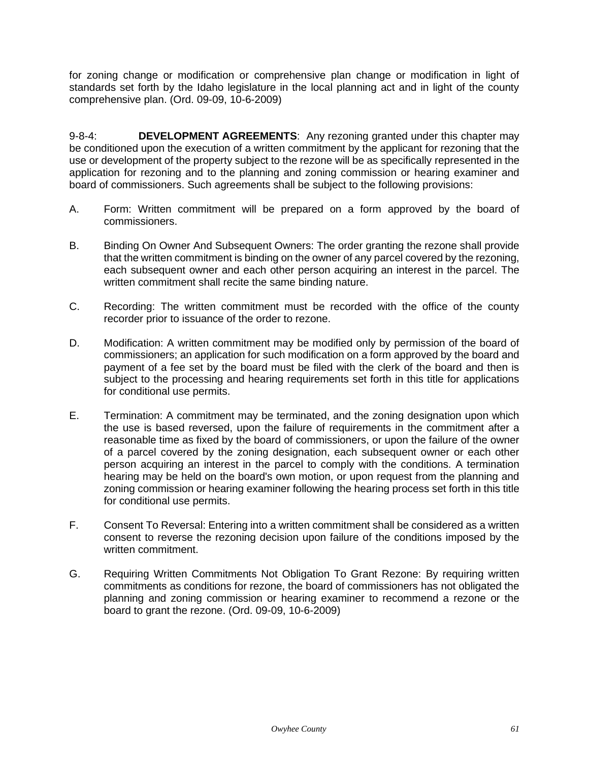for zoning change or modification or comprehensive plan change or modification in light of standards set forth by the Idaho legislature in the local planning act and in light of the county comprehensive plan. (Ord. 09-09, 10-6-2009)

9-8-4: **DEVELOPMENT AGREEMENTS**: Any rezoning granted under this chapter may be conditioned upon the execution of a written commitment by the applicant for rezoning that the use or development of the property subject to the rezone will be as specifically represented in the application for rezoning and to the planning and zoning commission or hearing examiner and board of commissioners. Such agreements shall be subject to the following provisions:

- A. Form: Written commitment will be prepared on a form approved by the board of commissioners.
- B. Binding On Owner And Subsequent Owners: The order granting the rezone shall provide that the written commitment is binding on the owner of any parcel covered by the rezoning, each subsequent owner and each other person acquiring an interest in the parcel. The written commitment shall recite the same binding nature.
- C. Recording: The written commitment must be recorded with the office of the county recorder prior to issuance of the order to rezone.
- D. Modification: A written commitment may be modified only by permission of the board of commissioners; an application for such modification on a form approved by the board and payment of a fee set by the board must be filed with the clerk of the board and then is subject to the processing and hearing requirements set forth in this title for applications for conditional use permits.
- E. Termination: A commitment may be terminated, and the zoning designation upon which the use is based reversed, upon the failure of requirements in the commitment after a reasonable time as fixed by the board of commissioners, or upon the failure of the owner of a parcel covered by the zoning designation, each subsequent owner or each other person acquiring an interest in the parcel to comply with the conditions. A termination hearing may be held on the board's own motion, or upon request from the planning and zoning commission or hearing examiner following the hearing process set forth in this title for conditional use permits.
- F. Consent To Reversal: Entering into a written commitment shall be considered as a written consent to reverse the rezoning decision upon failure of the conditions imposed by the written commitment.
- G. Requiring Written Commitments Not Obligation To Grant Rezone: By requiring written commitments as conditions for rezone, the board of commissioners has not obligated the planning and zoning commission or hearing examiner to recommend a rezone or the board to grant the rezone. (Ord. 09-09, 10-6-2009)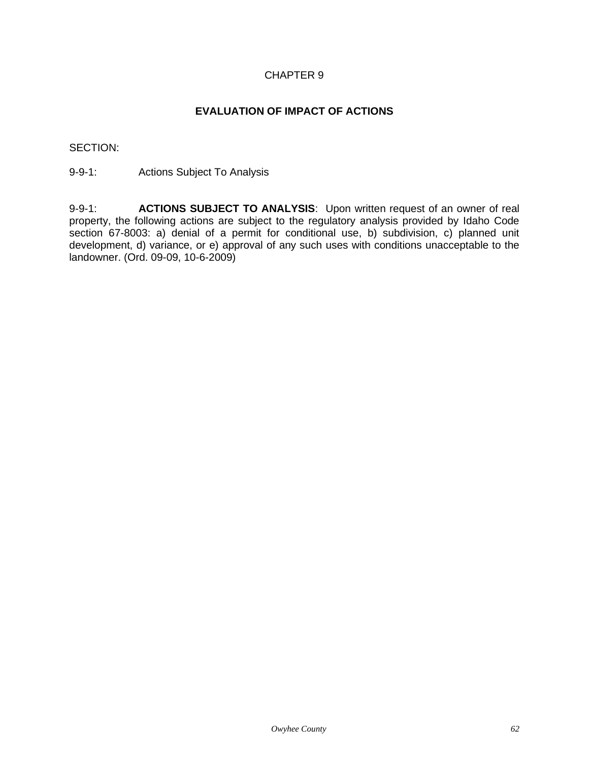# **EVALUATION OF IMPACT OF ACTIONS**

SECTION:

9-9-1: Actions Subject To Analysis

9-9-1: **ACTIONS SUBJECT TO ANALYSIS**: Upon written request of an owner of real property, the following actions are subject to the regulatory analysis provided by Idaho Code section 67-8003: a) denial of a permit for conditional use, b) subdivision, c) planned unit development, d) variance, or e) approval of any such uses with conditions unacceptable to the landowner. (Ord. 09-09, 10-6-2009)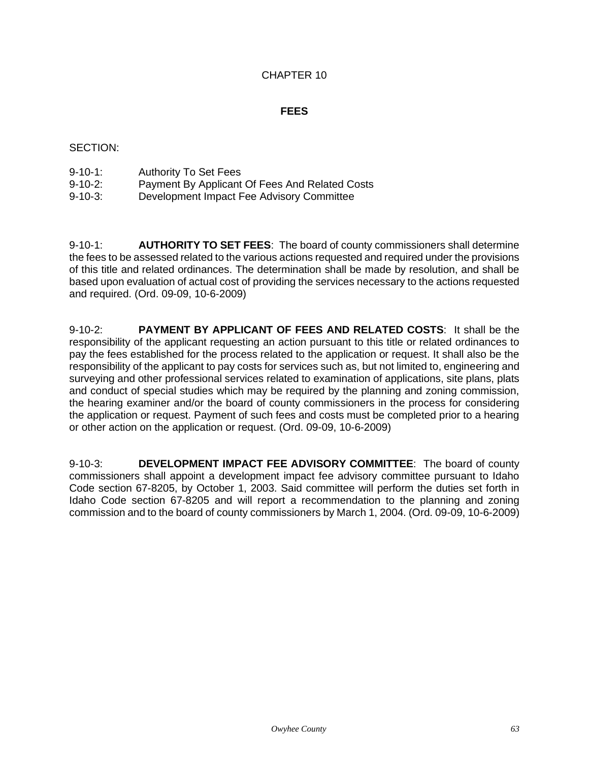# **FEES**

# SECTION:

| $9 - 10 - 1$ : | <b>Authority To Set Fees</b> |  |
|----------------|------------------------------|--|
| .              | . <u>.</u>                   |  |

- 9-10-2: Payment By Applicant Of Fees And Related Costs
- 9-10-3: Development Impact Fee Advisory Committee

9-10-1: **AUTHORITY TO SET FEES**: The board of county commissioners shall determine the fees to be assessed related to the various actions requested and required under the provisions of this title and related ordinances. The determination shall be made by resolution, and shall be based upon evaluation of actual cost of providing the services necessary to the actions requested and required. (Ord. 09-09, 10-6-2009)

9-10-2: **PAYMENT BY APPLICANT OF FEES AND RELATED COSTS**: It shall be the responsibility of the applicant requesting an action pursuant to this title or related ordinances to pay the fees established for the process related to the application or request. It shall also be the responsibility of the applicant to pay costs for services such as, but not limited to, engineering and surveying and other professional services related to examination of applications, site plans, plats and conduct of special studies which may be required by the planning and zoning commission, the hearing examiner and/or the board of county commissioners in the process for considering the application or request. Payment of such fees and costs must be completed prior to a hearing or other action on the application or request. (Ord. 09-09, 10-6-2009)

9-10-3: **DEVELOPMENT IMPACT FEE ADVISORY COMMITTEE**: The board of county commissioners shall appoint a development impact fee advisory committee pursuant to Idaho Code section 67-8205, by October 1, 2003. Said committee will perform the duties set forth in Idaho Code section 67-8205 and will report a recommendation to the planning and zoning commission and to the board of county commissioners by March 1, 2004. (Ord. 09-09, 10-6-2009)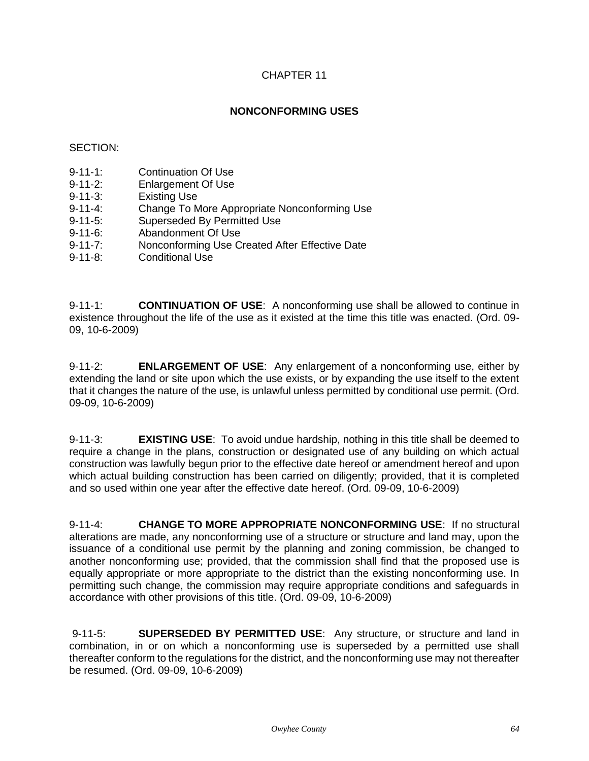# **NONCONFORMING USES**

# SECTION:

- 9-11-1: Continuation Of Use
- 9-11-2: Enlargement Of Use
- 9-11-3: Existing Use
- 9-11-4: Change To More Appropriate Nonconforming Use
- 9-11-5: Superseded By Permitted Use
- 9-11-6: Abandonment Of Use
- 9-11-7: Nonconforming Use Created After Effective Date
- 9-11-8: Conditional Use

9-11-1: **CONTINUATION OF USE**: A nonconforming use shall be allowed to continue in existence throughout the life of the use as it existed at the time this title was enacted. (Ord. 09- 09, 10-6-2009)

9-11-2: **ENLARGEMENT OF USE**: Any enlargement of a nonconforming use, either by extending the land or site upon which the use exists, or by expanding the use itself to the extent that it changes the nature of the use, is unlawful unless permitted by conditional use permit. (Ord. 09-09, 10-6-2009)

9-11-3: **EXISTING USE**: To avoid undue hardship, nothing in this title shall be deemed to require a change in the plans, construction or designated use of any building on which actual construction was lawfully begun prior to the effective date hereof or amendment hereof and upon which actual building construction has been carried on diligently; provided, that it is completed and so used within one year after the effective date hereof. (Ord. 09-09, 10-6-2009)

9-11-4: **CHANGE TO MORE APPROPRIATE NONCONFORMING USE**: If no structural alterations are made, any nonconforming use of a structure or structure and land may, upon the issuance of a conditional use permit by the planning and zoning commission, be changed to another nonconforming use; provided, that the commission shall find that the proposed use is equally appropriate or more appropriate to the district than the existing nonconforming use. In permitting such change, the commission may require appropriate conditions and safeguards in accordance with other provisions of this title. (Ord. 09-09, 10-6-2009)

9-11-5: **SUPERSEDED BY PERMITTED USE**: Any structure, or structure and land in combination, in or on which a nonconforming use is superseded by a permitted use shall thereafter conform to the regulations for the district, and the nonconforming use may not thereafter be resumed. (Ord. 09-09, 10-6-2009)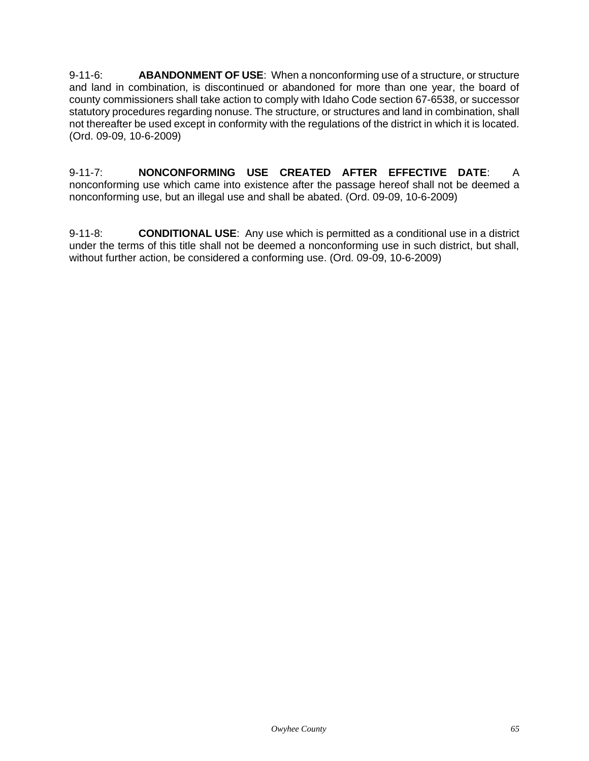9-11-6: **ABANDONMENT OF USE**: When a nonconforming use of a structure, or structure and land in combination, is discontinued or abandoned for more than one year, the board of county commissioners shall take action to comply with Idaho Code section 67-6538, or successor statutory procedures regarding nonuse. The structure, or structures and land in combination, shall not thereafter be used except in conformity with the regulations of the district in which it is located. (Ord. 09-09, 10-6-2009)

9-11-7: **NONCONFORMING USE CREATED AFTER EFFECTIVE DATE**: A nonconforming use which came into existence after the passage hereof shall not be deemed a nonconforming use, but an illegal use and shall be abated. (Ord. 09-09, 10-6-2009)

9-11-8: **CONDITIONAL USE**: Any use which is permitted as a conditional use in a district under the terms of this title shall not be deemed a nonconforming use in such district, but shall, without further action, be considered a conforming use. (Ord. 09-09, 10-6-2009)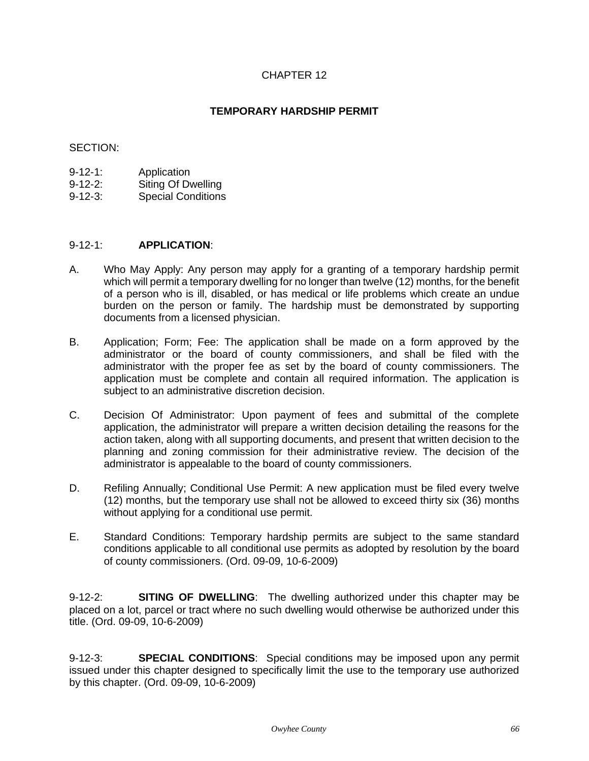# **TEMPORARY HARDSHIP PERMIT**

## SECTION:

- 9-12-1: Application
- 9-12-2: Siting Of Dwelling
- 9-12-3: Special Conditions

# 9-12-1: **APPLICATION**:

- A. Who May Apply: Any person may apply for a granting of a temporary hardship permit which will permit a temporary dwelling for no longer than twelve (12) months, for the benefit of a person who is ill, disabled, or has medical or life problems which create an undue burden on the person or family. The hardship must be demonstrated by supporting documents from a licensed physician.
- B. Application; Form; Fee: The application shall be made on a form approved by the administrator or the board of county commissioners, and shall be filed with the administrator with the proper fee as set by the board of county commissioners. The application must be complete and contain all required information. The application is subject to an administrative discretion decision.
- C. Decision Of Administrator: Upon payment of fees and submittal of the complete application, the administrator will prepare a written decision detailing the reasons for the action taken, along with all supporting documents, and present that written decision to the planning and zoning commission for their administrative review. The decision of the administrator is appealable to the board of county commissioners.
- D. Refiling Annually; Conditional Use Permit: A new application must be filed every twelve (12) months, but the temporary use shall not be allowed to exceed thirty six (36) months without applying for a conditional use permit.
- E. Standard Conditions: Temporary hardship permits are subject to the same standard conditions applicable to all conditional use permits as adopted by resolution by the board of county commissioners. (Ord. 09-09, 10-6-2009)

9-12-2: **SITING OF DWELLING**: The dwelling authorized under this chapter may be placed on a lot, parcel or tract where no such dwelling would otherwise be authorized under this title. (Ord. 09-09, 10-6-2009)

9-12-3: **SPECIAL CONDITIONS**: Special conditions may be imposed upon any permit issued under this chapter designed to specifically limit the use to the temporary use authorized by this chapter. (Ord. 09-09, 10-6-2009)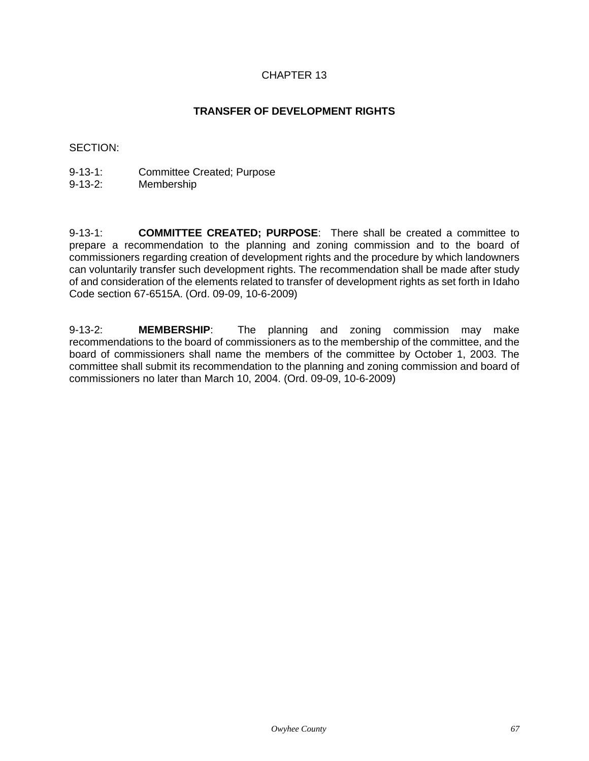# **TRANSFER OF DEVELOPMENT RIGHTS**

## SECTION:

- 9-13-1: Committee Created; Purpose
- 9-13-2: Membership

9-13-1: **COMMITTEE CREATED; PURPOSE**: There shall be created a committee to prepare a recommendation to the planning and zoning commission and to the board of commissioners regarding creation of development rights and the procedure by which landowners can voluntarily transfer such development rights. The recommendation shall be made after study of and consideration of the elements related to transfer of development rights as set forth in Idaho Code section 67-6515A. (Ord. 09-09, 10-6-2009)

9-13-2: **MEMBERSHIP**: The planning and zoning commission may make recommendations to the board of commissioners as to the membership of the committee, and the board of commissioners shall name the members of the committee by October 1, 2003. The committee shall submit its recommendation to the planning and zoning commission and board of commissioners no later than March 10, 2004. (Ord. 09-09, 10-6-2009)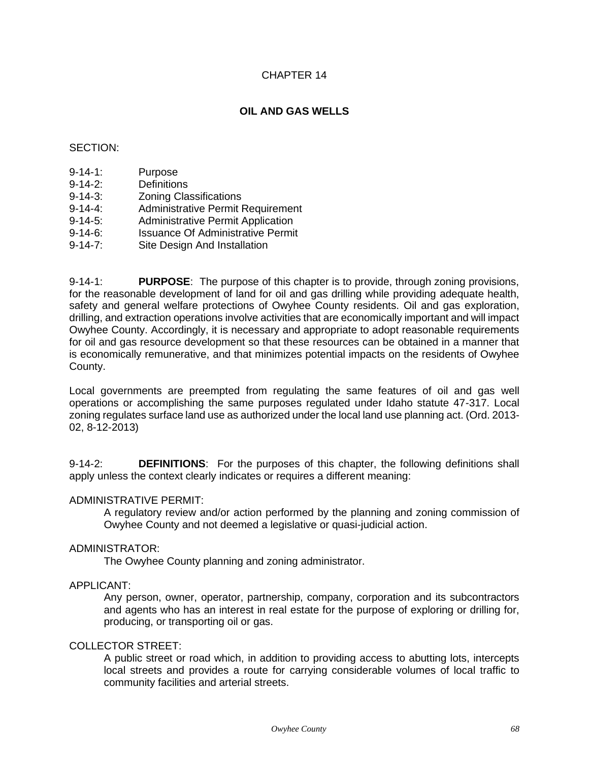# **OIL AND GAS WELLS**

## SECTION:

- 9-14-1: Purpose
- 9-14-2: Definitions
- 9-14-3: Zoning Classifications
- 9-14-4: Administrative Permit Requirement
- 9-14-5: Administrative Permit Application
- 9-14-6: Issuance Of Administrative Permit
- 9-14-7: Site Design And Installation

9-14-1: **PURPOSE**: The purpose of this chapter is to provide, through zoning provisions, for the reasonable development of land for oil and gas drilling while providing adequate health, safety and general welfare protections of Owyhee County residents. Oil and gas exploration, drilling, and extraction operations involve activities that are economically important and will impact Owyhee County. Accordingly, it is necessary and appropriate to adopt reasonable requirements for oil and gas resource development so that these resources can be obtained in a manner that is economically remunerative, and that minimizes potential impacts on the residents of Owyhee County.

Local governments are preempted from regulating the same features of oil and gas well operations or accomplishing the same purposes regulated under Idaho statute 47-317. Local zoning regulates surface land use as authorized under the local land use planning act. (Ord. 2013- 02, 8-12-2013)

9-14-2: **DEFINITIONS**: For the purposes of this chapter, the following definitions shall apply unless the context clearly indicates or requires a different meaning:

## ADMINISTRATIVE PERMIT:

A regulatory review and/or action performed by the planning and zoning commission of Owyhee County and not deemed a legislative or quasi-judicial action.

## ADMINISTRATOR:

The Owyhee County planning and zoning administrator.

## APPLICANT:

Any person, owner, operator, partnership, company, corporation and its subcontractors and agents who has an interest in real estate for the purpose of exploring or drilling for, producing, or transporting oil or gas.

# COLLECTOR STREET:

A public street or road which, in addition to providing access to abutting lots, intercepts local streets and provides a route for carrying considerable volumes of local traffic to community facilities and arterial streets.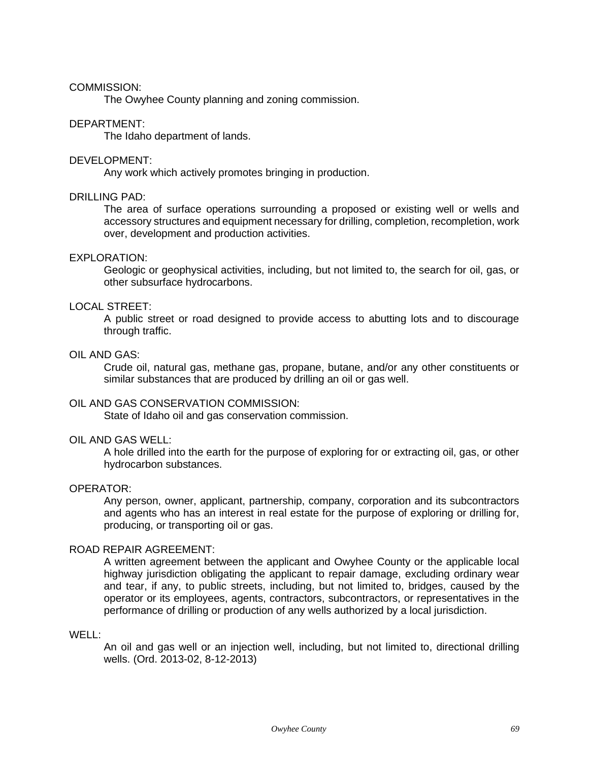#### COMMISSION:

The Owyhee County planning and zoning commission.

#### DEPARTMENT:

The Idaho department of lands.

#### DEVELOPMENT:

Any work which actively promotes bringing in production.

#### DRILLING PAD:

The area of surface operations surrounding a proposed or existing well or wells and accessory structures and equipment necessary for drilling, completion, recompletion, work over, development and production activities.

#### EXPLORATION:

Geologic or geophysical activities, including, but not limited to, the search for oil, gas, or other subsurface hydrocarbons.

# LOCAL STREET:

A public street or road designed to provide access to abutting lots and to discourage through traffic.

# OIL AND GAS:

Crude oil, natural gas, methane gas, propane, butane, and/or any other constituents or similar substances that are produced by drilling an oil or gas well.

#### OIL AND GAS CONSERVATION COMMISSION:

State of Idaho oil and gas conservation commission.

#### OIL AND GAS WELL:

A hole drilled into the earth for the purpose of exploring for or extracting oil, gas, or other hydrocarbon substances.

#### OPERATOR:

Any person, owner, applicant, partnership, company, corporation and its subcontractors and agents who has an interest in real estate for the purpose of exploring or drilling for, producing, or transporting oil or gas.

# ROAD REPAIR AGREEMENT:

A written agreement between the applicant and Owyhee County or the applicable local highway jurisdiction obligating the applicant to repair damage, excluding ordinary wear and tear, if any, to public streets, including, but not limited to, bridges, caused by the operator or its employees, agents, contractors, subcontractors, or representatives in the performance of drilling or production of any wells authorized by a local jurisdiction.

## WELL:

An oil and gas well or an injection well, including, but not limited to, directional drilling wells. (Ord. 2013-02, 8-12-2013)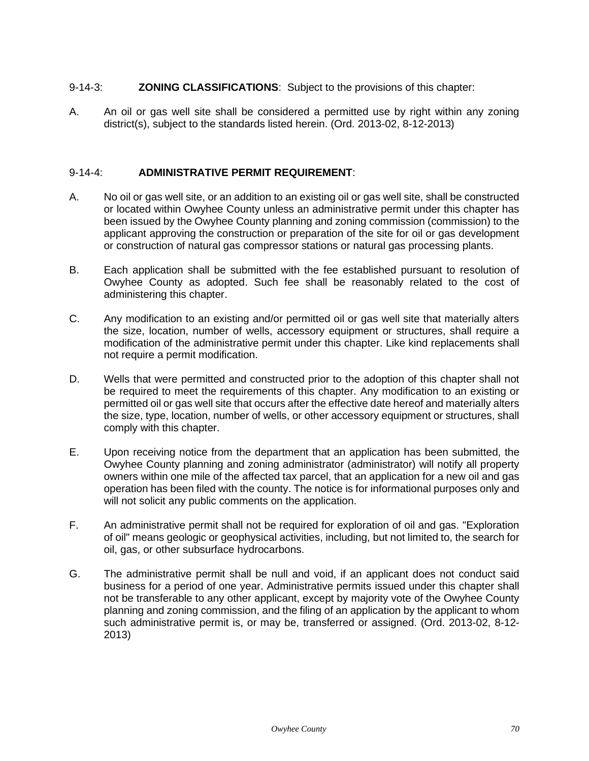# 9-14-3: **ZONING CLASSIFICATIONS**: Subject to the provisions of this chapter:

A. An oil or gas well site shall be considered a permitted use by right within any zoning district(s), subject to the standards listed herein. (Ord. 2013-02, 8-12-2013)

## 9-14-4: **ADMINISTRATIVE PERMIT REQUIREMENT**:

- A. No oil or gas well site, or an addition to an existing oil or gas well site, shall be constructed or located within Owyhee County unless an administrative permit under this chapter has been issued by the Owyhee County planning and zoning commission (commission) to the applicant approving the construction or preparation of the site for oil or gas development or construction of natural gas compressor stations or natural gas processing plants.
- B. Each application shall be submitted with the fee established pursuant to resolution of Owyhee County as adopted. Such fee shall be reasonably related to the cost of administering this chapter.
- C. Any modification to an existing and/or permitted oil or gas well site that materially alters the size, location, number of wells, accessory equipment or structures, shall require a modification of the administrative permit under this chapter. Like kind replacements shall not require a permit modification.
- D. Wells that were permitted and constructed prior to the adoption of this chapter shall not be required to meet the requirements of this chapter. Any modification to an existing or permitted oil or gas well site that occurs after the effective date hereof and materially alters the size, type, location, number of wells, or other accessory equipment or structures, shall comply with this chapter.
- E. Upon receiving notice from the department that an application has been submitted, the Owyhee County planning and zoning administrator (administrator) will notify all property owners within one mile of the affected tax parcel, that an application for a new oil and gas operation has been filed with the county. The notice is for informational purposes only and will not solicit any public comments on the application.
- F. An administrative permit shall not be required for exploration of oil and gas. "Exploration of oil" means geologic or geophysical activities, including, but not limited to, the search for oil, gas, or other subsurface hydrocarbons.
- G. The administrative permit shall be null and void, if an applicant does not conduct said business for a period of one year. Administrative permits issued under this chapter shall not be transferable to any other applicant, except by majority vote of the Owyhee County planning and zoning commission, and the filing of an application by the applicant to whom such administrative permit is, or may be, transferred or assigned. (Ord. 2013-02, 8-12- 2013)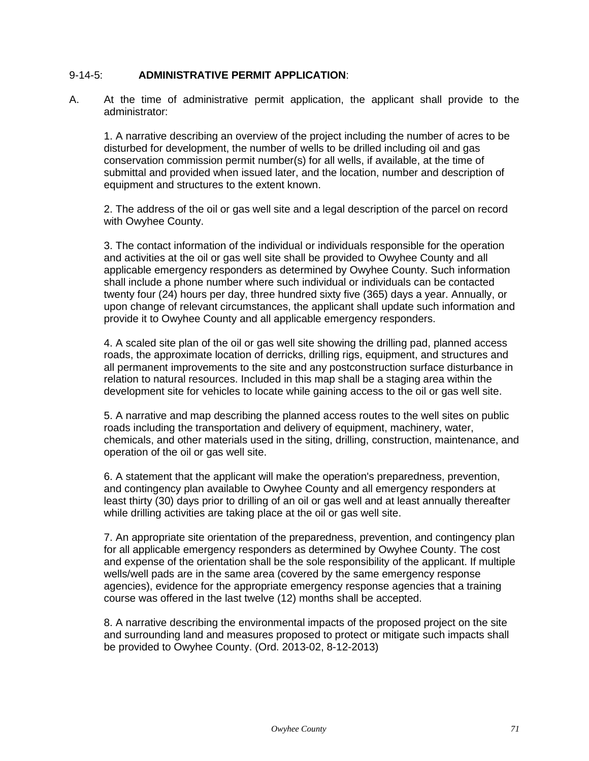# 9-14-5: **ADMINISTRATIVE PERMIT APPLICATION**:

A. At the time of administrative permit application, the applicant shall provide to the administrator:

1. A narrative describing an overview of the project including the number of acres to be disturbed for development, the number of wells to be drilled including oil and gas conservation commission permit number(s) for all wells, if available, at the time of submittal and provided when issued later, and the location, number and description of equipment and structures to the extent known.

2. The address of the oil or gas well site and a legal description of the parcel on record with Owyhee County.

3. The contact information of the individual or individuals responsible for the operation and activities at the oil or gas well site shall be provided to Owyhee County and all applicable emergency responders as determined by Owyhee County. Such information shall include a phone number where such individual or individuals can be contacted twenty four (24) hours per day, three hundred sixty five (365) days a year. Annually, or upon change of relevant circumstances, the applicant shall update such information and provide it to Owyhee County and all applicable emergency responders.

4. A scaled site plan of the oil or gas well site showing the drilling pad, planned access roads, the approximate location of derricks, drilling rigs, equipment, and structures and all permanent improvements to the site and any postconstruction surface disturbance in relation to natural resources. Included in this map shall be a staging area within the development site for vehicles to locate while gaining access to the oil or gas well site.

5. A narrative and map describing the planned access routes to the well sites on public roads including the transportation and delivery of equipment, machinery, water, chemicals, and other materials used in the siting, drilling, construction, maintenance, and operation of the oil or gas well site.

6. A statement that the applicant will make the operation's preparedness, prevention, and contingency plan available to Owyhee County and all emergency responders at least thirty (30) days prior to drilling of an oil or gas well and at least annually thereafter while drilling activities are taking place at the oil or gas well site.

7. An appropriate site orientation of the preparedness, prevention, and contingency plan for all applicable emergency responders as determined by Owyhee County. The cost and expense of the orientation shall be the sole responsibility of the applicant. If multiple wells/well pads are in the same area (covered by the same emergency response agencies), evidence for the appropriate emergency response agencies that a training course was offered in the last twelve (12) months shall be accepted.

8. A narrative describing the environmental impacts of the proposed project on the site and surrounding land and measures proposed to protect or mitigate such impacts shall be provided to Owyhee County. (Ord. 2013-02, 8-12-2013)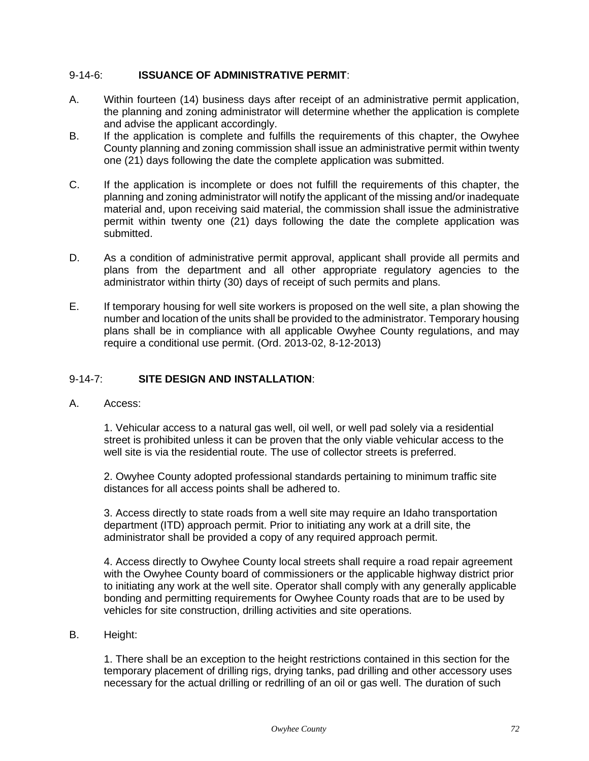# 9-14-6: **ISSUANCE OF ADMINISTRATIVE PERMIT**:

- A. Within fourteen (14) business days after receipt of an administrative permit application, the planning and zoning administrator will determine whether the application is complete and advise the applicant accordingly.
- B. If the application is complete and fulfills the requirements of this chapter, the Owyhee County planning and zoning commission shall issue an administrative permit within twenty one (21) days following the date the complete application was submitted.
- C. If the application is incomplete or does not fulfill the requirements of this chapter, the planning and zoning administrator will notify the applicant of the missing and/or inadequate material and, upon receiving said material, the commission shall issue the administrative permit within twenty one (21) days following the date the complete application was submitted.
- D. As a condition of administrative permit approval, applicant shall provide all permits and plans from the department and all other appropriate regulatory agencies to the administrator within thirty (30) days of receipt of such permits and plans.
- E. If temporary housing for well site workers is proposed on the well site, a plan showing the number and location of the units shall be provided to the administrator. Temporary housing plans shall be in compliance with all applicable Owyhee County regulations, and may require a conditional use permit. (Ord. 2013-02, 8-12-2013)

# 9-14-7: **SITE DESIGN AND INSTALLATION**:

A. Access:

1. Vehicular access to a natural gas well, oil well, or well pad solely via a residential street is prohibited unless it can be proven that the only viable vehicular access to the well site is via the residential route. The use of collector streets is preferred.

2. Owyhee County adopted professional standards pertaining to minimum traffic site distances for all access points shall be adhered to.

3. Access directly to state roads from a well site may require an Idaho transportation department (ITD) approach permit. Prior to initiating any work at a drill site, the administrator shall be provided a copy of any required approach permit.

4. Access directly to Owyhee County local streets shall require a road repair agreement with the Owyhee County board of commissioners or the applicable highway district prior to initiating any work at the well site. Operator shall comply with any generally applicable bonding and permitting requirements for Owyhee County roads that are to be used by vehicles for site construction, drilling activities and site operations.

## B. Height:

1. There shall be an exception to the height restrictions contained in this section for the temporary placement of drilling rigs, drying tanks, pad drilling and other accessory uses necessary for the actual drilling or redrilling of an oil or gas well. The duration of such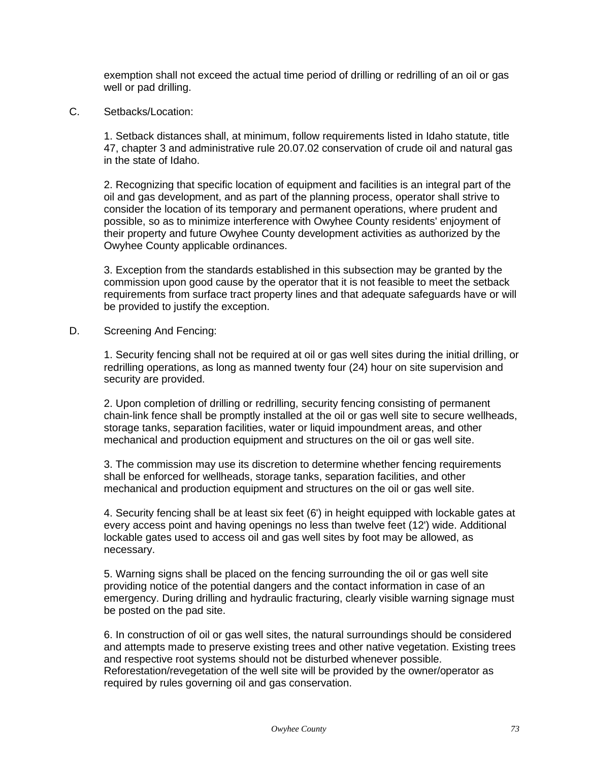exemption shall not exceed the actual time period of drilling or redrilling of an oil or gas well or pad drilling.

C. Setbacks/Location:

1. Setback distances shall, at minimum, follow requirements listed in Idaho statute, title 47, chapter 3 and administrative rule 20.07.02 conservation of crude oil and natural gas in the state of Idaho.

2. Recognizing that specific location of equipment and facilities is an integral part of the oil and gas development, and as part of the planning process, operator shall strive to consider the location of its temporary and permanent operations, where prudent and possible, so as to minimize interference with Owyhee County residents' enjoyment of their property and future Owyhee County development activities as authorized by the Owyhee County applicable ordinances.

3. Exception from the standards established in this subsection may be granted by the commission upon good cause by the operator that it is not feasible to meet the setback requirements from surface tract property lines and that adequate safeguards have or will be provided to justify the exception.

D. Screening And Fencing:

1. Security fencing shall not be required at oil or gas well sites during the initial drilling, or redrilling operations, as long as manned twenty four (24) hour on site supervision and security are provided.

2. Upon completion of drilling or redrilling, security fencing consisting of permanent chain-link fence shall be promptly installed at the oil or gas well site to secure wellheads, storage tanks, separation facilities, water or liquid impoundment areas, and other mechanical and production equipment and structures on the oil or gas well site.

3. The commission may use its discretion to determine whether fencing requirements shall be enforced for wellheads, storage tanks, separation facilities, and other mechanical and production equipment and structures on the oil or gas well site.

4. Security fencing shall be at least six feet (6') in height equipped with lockable gates at every access point and having openings no less than twelve feet (12') wide. Additional lockable gates used to access oil and gas well sites by foot may be allowed, as necessary.

5. Warning signs shall be placed on the fencing surrounding the oil or gas well site providing notice of the potential dangers and the contact information in case of an emergency. During drilling and hydraulic fracturing, clearly visible warning signage must be posted on the pad site.

6. In construction of oil or gas well sites, the natural surroundings should be considered and attempts made to preserve existing trees and other native vegetation. Existing trees and respective root systems should not be disturbed whenever possible. Reforestation/revegetation of the well site will be provided by the owner/operator as required by rules governing oil and gas conservation.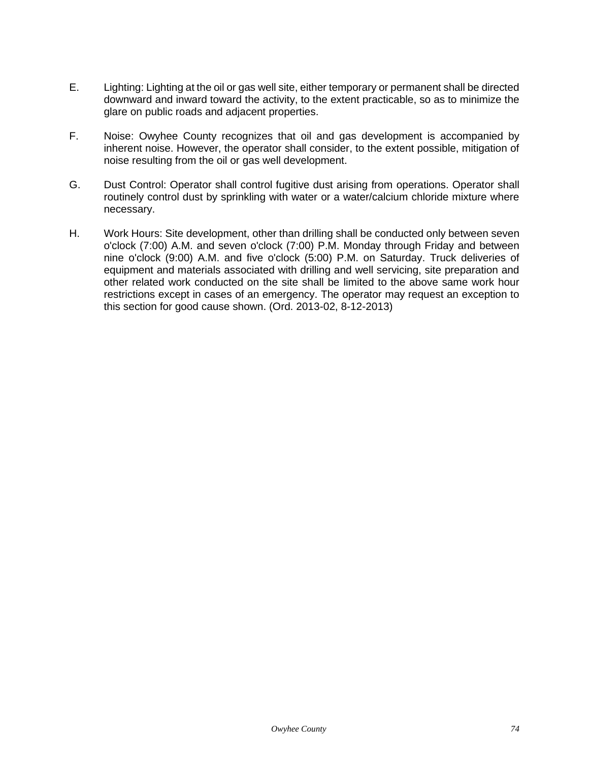- E. Lighting: Lighting at the oil or gas well site, either temporary or permanent shall be directed downward and inward toward the activity, to the extent practicable, so as to minimize the glare on public roads and adjacent properties.
- F. Noise: Owyhee County recognizes that oil and gas development is accompanied by inherent noise. However, the operator shall consider, to the extent possible, mitigation of noise resulting from the oil or gas well development.
- G. Dust Control: Operator shall control fugitive dust arising from operations. Operator shall routinely control dust by sprinkling with water or a water/calcium chloride mixture where necessary.
- H. Work Hours: Site development, other than drilling shall be conducted only between seven o'clock (7:00) A.M. and seven o'clock (7:00) P.M. Monday through Friday and between nine o'clock (9:00) A.M. and five o'clock (5:00) P.M. on Saturday. Truck deliveries of equipment and materials associated with drilling and well servicing, site preparation and other related work conducted on the site shall be limited to the above same work hour restrictions except in cases of an emergency. The operator may request an exception to this section for good cause shown. (Ord. 2013-02, 8-12-2013)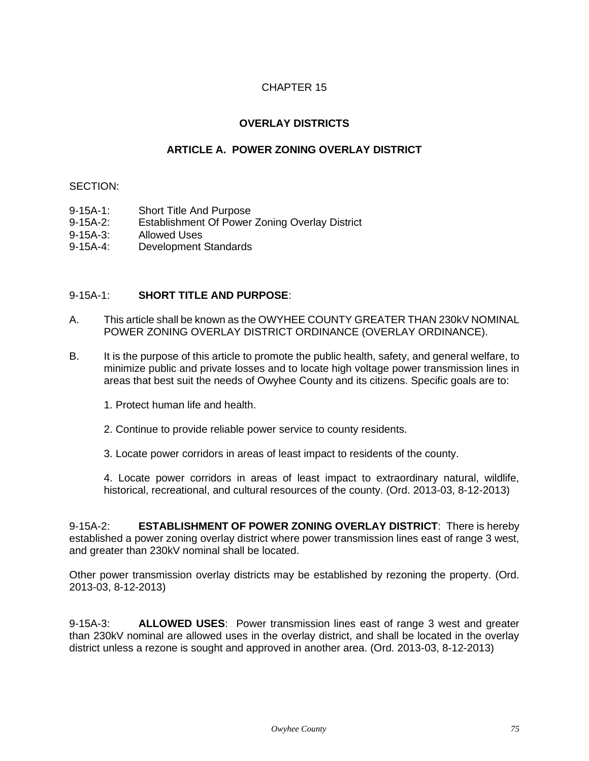# **OVERLAY DISTRICTS**

# **ARTICLE A. POWER ZONING OVERLAY DISTRICT**

#### SECTION:

- 9-15A-1: Short Title And Purpose
- 9-15A-2: Establishment Of Power Zoning Overlay District
- 9-15A-3: Allowed Uses
- 9-15A-4: Development Standards

## 9-15A-1: **SHORT TITLE AND PURPOSE**:

- A. This article shall be known as the OWYHEE COUNTY GREATER THAN 230kV NOMINAL POWER ZONING OVERLAY DISTRICT ORDINANCE (OVERLAY ORDINANCE).
- B. It is the purpose of this article to promote the public health, safety, and general welfare, to minimize public and private losses and to locate high voltage power transmission lines in areas that best suit the needs of Owyhee County and its citizens. Specific goals are to:
	- 1. Protect human life and health.
	- 2. Continue to provide reliable power service to county residents.
	- 3. Locate power corridors in areas of least impact to residents of the county.

4. Locate power corridors in areas of least impact to extraordinary natural, wildlife, historical, recreational, and cultural resources of the county. (Ord. 2013-03, 8-12-2013)

9-15A-2: **ESTABLISHMENT OF POWER ZONING OVERLAY DISTRICT**: There is hereby established a power zoning overlay district where power transmission lines east of range 3 west, and greater than 230kV nominal shall be located.

Other power transmission overlay districts may be established by rezoning the property. (Ord. 2013-03, 8-12-2013)

9-15A-3: **ALLOWED USES**: Power transmission lines east of range 3 west and greater than 230kV nominal are allowed uses in the overlay district, and shall be located in the overlay district unless a rezone is sought and approved in another area. (Ord. 2013-03, 8-12-2013)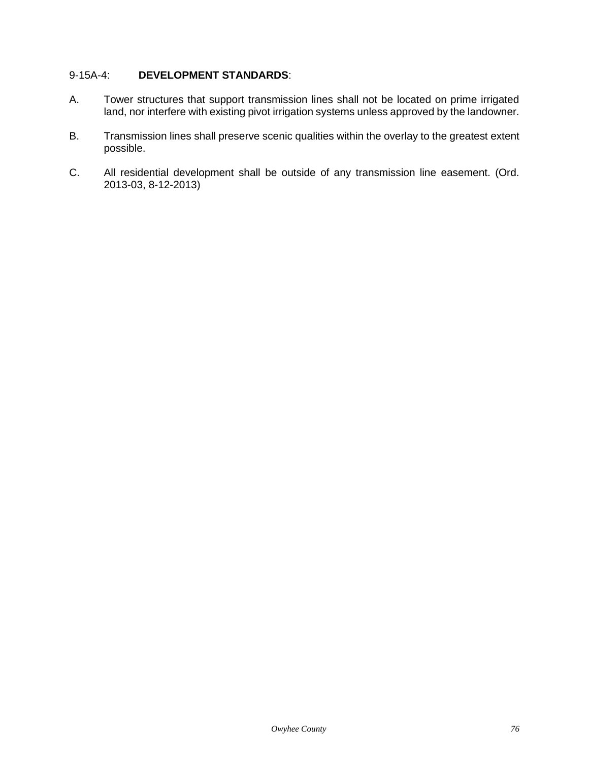# 9-15A-4: **DEVELOPMENT STANDARDS**:

- A. Tower structures that support transmission lines shall not be located on prime irrigated land, nor interfere with existing pivot irrigation systems unless approved by the landowner.
- B. Transmission lines shall preserve scenic qualities within the overlay to the greatest extent possible.
- C. All residential development shall be outside of any transmission line easement. (Ord. 2013-03, 8-12-2013)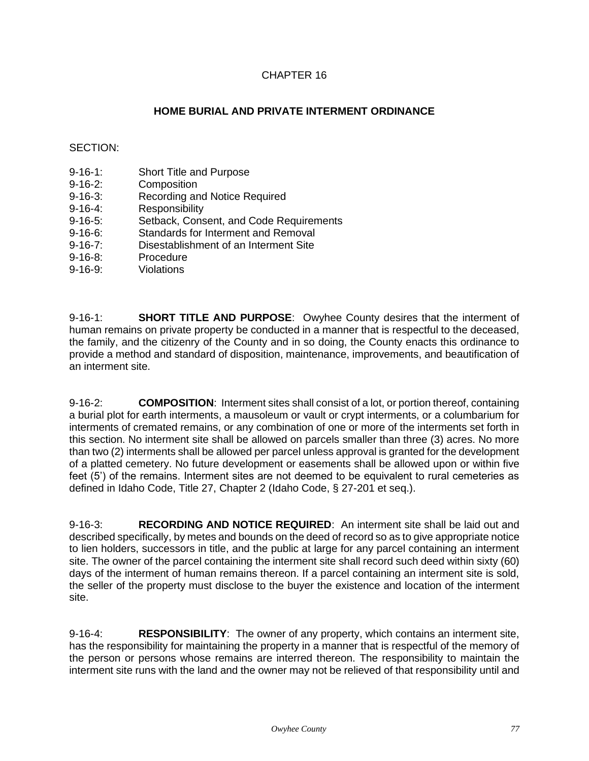# **HOME BURIAL AND PRIVATE INTERMENT ORDINANCE**

## SECTION:

- 9-16-1: Short Title and Purpose
- 9-16-2: Composition
- 9-16-3: Recording and Notice Required
- 9-16-4: Responsibility
- 9-16-5: Setback, Consent, and Code Requirements
- 9-16-6: Standards for Interment and Removal
- 9-16-7: Disestablishment of an Interment Site
- 9-16-8: Procedure
- 9-16-9: Violations

9-16-1: **SHORT TITLE AND PURPOSE**: Owyhee County desires that the interment of human remains on private property be conducted in a manner that is respectful to the deceased, the family, and the citizenry of the County and in so doing, the County enacts this ordinance to provide a method and standard of disposition, maintenance, improvements, and beautification of an interment site.

9-16-2: **COMPOSITION**: Interment sites shall consist of a lot, or portion thereof, containing a burial plot for earth interments, a mausoleum or vault or crypt interments, or a columbarium for interments of cremated remains, or any combination of one or more of the interments set forth in this section. No interment site shall be allowed on parcels smaller than three (3) acres. No more than two (2) interments shall be allowed per parcel unless approval is granted for the development of a platted cemetery. No future development or easements shall be allowed upon or within five feet (5') of the remains. Interment sites are not deemed to be equivalent to rural cemeteries as defined in Idaho Code, Title 27, Chapter 2 (Idaho Code, § 27-201 et seq.).

9-16-3: **RECORDING AND NOTICE REQUIRED**: An interment site shall be laid out and described specifically, by metes and bounds on the deed of record so as to give appropriate notice to lien holders, successors in title, and the public at large for any parcel containing an interment site. The owner of the parcel containing the interment site shall record such deed within sixty (60) days of the interment of human remains thereon. If a parcel containing an interment site is sold, the seller of the property must disclose to the buyer the existence and location of the interment site.

9-16-4: **RESPONSIBILITY**: The owner of any property, which contains an interment site, has the responsibility for maintaining the property in a manner that is respectful of the memory of the person or persons whose remains are interred thereon. The responsibility to maintain the interment site runs with the land and the owner may not be relieved of that responsibility until and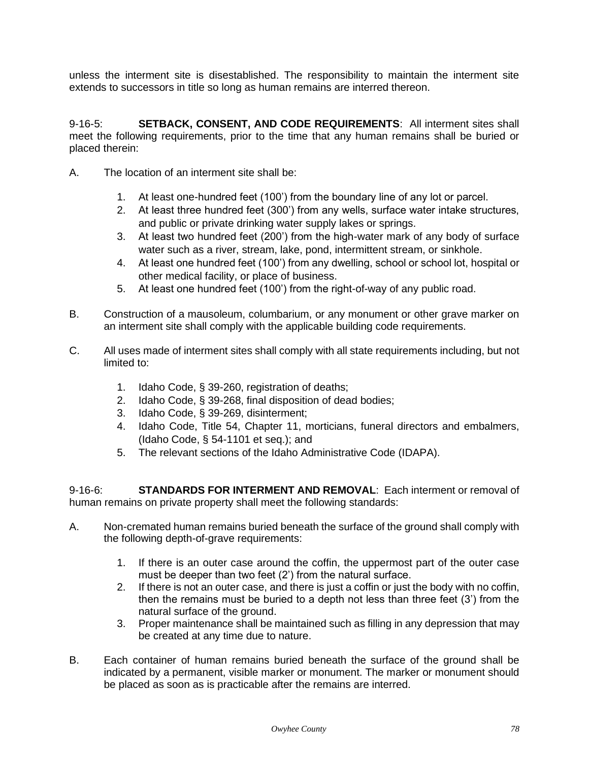unless the interment site is disestablished. The responsibility to maintain the interment site extends to successors in title so long as human remains are interred thereon.

9-16-5: **SETBACK, CONSENT, AND CODE REQUIREMENTS**: All interment sites shall meet the following requirements, prior to the time that any human remains shall be buried or placed therein:

- A. The location of an interment site shall be:
	- 1. At least one-hundred feet (100') from the boundary line of any lot or parcel.
	- 2. At least three hundred feet (300') from any wells, surface water intake structures, and public or private drinking water supply lakes or springs.
	- 3. At least two hundred feet (200') from the high-water mark of any body of surface water such as a river, stream, lake, pond, intermittent stream, or sinkhole.
	- 4. At least one hundred feet (100') from any dwelling, school or school lot, hospital or other medical facility, or place of business.
	- 5. At least one hundred feet (100') from the right-of-way of any public road.
- B. Construction of a mausoleum, columbarium, or any monument or other grave marker on an interment site shall comply with the applicable building code requirements.
- C. All uses made of interment sites shall comply with all state requirements including, but not limited to:
	- 1. Idaho Code, § 39-260, registration of deaths;
	- 2. Idaho Code, § 39-268, final disposition of dead bodies;
	- 3. Idaho Code, § 39-269, disinterment;
	- 4. Idaho Code, Title 54, Chapter 11, morticians, funeral directors and embalmers, (Idaho Code, § 54-1101 et seq.); and
	- 5. The relevant sections of the Idaho Administrative Code (IDAPA).

9-16-6: **STANDARDS FOR INTERMENT AND REMOVAL**: Each interment or removal of human remains on private property shall meet the following standards:

- A. Non-cremated human remains buried beneath the surface of the ground shall comply with the following depth-of-grave requirements:
	- 1. If there is an outer case around the coffin, the uppermost part of the outer case must be deeper than two feet (2') from the natural surface.
	- 2. If there is not an outer case, and there is just a coffin or just the body with no coffin, then the remains must be buried to a depth not less than three feet (3') from the natural surface of the ground.
	- 3. Proper maintenance shall be maintained such as filling in any depression that may be created at any time due to nature.
- B. Each container of human remains buried beneath the surface of the ground shall be indicated by a permanent, visible marker or monument. The marker or monument should be placed as soon as is practicable after the remains are interred.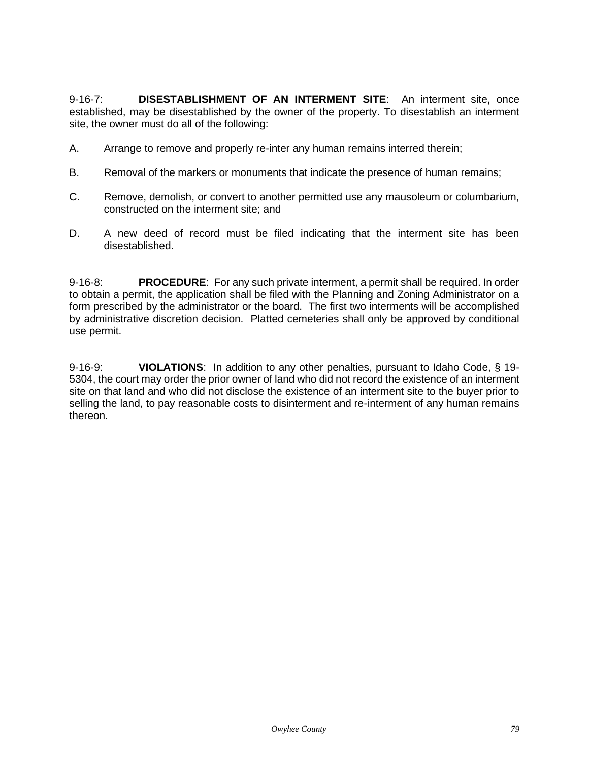9-16-7: **DISESTABLISHMENT OF AN INTERMENT SITE**: An interment site, once established, may be disestablished by the owner of the property. To disestablish an interment site, the owner must do all of the following:

- A. Arrange to remove and properly re-inter any human remains interred therein;
- B. Removal of the markers or monuments that indicate the presence of human remains;
- C. Remove, demolish, or convert to another permitted use any mausoleum or columbarium, constructed on the interment site; and
- D. A new deed of record must be filed indicating that the interment site has been disestablished.

9-16-8: **PROCEDURE**: For any such private interment, a permit shall be required. In order to obtain a permit, the application shall be filed with the Planning and Zoning Administrator on a form prescribed by the administrator or the board. The first two interments will be accomplished by administrative discretion decision. Platted cemeteries shall only be approved by conditional use permit.

9-16-9: **VIOLATIONS**: In addition to any other penalties, pursuant to Idaho Code, § 19- 5304, the court may order the prior owner of land who did not record the existence of an interment site on that land and who did not disclose the existence of an interment site to the buyer prior to selling the land, to pay reasonable costs to disinterment and re-interment of any human remains thereon.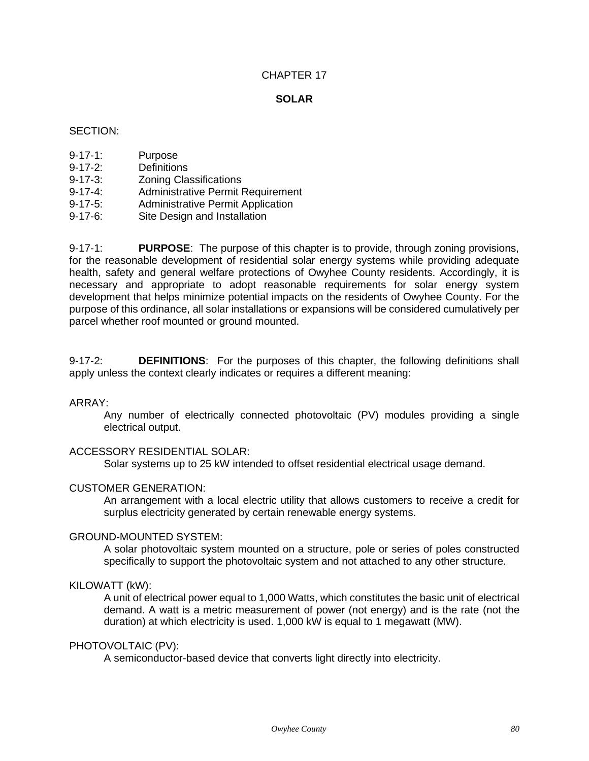## **SOLAR**

## SECTION:

- 9-17-1: Purpose
- 9-17-2: Definitions
- 9-17-3: Zoning Classifications
- 9-17-4: Administrative Permit Requirement
- 9-17-5: Administrative Permit Application
- 9-17-6: Site Design and Installation

9-17-1: **PURPOSE**: The purpose of this chapter is to provide, through zoning provisions, for the reasonable development of residential solar energy systems while providing adequate health, safety and general welfare protections of Owyhee County residents. Accordingly, it is necessary and appropriate to adopt reasonable requirements for solar energy system development that helps minimize potential impacts on the residents of Owyhee County. For the purpose of this ordinance, all solar installations or expansions will be considered cumulatively per parcel whether roof mounted or ground mounted.

9-17-2: **DEFINITIONS**: For the purposes of this chapter, the following definitions shall apply unless the context clearly indicates or requires a different meaning:

#### ARRAY:

Any number of electrically connected photovoltaic (PV) modules providing a single electrical output.

#### ACCESSORY RESIDENTIAL SOLAR:

Solar systems up to 25 kW intended to offset residential electrical usage demand.

#### CUSTOMER GENERATION:

An arrangement with a local electric utility that allows customers to receive a credit for surplus electricity generated by certain renewable energy systems.

## GROUND-MOUNTED SYSTEM:

A solar photovoltaic system mounted on a structure, pole or series of poles constructed specifically to support the photovoltaic system and not attached to any other structure.

#### KILOWATT (kW):

A unit of electrical power equal to 1,000 Watts, which constitutes the basic unit of electrical demand. A watt is a metric measurement of power (not energy) and is the rate (not the duration) at which electricity is used. 1,000 kW is equal to 1 megawatt (MW).

#### PHOTOVOLTAIC (PV):

A semiconductor-based device that converts light directly into electricity.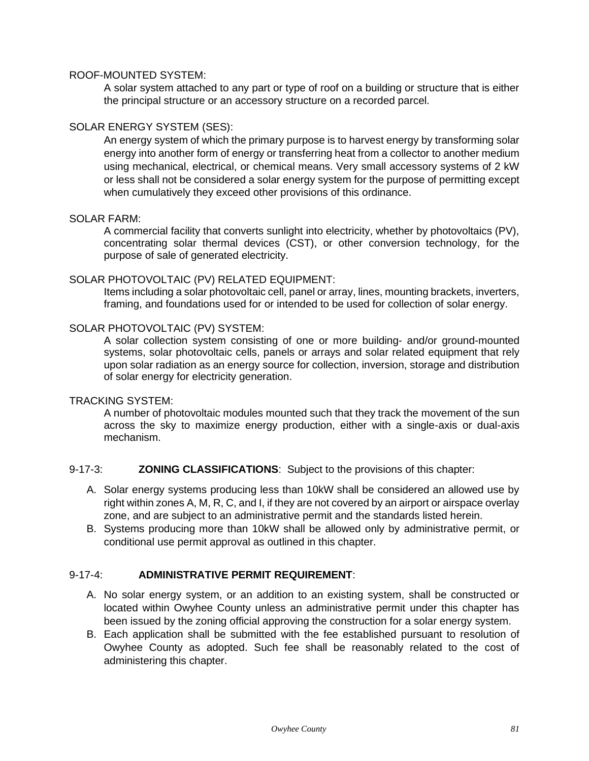### ROOF-MOUNTED SYSTEM:

A solar system attached to any part or type of roof on a building or structure that is either the principal structure or an accessory structure on a recorded parcel.

## SOLAR ENERGY SYSTEM (SES):

An energy system of which the primary purpose is to harvest energy by transforming solar energy into another form of energy or transferring heat from a collector to another medium using mechanical, electrical, or chemical means. Very small accessory systems of 2 kW or less shall not be considered a solar energy system for the purpose of permitting except when cumulatively they exceed other provisions of this ordinance.

## SOLAR FARM:

A commercial facility that converts sunlight into electricity, whether by photovoltaics (PV), concentrating solar thermal devices (CST), or other conversion technology, for the purpose of sale of generated electricity.

## SOLAR PHOTOVOLTAIC (PV) RELATED EQUIPMENT:

Items including a solar photovoltaic cell, panel or array, lines, mounting brackets, inverters, framing, and foundations used for or intended to be used for collection of solar energy.

## SOLAR PHOTOVOLTAIC (PV) SYSTEM:

A solar collection system consisting of one or more building- and/or ground-mounted systems, solar photovoltaic cells, panels or arrays and solar related equipment that rely upon solar radiation as an energy source for collection, inversion, storage and distribution of solar energy for electricity generation.

### TRACKING SYSTEM:

A number of photovoltaic modules mounted such that they track the movement of the sun across the sky to maximize energy production, either with a single-axis or dual-axis mechanism.

#### 9-17-3: **ZONING CLASSIFICATIONS**: Subject to the provisions of this chapter:

- A. Solar energy systems producing less than 10kW shall be considered an allowed use by right within zones A, M, R, C, and I, if they are not covered by an airport or airspace overlay zone, and are subject to an administrative permit and the standards listed herein.
- B. Systems producing more than 10kW shall be allowed only by administrative permit, or conditional use permit approval as outlined in this chapter.

# 9-17-4: **ADMINISTRATIVE PERMIT REQUIREMENT**:

- A. No solar energy system, or an addition to an existing system, shall be constructed or located within Owyhee County unless an administrative permit under this chapter has been issued by the zoning official approving the construction for a solar energy system.
- B. Each application shall be submitted with the fee established pursuant to resolution of Owyhee County as adopted. Such fee shall be reasonably related to the cost of administering this chapter.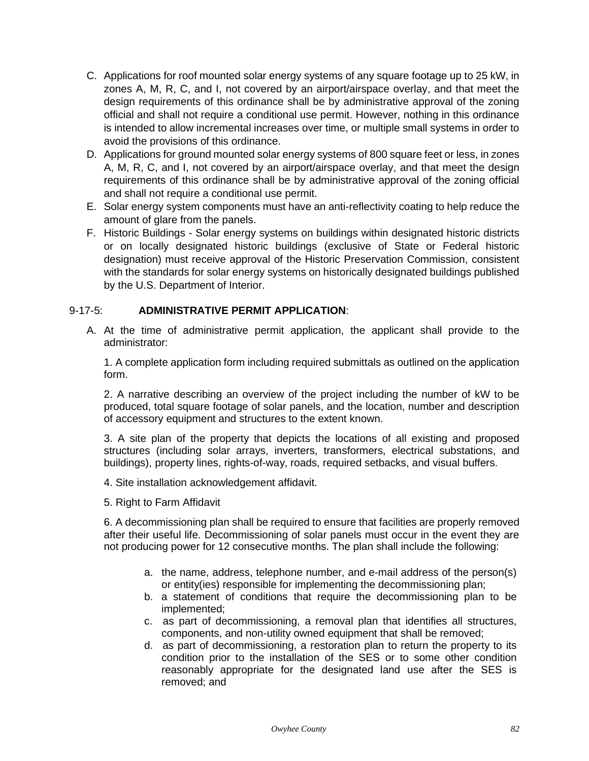- C. Applications for roof mounted solar energy systems of any square footage up to 25 kW, in zones A, M, R, C, and I, not covered by an airport/airspace overlay, and that meet the design requirements of this ordinance shall be by administrative approval of the zoning official and shall not require a conditional use permit. However, nothing in this ordinance is intended to allow incremental increases over time, or multiple small systems in order to avoid the provisions of this ordinance.
- D. Applications for ground mounted solar energy systems of 800 square feet or less, in zones A, M, R, C, and I, not covered by an airport/airspace overlay, and that meet the design requirements of this ordinance shall be by administrative approval of the zoning official and shall not require a conditional use permit.
- E. Solar energy system components must have an anti-reflectivity coating to help reduce the amount of glare from the panels.
- F. Historic Buildings Solar energy systems on buildings within designated historic districts or on locally designated historic buildings (exclusive of State or Federal historic designation) must receive approval of the Historic Preservation Commission, consistent with the standards for solar energy systems on historically designated buildings published by the U.S. Department of Interior.

# 9-17-5: **ADMINISTRATIVE PERMIT APPLICATION**:

A. At the time of administrative permit application, the applicant shall provide to the administrator:

1. A complete application form including required submittals as outlined on the application form.

2. A narrative describing an overview of the project including the number of kW to be produced, total square footage of solar panels, and the location, number and description of accessory equipment and structures to the extent known.

3. A site plan of the property that depicts the locations of all existing and proposed structures (including solar arrays, inverters, transformers, electrical substations, and buildings), property lines, rights-of-way, roads, required setbacks, and visual buffers.

- 4. Site installation acknowledgement affidavit.
- 5. Right to Farm Affidavit

6. A decommissioning plan shall be required to ensure that facilities are properly removed after their useful life. Decommissioning of solar panels must occur in the event they are not producing power for 12 consecutive months. The plan shall include the following:

- a. the name, address, telephone number, and e-mail address of the person(s) or entity(ies) responsible for implementing the decommissioning plan;
- b. a statement of conditions that require the decommissioning plan to be implemented;
- c. as part of decommissioning, a removal plan that identifies all structures, components, and non-utility owned equipment that shall be removed;
- d. as part of decommissioning, a restoration plan to return the property to its condition prior to the installation of the SES or to some other condition reasonably appropriate for the designated land use after the SES is removed; and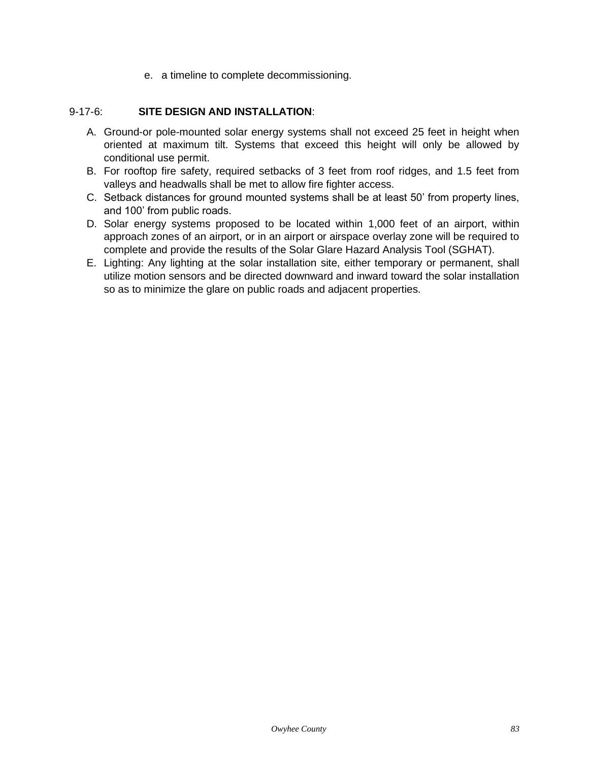e. a timeline to complete decommissioning.

# 9-17-6: **SITE DESIGN AND INSTALLATION**:

- A. Ground-or pole-mounted solar energy systems shall not exceed 25 feet in height when oriented at maximum tilt. Systems that exceed this height will only be allowed by conditional use permit.
- B. For rooftop fire safety, required setbacks of 3 feet from roof ridges, and 1.5 feet from valleys and headwalls shall be met to allow fire fighter access.
- C. Setback distances for ground mounted systems shall be at least 50' from property lines, and 100' from public roads.
- D. Solar energy systems proposed to be located within 1,000 feet of an airport, within approach zones of an airport, or in an airport or airspace overlay zone will be required to complete and provide the results of the Solar Glare Hazard Analysis Tool (SGHAT).
- E. Lighting: Any lighting at the solar installation site, either temporary or permanent, shall utilize motion sensors and be directed downward and inward toward the solar installation so as to minimize the glare on public roads and adjacent properties.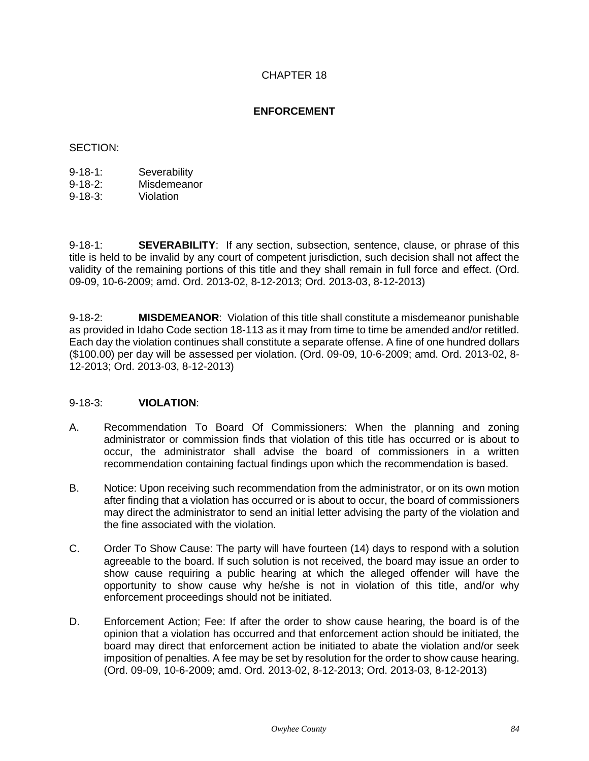## **ENFORCEMENT**

## SECTION:

| $9 - 18 - 1$ : | Severability |
|----------------|--------------|
| $9 - 18 - 2$ : | Misdemeanor  |

9-18-3: Violation

9-18-1: **SEVERABILITY**: If any section, subsection, sentence, clause, or phrase of this title is held to be invalid by any court of competent jurisdiction, such decision shall not affect the validity of the remaining portions of this title and they shall remain in full force and effect. (Ord. 09-09, 10-6-2009; amd. Ord. 2013-02, 8-12-2013; Ord. 2013-03, 8-12-2013)

9-18-2: **MISDEMEANOR**: Violation of this title shall constitute a misdemeanor punishable as provided in Idaho Code section 18-113 as it may from time to time be amended and/or retitled. Each day the violation continues shall constitute a separate offense. A fine of one hundred dollars (\$100.00) per day will be assessed per violation. (Ord. 09-09, 10-6-2009; amd. Ord. 2013-02, 8- 12-2013; Ord. 2013-03, 8-12-2013)

#### 9-18-3: **VIOLATION**:

- A. Recommendation To Board Of Commissioners: When the planning and zoning administrator or commission finds that violation of this title has occurred or is about to occur, the administrator shall advise the board of commissioners in a written recommendation containing factual findings upon which the recommendation is based.
- B. Notice: Upon receiving such recommendation from the administrator, or on its own motion after finding that a violation has occurred or is about to occur, the board of commissioners may direct the administrator to send an initial letter advising the party of the violation and the fine associated with the violation.
- C. Order To Show Cause: The party will have fourteen (14) days to respond with a solution agreeable to the board. If such solution is not received, the board may issue an order to show cause requiring a public hearing at which the alleged offender will have the opportunity to show cause why he/she is not in violation of this title, and/or why enforcement proceedings should not be initiated.
- D. Enforcement Action; Fee: If after the order to show cause hearing, the board is of the opinion that a violation has occurred and that enforcement action should be initiated, the board may direct that enforcement action be initiated to abate the violation and/or seek imposition of penalties. A fee may be set by resolution for the order to show cause hearing. (Ord. 09-09, 10-6-2009; amd. Ord. 2013-02, 8-12-2013; Ord. 2013-03, 8-12-2013)